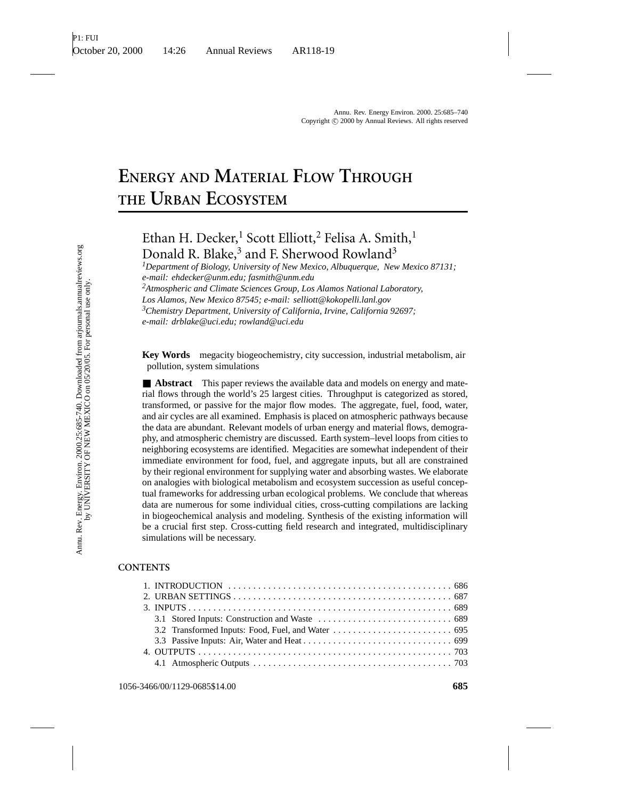# **ENERGY AND MATERIAL FLOW THROUGH THE URBAN ECOSYSTEM**

## Ethan H. Decker,<sup>1</sup> Scott Elliott,<sup>2</sup> Felisa A. Smith,<sup>1</sup> Donald R. Blake, $3$  and F. Sherwood Rowland<sup>3</sup>

*1Department of Biology, University of New Mexico, Albuquerque, New Mexico 87131; e-mail: ehdecker@unm.edu; fasmith@unm.edu*

*2Atmospheric and Climate Sciences Group, Los Alamos National Laboratory, Los Alamos, New Mexico 87545; e-mail: selliott@kokopelli.lanl.gov 3Chemistry Department, University of California, Irvine, California 92697; e-mail: drblake@uci.edu; rowland@uci.edu*

**Key Words** megacity biogeochemistry, city succession, industrial metabolism, air pollution, system simulations

■ **Abstract** This paper reviews the available data and models on energy and material flows through the world's 25 largest cities. Throughput is categorized as stored, transformed, or passive for the major flow modes. The aggregate, fuel, food, water, and air cycles are all examined. Emphasis is placed on atmospheric pathways because the data are abundant. Relevant models of urban energy and material flows, demography, and atmospheric chemistry are discussed. Earth system–level loops from cities to neighboring ecosystems are identified. Megacities are somewhat independent of their immediate environment for food, fuel, and aggregate inputs, but all are constrained by their regional environment for supplying water and absorbing wastes. We elaborate on analogies with biological metabolism and ecosystem succession as useful conceptual frameworks for addressing urban ecological problems. We conclude that whereas data are numerous for some individual cities, cross-cutting compilations are lacking in biogeochemical analysis and modeling. Synthesis of the existing information will be a crucial first step. Cross-cutting field research and integrated, multidisciplinary simulations will be necessary.

#### **CONTENTS**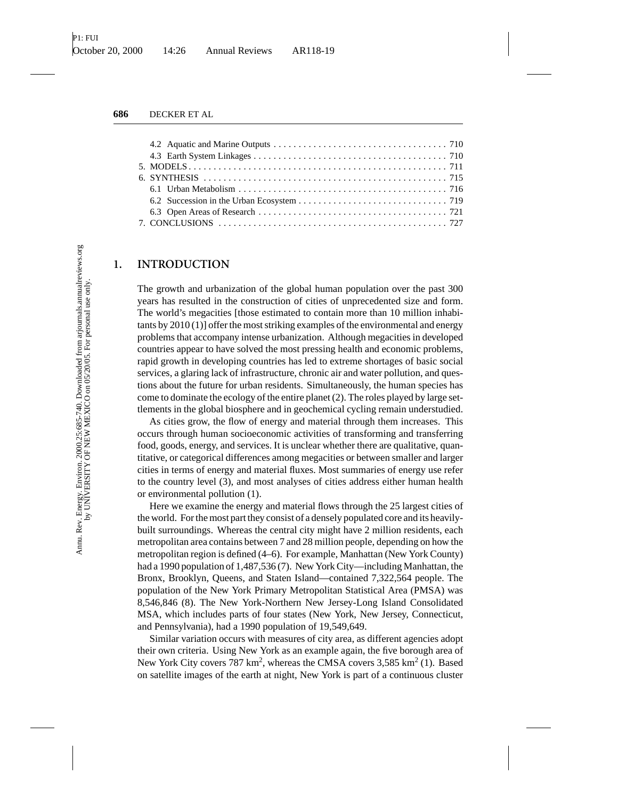### **1. INTRODUCTION**

The growth and urbanization of the global human population over the past 300 years has resulted in the construction of cities of unprecedented size and form. The world's megacities [those estimated to contain more than 10 million inhabitants by 2010 (1)] offer the most striking examples of the environmental and energy problems that accompany intense urbanization. Although megacities in developed countries appear to have solved the most pressing health and economic problems, rapid growth in developing countries has led to extreme shortages of basic social services, a glaring lack of infrastructure, chronic air and water pollution, and questions about the future for urban residents. Simultaneously, the human species has come to dominate the ecology of the entire planet (2). The roles played by large settlements in the global biosphere and in geochemical cycling remain understudied.

As cities grow, the flow of energy and material through them increases. This occurs through human socioeconomic activities of transforming and transferring food, goods, energy, and services. It is unclear whether there are qualitative, quantitative, or categorical differences among megacities or between smaller and larger cities in terms of energy and material fluxes. Most summaries of energy use refer to the country level (3), and most analyses of cities address either human health or environmental pollution (1).

Here we examine the energy and material flows through the 25 largest cities of the world. For the most part they consist of a densely populated core and its heavilybuilt surroundings. Whereas the central city might have 2 million residents, each metropolitan area contains between 7 and 28 million people, depending on how the metropolitan region is defined (4–6). For example, Manhattan (New York County) had a 1990 population of 1,487,536 (7). New York City—including Manhattan, the Bronx, Brooklyn, Queens, and Staten Island—contained 7,322,564 people. The population of the New York Primary Metropolitan Statistical Area (PMSA) was 8,546,846 (8). The New York-Northern New Jersey-Long Island Consolidated MSA, which includes parts of four states (New York, New Jersey, Connecticut, and Pennsylvania), had a 1990 population of 19,549,649.

Similar variation occurs with measures of city area, as different agencies adopt their own criteria. Using New York as an example again, the five borough area of New York City covers  $787 \text{ km}^2$ , whereas the CMSA covers  $3,585 \text{ km}^2$  (1). Based on satellite images of the earth at night, New York is part of a continuous cluster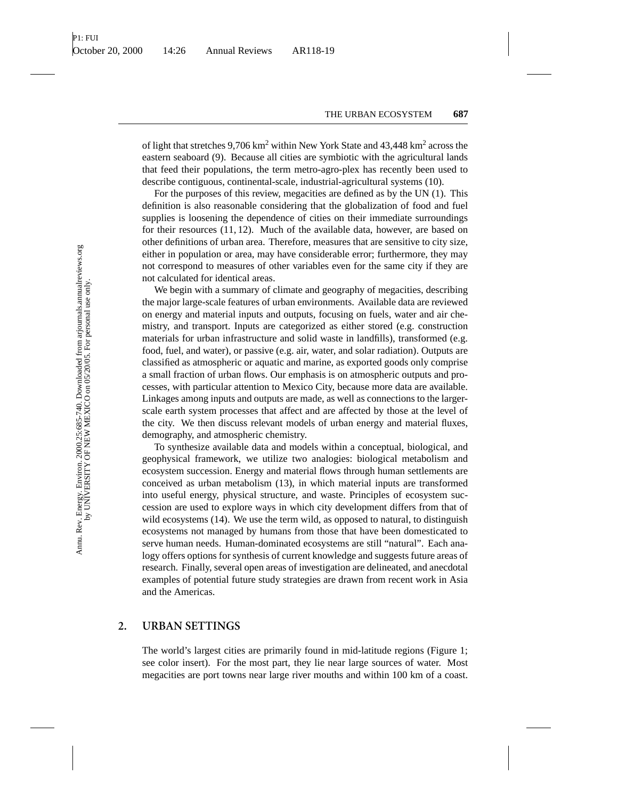of light that stretches 9,706 km<sup>2</sup> within New York State and  $43,448$  km<sup>2</sup> across the eastern seaboard (9). Because all cities are symbiotic with the agricultural lands that feed their populations, the term metro-agro-plex has recently been used to describe contiguous, continental-scale, industrial-agricultural systems (10).

For the purposes of this review, megacities are defined as by the UN (1). This definition is also reasonable considering that the globalization of food and fuel supplies is loosening the dependence of cities on their immediate surroundings for their resources (11, 12). Much of the available data, however, are based on other definitions of urban area. Therefore, measures that are sensitive to city size, either in population or area, may have considerable error; furthermore, they may not correspond to measures of other variables even for the same city if they are not calculated for identical areas.

We begin with a summary of climate and geography of megacities, describing the major large-scale features of urban environments. Available data are reviewed on energy and material inputs and outputs, focusing on fuels, water and air chemistry, and transport. Inputs are categorized as either stored (e.g. construction materials for urban infrastructure and solid waste in landfills), transformed (e.g. food, fuel, and water), or passive (e.g. air, water, and solar radiation). Outputs are classified as atmospheric or aquatic and marine, as exported goods only comprise a small fraction of urban flows. Our emphasis is on atmospheric outputs and processes, with particular attention to Mexico City, because more data are available. Linkages among inputs and outputs are made, as well as connections to the largerscale earth system processes that affect and are affected by those at the level of the city. We then discuss relevant models of urban energy and material fluxes, demography, and atmospheric chemistry.

To synthesize available data and models within a conceptual, biological, and geophysical framework, we utilize two analogies: biological metabolism and ecosystem succession. Energy and material flows through human settlements are conceived as urban metabolism (13), in which material inputs are transformed into useful energy, physical structure, and waste. Principles of ecosystem succession are used to explore ways in which city development differs from that of wild ecosystems (14). We use the term wild, as opposed to natural, to distinguish ecosystems not managed by humans from those that have been domesticated to serve human needs. Human-dominated ecosystems are still "natural". Each analogy offers options for synthesis of current knowledge and suggests future areas of research. Finally, several open areas of investigation are delineated, and anecdotal examples of potential future study strategies are drawn from recent work in Asia and the Americas.

#### **2. URBAN SETTINGS**

The world's largest cities are primarily found in mid-latitude regions (Figure 1; see color insert). For the most part, they lie near large sources of water. Most megacities are port towns near large river mouths and within 100 km of a coast.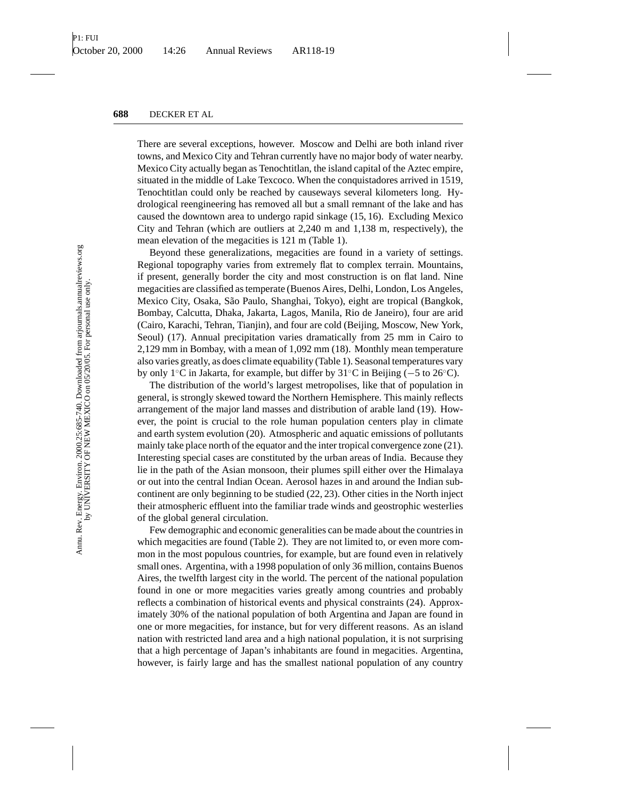There are several exceptions, however. Moscow and Delhi are both inland river towns, and Mexico City and Tehran currently have no major body of water nearby. Mexico City actually began as Tenochtitlan, the island capital of the Aztec empire, situated in the middle of Lake Texcoco. When the conquistadores arrived in 1519, Tenochtitlan could only be reached by causeways several kilometers long. Hydrological reengineering has removed all but a small remnant of the lake and has caused the downtown area to undergo rapid sinkage (15, 16). Excluding Mexico City and Tehran (which are outliers at 2,240 m and 1,138 m, respectively), the mean elevation of the megacities is 121 m (Table 1).

Beyond these generalizations, megacities are found in a variety of settings. Regional topography varies from extremely flat to complex terrain. Mountains, if present, generally border the city and most construction is on flat land. Nine megacities are classified as temperate (Buenos Aires, Delhi, London, Los Angeles, Mexico City, Osaka, S˜ao Paulo, Shanghai, Tokyo), eight are tropical (Bangkok, Bombay, Calcutta, Dhaka, Jakarta, Lagos, Manila, Rio de Janeiro), four are arid (Cairo, Karachi, Tehran, Tianjin), and four are cold (Beijing, Moscow, New York, Seoul) (17). Annual precipitation varies dramatically from 25 mm in Cairo to 2,129 mm in Bombay, with a mean of 1,092 mm (18). Monthly mean temperature also varies greatly, as does climate equability (Table 1). Seasonal temperatures vary by only 1◦C in Jakarta, for example, but differ by 31◦C in Beijing (−5 to 26◦C).

The distribution of the world's largest metropolises, like that of population in general, is strongly skewed toward the Northern Hemisphere. This mainly reflects arrangement of the major land masses and distribution of arable land (19). However, the point is crucial to the role human population centers play in climate and earth system evolution (20). Atmospheric and aquatic emissions of pollutants mainly take place north of the equator and the inter tropical convergence zone (21). Interesting special cases are constituted by the urban areas of India. Because they lie in the path of the Asian monsoon, their plumes spill either over the Himalaya or out into the central Indian Ocean. Aerosol hazes in and around the Indian subcontinent are only beginning to be studied (22, 23). Other cities in the North inject their atmospheric effluent into the familiar trade winds and geostrophic westerlies of the global general circulation.

Few demographic and economic generalities can be made about the countries in which megacities are found (Table 2). They are not limited to, or even more common in the most populous countries, for example, but are found even in relatively small ones. Argentina, with a 1998 population of only 36 million, contains Buenos Aires, the twelfth largest city in the world. The percent of the national population found in one or more megacities varies greatly among countries and probably reflects a combination of historical events and physical constraints (24). Approximately 30% of the national population of both Argentina and Japan are found in one or more megacities, for instance, but for very different reasons. As an island nation with restricted land area and a high national population, it is not surprising that a high percentage of Japan's inhabitants are found in megacities. Argentina, however, is fairly large and has the smallest national population of any country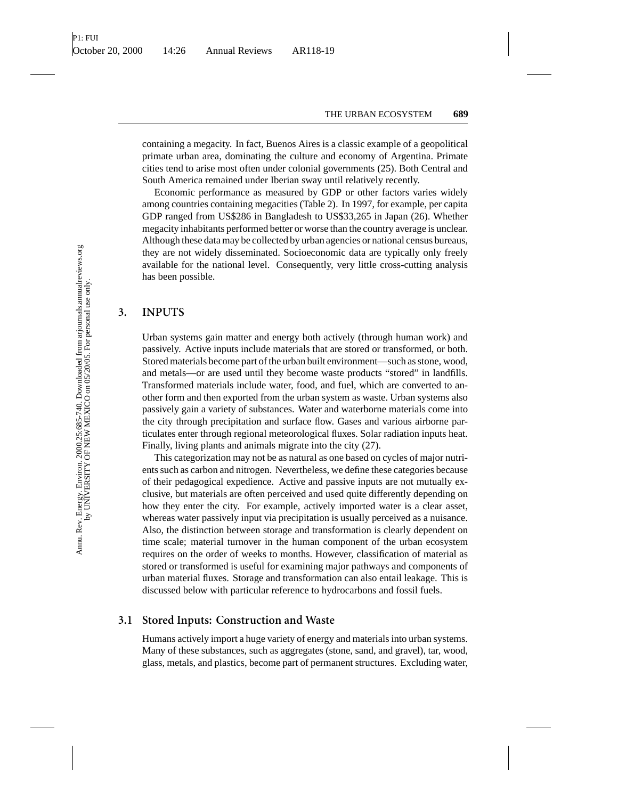containing a megacity. In fact, Buenos Aires is a classic example of a geopolitical primate urban area, dominating the culture and economy of Argentina. Primate cities tend to arise most often under colonial governments (25). Both Central and South America remained under Iberian sway until relatively recently.

Economic performance as measured by GDP or other factors varies widely among countries containing megacities (Table 2). In 1997, for example, per capita GDP ranged from US\$286 in Bangladesh to US\$33,265 in Japan (26). Whether megacity inhabitants performed better or worse than the country average is unclear. Although these data may be collected by urban agencies or national census bureaus, they are not widely disseminated. Socioeconomic data are typically only freely available for the national level. Consequently, very little cross-cutting analysis has been possible.

#### **3. INPUTS**

Urban systems gain matter and energy both actively (through human work) and passively. Active inputs include materials that are stored or transformed, or both. Stored materials become part of the urban built environment—such as stone, wood, and metals—or are used until they become waste products "stored" in landfills. Transformed materials include water, food, and fuel, which are converted to another form and then exported from the urban system as waste. Urban systems also passively gain a variety of substances. Water and waterborne materials come into the city through precipitation and surface flow. Gases and various airborne particulates enter through regional meteorological fluxes. Solar radiation inputs heat. Finally, living plants and animals migrate into the city (27).

This categorization may not be as natural as one based on cycles of major nutrients such as carbon and nitrogen. Nevertheless, we define these categories because of their pedagogical expedience. Active and passive inputs are not mutually exclusive, but materials are often perceived and used quite differently depending on how they enter the city. For example, actively imported water is a clear asset, whereas water passively input via precipitation is usually perceived as a nuisance. Also, the distinction between storage and transformation is clearly dependent on time scale; material turnover in the human component of the urban ecosystem requires on the order of weeks to months. However, classification of material as stored or transformed is useful for examining major pathways and components of urban material fluxes. Storage and transformation can also entail leakage. This is discussed below with particular reference to hydrocarbons and fossil fuels.

#### **3.1 Stored Inputs: Construction and Waste**

Humans actively import a huge variety of energy and materials into urban systems. Many of these substances, such as aggregates (stone, sand, and gravel), tar, wood, glass, metals, and plastics, become part of permanent structures. Excluding water,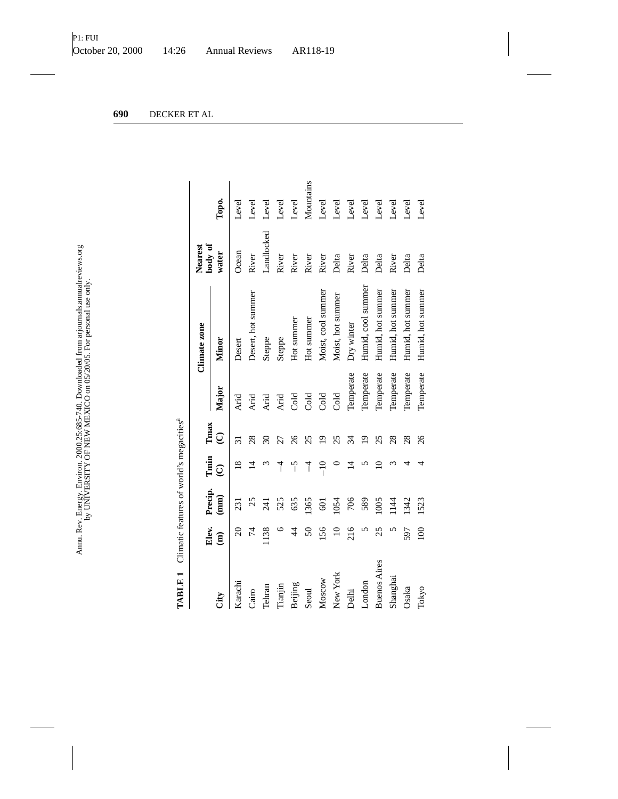Annu. Rev. Energy. Environ. 2000.25:685-740. Downloaded from arjournals.annualreviews.org<br>by UNIVERSITY OF NEW MEXICO on 05/20/05. For personal use only. Annu. Rev. Energy. Environ. 2000.25:685-740. Downloaded from arjournals.annualreviews.org by UNIVERSITY OF NEW MEXICO on 05/20/05. For personal use only.

**TABLE 1** Climatic features of world's megacities<sup>a</sup>

| TABLE <sub>1</sub>  | Climatic features of world's megacities <sup>a</sup> |                  |               |                 |           |                    |                    |           |
|---------------------|------------------------------------------------------|------------------|---------------|-----------------|-----------|--------------------|--------------------|-----------|
|                     | Elev.                                                | Precip.          | Tmin          | Tmax            |           | Climate zone       | body of<br>Nearest |           |
| άty                 | $\widehat{a}$                                        | (mm)             | ପ୍ର           | $\widehat{Q}$   | Major     | Minor              | water              | Topo.     |
| Karachi             | $\overline{c}$                                       | 231              | $\infty$      | ಸ               | Arid      | Desert             | Ocean              | Level     |
| Cairo               | 74                                                   | 25               | ᅺ             | $\overline{28}$ | Arid      | Desert, hot summer | River              | Level     |
| Tehran              | 1138                                                 | 241              |               | $\Im$           | Arid      | Steppe             | Landlocked         | Level     |
| Tianjin             | $\circ$                                              | 525              | $\vec{a}$     | 27              | Arid      | Steppe             | River              | Level     |
| Beijing             | $\frac{4}{3}$                                        | 635              | $\sim$        | $\delta$        | Cold      | Hot summer         | River              | Level     |
| Seoul               | $50\,$                                               | 1365             | $\frac{4}{1}$ | 25              | Cold      | Hot summer         | River              | Mountains |
| Moscow              | 156                                                  | $\overline{601}$ | $\frac{1}{1}$ | $\overline{0}$  | Cold      | Moist, cool summer | River              | Level     |
| New York            | $\supseteq$                                          | 1054             |               | 25              | Cold      | Moist, hot summer  | Delta              | Level     |
| Delhi               | 216                                                  | 706              | $\vec{r}$     | 34              | Temperate | Dry winter         | River              | Level     |
| London              | 5                                                    | 589              | n             | $\overline{0}$  | Temperate | Humid, cool summer | Delta              | Level     |
| <b>Buenos Aires</b> | 25                                                   | 1005             | ≌             | 25              | Temperate | Humid, hot summer  | Delta              | Level     |
| Shanghai            | n                                                    | 144              |               | 28              | Temperate | Humid, hot summer  | River              | Level     |
| Osaka               | 597                                                  | 1342             |               | 28              | Temperate | Humid, hot summer  | Delta              | Level     |
| Tokyo               | 100                                                  | 1523             |               | 26              | Temperate | Humid, hot summer  | Delta              | Level     |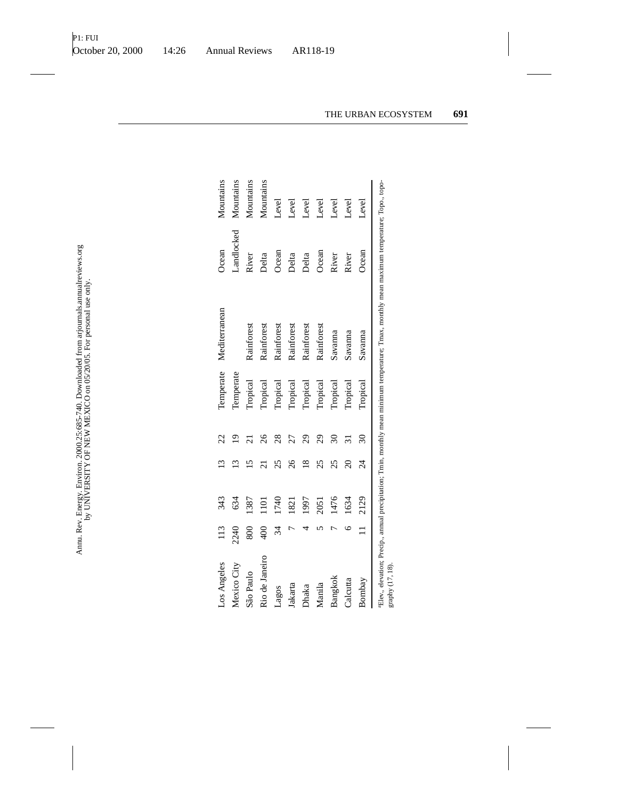|           |            | "Elev, elevation; Precip, annual precipitation; Tmin, monthly mean minimum temperature; Tmax, monthly mean maximum temperature; Topo, topo- |                 |                          |                |      |      |                |
|-----------|------------|---------------------------------------------------------------------------------------------------------------------------------------------|-----------------|--------------------------|----------------|------|------|----------------|
| Level     | Ocean      | Savanna                                                                                                                                     | <b>Tropical</b> | $\overline{\mathcal{E}}$ | $\overline{z}$ | 2129 |      | Bombay         |
| Level     | River      | Savanna                                                                                                                                     | Tropical        |                          | $\overline{c}$ | 1634 |      | Calcutta       |
| Level     | River      | Savanna                                                                                                                                     | Tropical        |                          | 25             | 1476 |      | Bangkok        |
| Level     | Ocean      | Rainforest                                                                                                                                  | Tropical        | 29                       | 25             | 2051 |      | Manila         |
| Level     | Delta      | Rainforest                                                                                                                                  | Tropical        | 29                       | $\frac{8}{18}$ | 1997 |      | Dhaka          |
| Level     | Delta      | Rainforest                                                                                                                                  | Tropical        |                          | 26             | 1821 |      | Jakarta        |
| Level     | Ocean      | Rainforest                                                                                                                                  | Tropical        | $^{28}$                  | 25             | 1740 | 34   | Lagos          |
| Mountains | Delta      | Rainforest                                                                                                                                  | Tropical        |                          |                |      | 400  | Rio de Janeiro |
| Mountains | River      | Rainforest                                                                                                                                  | Tropical        |                          |                | 1387 | 800  | São Paulo      |
| Mountains | Landlocked |                                                                                                                                             | Temperate       |                          |                | 634  | 2240 | Mexico City    |
| Mountains | Ocean      | Mediterranean                                                                                                                               | Temperate       | $\mathfrak{Z}$           | $\tilde{1}$    | 343  | 113  | Los Angeles    |

graphy  $(17,\,18).$ graphy (17, 18).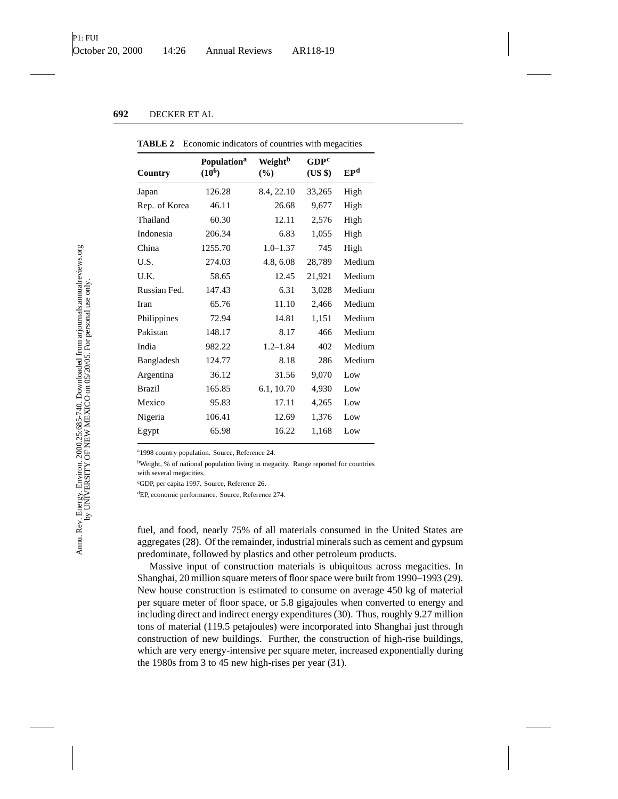|               | <b>Population</b> <sup>a</sup> | Weight <sup>b</sup> | GDP <sup>c</sup> |                 |
|---------------|--------------------------------|---------------------|------------------|-----------------|
| Country       | $(10^6)$                       | $(\%)$              | (US \$)          | EP <sup>d</sup> |
| Japan         | 126.28                         | 8.4, 22.10          | 33,265           | High            |
| Rep. of Korea | 46.11                          | 26.68               | 9,677            | High            |
| Thailand      | 60.30                          | 12.11               | 2,576            | High            |
| Indonesia     | 206.34                         | 6.83                | 1,055            | High            |
| China         | 1255.70                        | $1.0 - 1.37$        | 745              | High            |
| U.S.          | 274.03                         | 4.8, 6.08           | 28,789           | Medium          |
| U.K.          | 58.65                          | 12.45               | 21,921           | Medium          |
| Russian Fed.  | 147.43                         | 6.31                | 3,028            | Medium          |
| Iran          | 65.76                          | 11.10               | 2,466            | Medium          |
| Philippines   | 72.94                          | 14.81               | 1,151            | Medium          |
| Pakistan      | 148.17                         | 8.17                | 466              | Medium          |
| India         | 982.22                         | $1.2 - 1.84$        | 402              | Medium          |
| Bangladesh    | 124.77                         | 8.18                | 286              | Medium          |
| Argentina     | 36.12                          | 31.56               | 9,070            | Low             |
| <b>Brazil</b> | 165.85                         | 6.1, 10.70          | 4,930            | Low             |
| Mexico        | 95.83                          | 17.11               | 4,265            | Low             |
| Nigeria       | 106.41                         | 12.69               | 1,376            | Low             |
| Egypt         | 65.98                          | 16.22               | 1,168            | Low             |
|               |                                |                     |                  |                 |

**TABLE 2** Economic indicators of countries with megacities

<sup>a</sup>1998 country population. Source, Reference 24.

<sup>b</sup>Weight, % of national population living in megacity. Range reported for countries with several megacities.

c GDP, per capita 1997. Source, Reference 26.

d EP, economic performance. Source, Reference 274.

fuel, and food, nearly 75% of all materials consumed in the United States are aggregates (28). Of the remainder, industrial minerals such as cement and gypsum predominate, followed by plastics and other petroleum products.

Massive input of construction materials is ubiquitous across megacities. In Shanghai, 20 million square meters of floor space were built from 1990–1993 (29). New house construction is estimated to consume on average 450 kg of material per square meter of floor space, or 5.8 gigajoules when converted to energy and including direct and indirect energy expenditures (30). Thus, roughly 9.27 million tons of material (119.5 petajoules) were incorporated into Shanghai just through construction of new buildings. Further, the construction of high-rise buildings, which are very energy-intensive per square meter, increased exponentially during the 1980s from 3 to 45 new high-rises per year (31).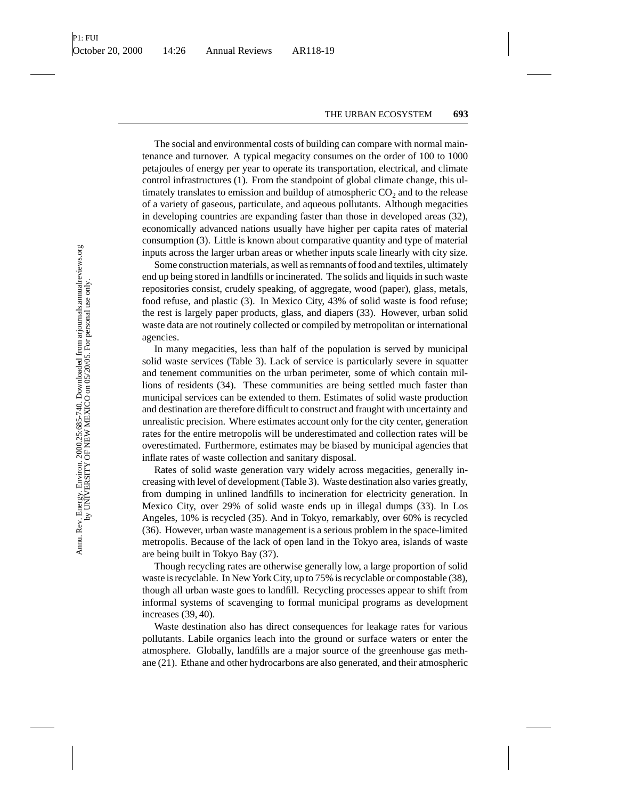The social and environmental costs of building can compare with normal maintenance and turnover. A typical megacity consumes on the order of 100 to 1000 petajoules of energy per year to operate its transportation, electrical, and climate control infrastructures (1). From the standpoint of global climate change, this ultimately translates to emission and buildup of atmospheric  $CO<sub>2</sub>$  and to the release of a variety of gaseous, particulate, and aqueous pollutants. Although megacities in developing countries are expanding faster than those in developed areas (32), economically advanced nations usually have higher per capita rates of material consumption (3). Little is known about comparative quantity and type of material inputs across the larger urban areas or whether inputs scale linearly with city size.

Some construction materials, as well as remnants of food and textiles, ultimately end up being stored in landfills or incinerated. The solids and liquids in such waste repositories consist, crudely speaking, of aggregate, wood (paper), glass, metals, food refuse, and plastic (3). In Mexico City, 43% of solid waste is food refuse; the rest is largely paper products, glass, and diapers (33). However, urban solid waste data are not routinely collected or compiled by metropolitan or international agencies.

In many megacities, less than half of the population is served by municipal solid waste services (Table 3). Lack of service is particularly severe in squatter and tenement communities on the urban perimeter, some of which contain millions of residents (34). These communities are being settled much faster than municipal services can be extended to them. Estimates of solid waste production and destination are therefore difficult to construct and fraught with uncertainty and unrealistic precision. Where estimates account only for the city center, generation rates for the entire metropolis will be underestimated and collection rates will be overestimated. Furthermore, estimates may be biased by municipal agencies that inflate rates of waste collection and sanitary disposal.

Rates of solid waste generation vary widely across megacities, generally increasing with level of development (Table 3). Waste destination also varies greatly, from dumping in unlined landfills to incineration for electricity generation. In Mexico City, over 29% of solid waste ends up in illegal dumps (33). In Los Angeles, 10% is recycled (35). And in Tokyo, remarkably, over 60% is recycled (36). However, urban waste management is a serious problem in the space-limited metropolis. Because of the lack of open land in the Tokyo area, islands of waste are being built in Tokyo Bay (37).

Though recycling rates are otherwise generally low, a large proportion of solid waste is recyclable. In New York City, up to 75% is recyclable or compostable (38), though all urban waste goes to landfill. Recycling processes appear to shift from informal systems of scavenging to formal municipal programs as development increases (39, 40).

Waste destination also has direct consequences for leakage rates for various pollutants. Labile organics leach into the ground or surface waters or enter the atmosphere. Globally, landfills are a major source of the greenhouse gas methane (21). Ethane and other hydrocarbons are also generated, and their atmospheric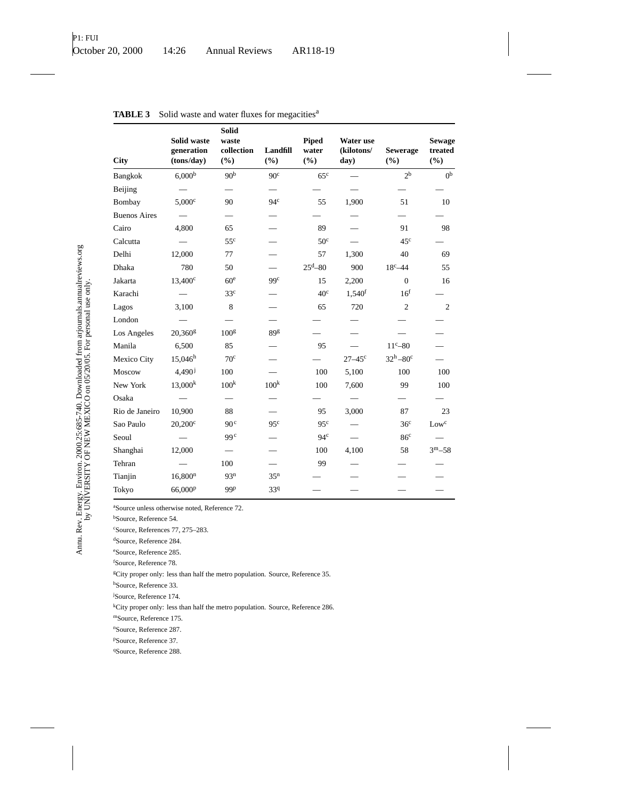| City                | Solid waste<br>generation<br>(tons/day) | <b>Solid</b><br>waste<br>collection<br>(%) | Landfill<br>(%)  | <b>Piped</b><br>water<br>(%) | Water use<br>(kilotons/<br>day) | <b>Sewerage</b><br>(%)    | <b>Sewage</b><br>treated<br>(%) |
|---------------------|-----------------------------------------|--------------------------------------------|------------------|------------------------------|---------------------------------|---------------------------|---------------------------------|
| Bangkok             | 6,000 <sup>b</sup>                      | 90 <sup>b</sup>                            | 90 <sup>c</sup>  | 65 <sup>c</sup>              |                                 | 2 <sub>b</sub>            | 0 <sup>b</sup>                  |
| Beijing             |                                         |                                            |                  |                              |                                 |                           |                                 |
| Bombay              | $5,000$ c                               | 90                                         | 94 <sup>c</sup>  | 55                           | 1,900                           | 51                        | 10                              |
| <b>Buenos Aires</b> |                                         |                                            |                  |                              |                                 |                           |                                 |
| Cairo               | 4,800                                   | 65                                         |                  | 89                           |                                 | 91                        | 98                              |
| Calcutta            |                                         | 55 <sup>c</sup>                            |                  | 50 <sup>c</sup>              |                                 | 45 <sup>c</sup>           |                                 |
| Delhi               | 12,000                                  | 77                                         |                  | 57                           | 1,300                           | 40                        | 69                              |
| Dhaka               | 780                                     | 50                                         |                  | $25^{\rm d} - 80$            | 900                             | $18^{\circ} - 44$         | 55                              |
| Jakarta             | $13,400^{\circ}$                        | 60 <sup>e</sup>                            | 99 <sup>c</sup>  | 15                           | 2,200                           | $\mathbf{0}$              | 16                              |
| Karachi             |                                         | 33 <sup>c</sup>                            |                  | 40 <sup>c</sup>              | 1,540 <sup>f</sup>              | 16 <sup>f</sup>           |                                 |
| Lagos               | 3,100                                   | 8                                          |                  | 65                           | 720                             | $\mathfrak{2}$            | $\overline{2}$                  |
| London              |                                         |                                            |                  |                              |                                 |                           |                                 |
| Los Angeles         | $20,360$ <sup>g</sup>                   | 100 <sup>g</sup>                           | 89g              |                              |                                 |                           |                                 |
| Manila              | 6,500                                   | 85                                         |                  | 95                           |                                 | $11^{\circ}-80$           |                                 |
| Mexico City         | $15,046^h$                              | 70 <sup>c</sup>                            |                  |                              | $27 - 45$ °                     | $32^{\rm h} - 80^{\rm c}$ |                                 |
| Moscow              | $4.490^{j}$                             | 100                                        |                  | 100                          | 5,100                           | 100                       | 100                             |
| New York            | 13,000 <sup>k</sup>                     | 100 <sup>k</sup>                           | 100 <sup>k</sup> | 100                          | 7,600                           | 99                        | 100                             |
| Osaka               |                                         |                                            |                  |                              |                                 |                           |                                 |
| Rio de Janeiro      | 10,900                                  | 88                                         |                  | 95                           | 3,000                           | 87                        | 23                              |
| Sao Paulo           | $20,200^{\circ}$                        | 90 <sup>c</sup>                            | 95 <sup>c</sup>  | 95 <sup>c</sup>              |                                 | 36 <sup>c</sup>           | Low <sup>c</sup>                |
| Seoul               |                                         | 99c                                        |                  | 94 <sup>c</sup>              |                                 | 86 <sup>c</sup>           |                                 |
| Shanghai            | 12,000                                  |                                            |                  | 100                          | 4,100                           | 58                        | $3^{\rm m} - 58$                |
| Tehran              |                                         | 100                                        |                  | 99                           |                                 |                           |                                 |
| Tianjin             | 16,800 <sup>n</sup>                     | 93 <sup>n</sup>                            | 35 <sup>n</sup>  |                              |                                 |                           |                                 |
| Tokyo               | 66,000P                                 | 99P                                        | 339              |                              |                                 |                           |                                 |

**TABLE 3** Solid waste and water fluxes for megacities<sup>a</sup>

a Source unless otherwise noted, Reference 72.

b Source, Reference 54.

c Source, References 77, 275–283.

d Source, Reference 284.

e Source, Reference 285.

f Source, Reference 78.

<sup>g</sup>City proper only: less than half the metro population. Source, Reference 35.

h Source, Reference 33.

j Source, Reference 174.

<sup>k</sup>City proper only: less than half the metro population. Source, Reference 286.

mSource, Reference 175.

n Source, Reference 287.

p Source, Reference 37.

q Source, Reference 288.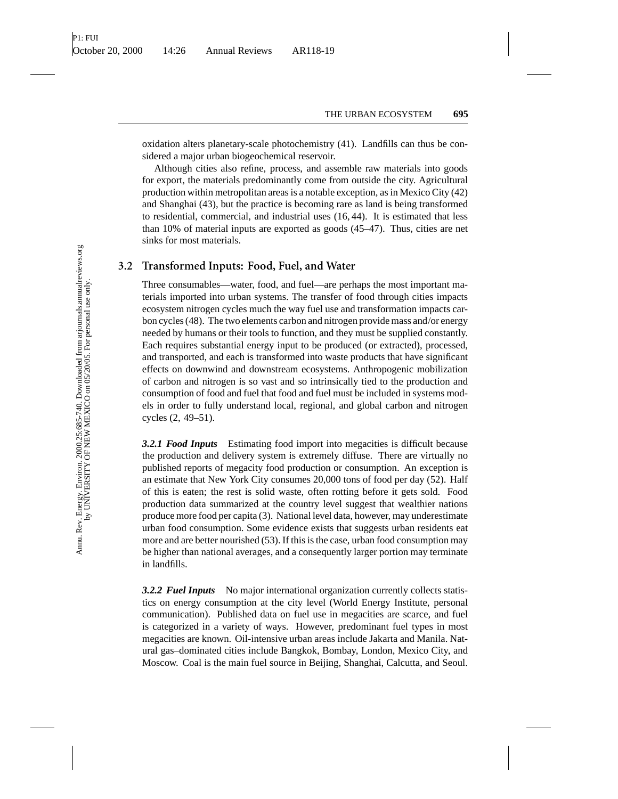oxidation alters planetary-scale photochemistry (41). Landfills can thus be considered a major urban biogeochemical reservoir.

Although cities also refine, process, and assemble raw materials into goods for export, the materials predominantly come from outside the city. Agricultural production within metropolitan areas is a notable exception, as in Mexico City (42) and Shanghai (43), but the practice is becoming rare as land is being transformed to residential, commercial, and industrial uses (16, 44). It is estimated that less than 10% of material inputs are exported as goods (45–47). Thus, cities are net sinks for most materials.

### **3.2 Transformed Inputs: Food, Fuel, and Water**

Three consumables—water, food, and fuel—are perhaps the most important materials imported into urban systems. The transfer of food through cities impacts ecosystem nitrogen cycles much the way fuel use and transformation impacts carbon cycles (48). The two elements carbon and nitrogen provide mass and/or energy needed by humans or their tools to function, and they must be supplied constantly. Each requires substantial energy input to be produced (or extracted), processed, and transported, and each is transformed into waste products that have significant effects on downwind and downstream ecosystems. Anthropogenic mobilization of carbon and nitrogen is so vast and so intrinsically tied to the production and consumption of food and fuel that food and fuel must be included in systems models in order to fully understand local, regional, and global carbon and nitrogen cycles (2, 49–51).

*3.2.1 Food Inputs* Estimating food import into megacities is difficult because the production and delivery system is extremely diffuse. There are virtually no published reports of megacity food production or consumption. An exception is an estimate that New York City consumes 20,000 tons of food per day (52). Half of this is eaten; the rest is solid waste, often rotting before it gets sold. Food production data summarized at the country level suggest that wealthier nations produce more food per capita (3). National level data, however, may underestimate urban food consumption. Some evidence exists that suggests urban residents eat more and are better nourished (53). If this is the case, urban food consumption may be higher than national averages, and a consequently larger portion may terminate in landfills.

**3.2.2 Fuel Inputs** No major international organization currently collects statistics on energy consumption at the city level (World Energy Institute, personal communication). Published data on fuel use in megacities are scarce, and fuel is categorized in a variety of ways. However, predominant fuel types in most megacities are known. Oil-intensive urban areas include Jakarta and Manila. Natural gas–dominated cities include Bangkok, Bombay, London, Mexico City, and Moscow. Coal is the main fuel source in Beijing, Shanghai, Calcutta, and Seoul.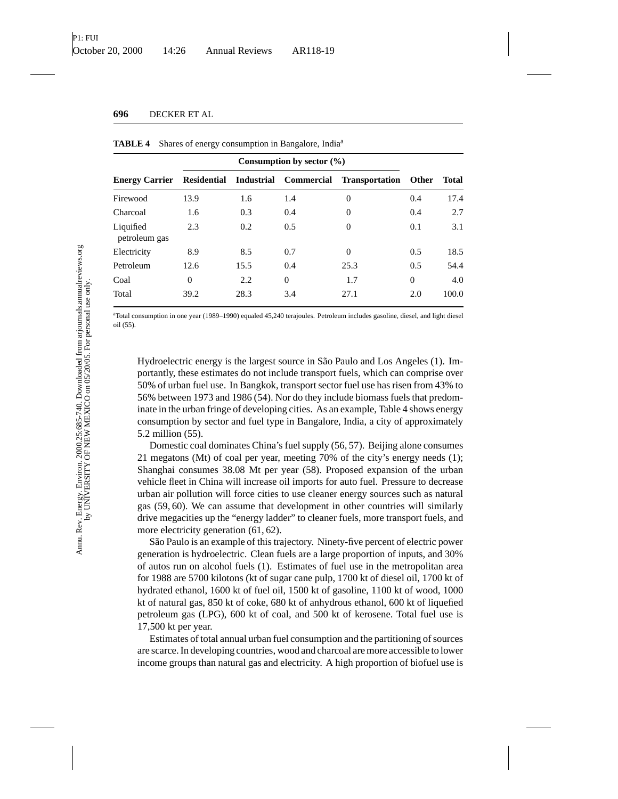|                            |          |      | Consumption by sector $(\% )$     |                             |          |       |
|----------------------------|----------|------|-----------------------------------|-----------------------------|----------|-------|
| <b>Energy Carrier</b>      |          |      | Residential Industrial Commercial | <b>Transportation</b> Other |          | Total |
| Firewood                   | 13.9     | 1.6  | 1.4                               | $\overline{0}$              | 0.4      | 17.4  |
| Charcoal                   | 1.6      | 0.3  | 0.4                               | $\overline{0}$              | 0.4      | 2.7   |
| Liquified<br>petroleum gas | 2.3      | 0.2  | 0.5                               | 0                           | 0.1      | 3.1   |
| Electricity                | 8.9      | 8.5  | 0.7                               | $\Omega$                    | 0.5      | 18.5  |
| Petroleum                  | 12.6     | 15.5 | 0.4                               | 25.3                        | 0.5      | 54.4  |
| Coal                       | $\Omega$ | 2.2  | $\Omega$                          | 1.7                         | $\Omega$ | 4.0   |
| Total                      | 39.2     | 28.3 | 3.4                               | 27.1                        | 2.0      | 100.0 |

**TABLE 4** Shares of energy consumption in Bangalore, India<sup>a</sup>

a Total consumption in one year (1989–1990) equaled 45,240 terajoules. Petroleum includes gasoline, diesel, and light diesel oil (55).

Hydroelectric energy is the largest source in S˜ao Paulo and Los Angeles (1). Importantly, these estimates do not include transport fuels, which can comprise over 50% of urban fuel use. In Bangkok, transport sector fuel use has risen from 43% to 56% between 1973 and 1986 (54). Nor do they include biomass fuels that predominate in the urban fringe of developing cities. As an example, Table 4 shows energy consumption by sector and fuel type in Bangalore, India, a city of approximately 5.2 million (55).

Domestic coal dominates China's fuel supply (56, 57). Beijing alone consumes 21 megatons (Mt) of coal per year, meeting 70% of the city's energy needs (1); Shanghai consumes 38.08 Mt per year (58). Proposed expansion of the urban vehicle fleet in China will increase oil imports for auto fuel. Pressure to decrease urban air pollution will force cities to use cleaner energy sources such as natural gas (59, 60). We can assume that development in other countries will similarly drive megacities up the "energy ladder" to cleaner fuels, more transport fuels, and more electricity generation  $(61, 62)$ .

São Paulo is an example of this trajectory. Ninety-five percent of electric power generation is hydroelectric. Clean fuels are a large proportion of inputs, and 30% of autos run on alcohol fuels (1). Estimates of fuel use in the metropolitan area for 1988 are 5700 kilotons (kt of sugar cane pulp, 1700 kt of diesel oil, 1700 kt of hydrated ethanol, 1600 kt of fuel oil, 1500 kt of gasoline, 1100 kt of wood, 1000 kt of natural gas, 850 kt of coke, 680 kt of anhydrous ethanol, 600 kt of liquefied petroleum gas (LPG), 600 kt of coal, and 500 kt of kerosene. Total fuel use is 17,500 kt per year.

Estimates of total annual urban fuel consumption and the partitioning of sources are scarce. In developing countries, wood and charcoal are more accessible to lower income groups than natural gas and electricity. A high proportion of biofuel use is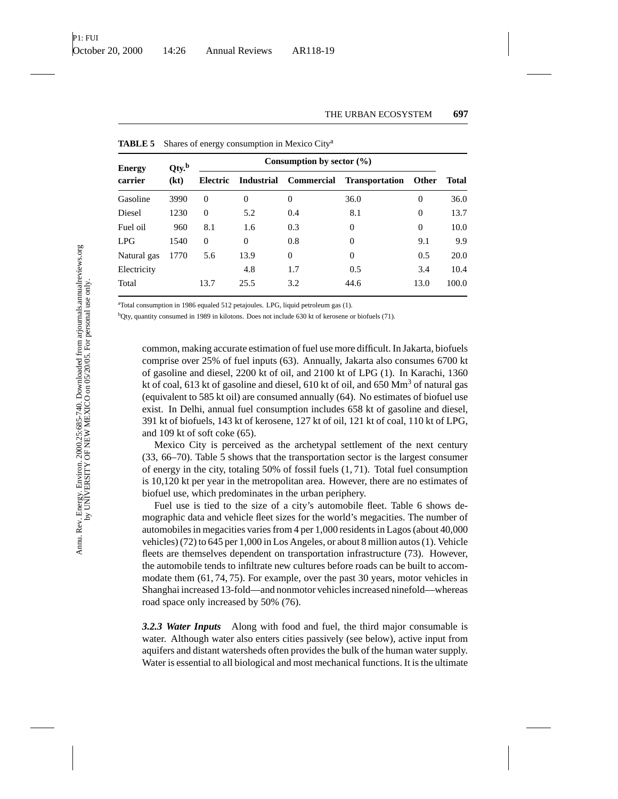|             | $Qty^b$<br><b>Energy</b> |          |                   | Consumption by sector $(\% )$ |                       |                |              |
|-------------|--------------------------|----------|-------------------|-------------------------------|-----------------------|----------------|--------------|
| carrier     | (kt)                     | Electric | <b>Industrial</b> | Commercial                    | <b>Transportation</b> | Other          | <b>Total</b> |
| Gasoline    | 3990                     | $\Omega$ | $\Omega$          | $\Omega$                      | 36.0                  | $\overline{0}$ | 36.0         |
| Diesel      | 1230                     | $\Omega$ | 5.2               | 0.4                           | 8.1                   | $\overline{0}$ | 13.7         |
| Fuel oil    | 960                      | 8.1      | $1.6\,$           | 0.3                           | $\Omega$              | $\Omega$       | 10.0         |
| LPG         | 1540                     | $\Omega$ | $\Omega$          | 0.8                           | $\Omega$              | 9.1            | 9.9          |
| Natural gas | 1770                     | 5.6      | 13.9              | $\Omega$                      | $\mathbf{0}$          | 0.5            | 20.0         |
| Electricity |                          |          | 4.8               | 1.7                           | 0.5                   | 3.4            | 10.4         |
| Total       |                          | 13.7     | 25.5              | 3.2                           | 44.6                  | 13.0           | 100.0        |

**TABLE 5** Shares of energy consumption in Mexico City<sup>a</sup>

<sup>a</sup>Total consumption in 1986 equaled 512 petajoules. LPG, liquid petroleum gas (1).

<sup>b</sup>Qty, quantity consumed in 1989 in kilotons. Does not include 630 kt of kerosene or biofuels (71).

common, making accurate estimation of fuel use more difficult. In Jakarta, biofuels comprise over 25% of fuel inputs (63). Annually, Jakarta also consumes 6700 kt of gasoline and diesel, 2200 kt of oil, and 2100 kt of LPG (1). In Karachi, 1360 kt of coal, 613 kt of gasoline and diesel, 610 kt of oil, and 650  $\text{Mm}^3$  of natural gas (equivalent to 585 kt oil) are consumed annually (64). No estimates of biofuel use exist. In Delhi, annual fuel consumption includes 658 kt of gasoline and diesel, 391 kt of biofuels, 143 kt of kerosene, 127 kt of oil, 121 kt of coal, 110 kt of LPG, and 109 kt of soft coke (65).

Mexico City is perceived as the archetypal settlement of the next century (33, 66–70). Table 5 shows that the transportation sector is the largest consumer of energy in the city, totaling 50% of fossil fuels (1, 71). Total fuel consumption is 10,120 kt per year in the metropolitan area. However, there are no estimates of biofuel use, which predominates in the urban periphery.

Fuel use is tied to the size of a city's automobile fleet. Table 6 shows demographic data and vehicle fleet sizes for the world's megacities. The number of automobiles in megacities varies from 4 per 1,000 residents in Lagos (about 40,000 vehicles) (72) to 645 per 1,000 in Los Angeles, or about 8 million autos (1). Vehicle fleets are themselves dependent on transportation infrastructure (73). However, the automobile tends to infiltrate new cultures before roads can be built to accommodate them (61, 74, 75). For example, over the past 30 years, motor vehicles in Shanghai increased 13-fold—and nonmotor vehicles increased ninefold—whereas road space only increased by 50% (76).

*3.2.3 Water Inputs* Along with food and fuel, the third major consumable is water. Although water also enters cities passively (see below), active input from aquifers and distant watersheds often provides the bulk of the human water supply. Water is essential to all biological and most mechanical functions. It is the ultimate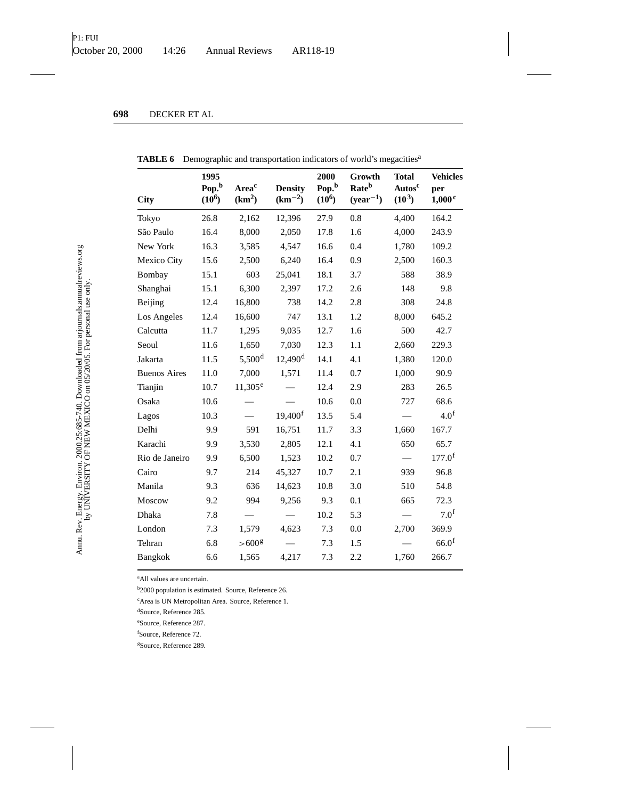| <b>City</b>         | 1995<br>Pop.b<br>$(10^6)$ | Area <sup>c</sup><br>(km <sup>2</sup> ) | <b>Density</b><br>$(km^{-2})$ | 2000<br>Pop. <sup>b</sup><br>$(10^6)$ | Growth<br>Rateb<br>$(year^{-1})$ | <b>Total</b><br>Autosc<br>$(10^3)$ | <b>Vehicles</b><br>per<br>$1,000$ c |
|---------------------|---------------------------|-----------------------------------------|-------------------------------|---------------------------------------|----------------------------------|------------------------------------|-------------------------------------|
| Tokyo               | 26.8                      | 2,162                                   | 12,396                        | 27.9                                  | 0.8                              | 4,400                              | 164.2                               |
| São Paulo           | 16.4                      | 8,000                                   | 2,050                         | 17.8                                  | 1.6                              | 4,000                              | 243.9                               |
| New York            | 16.3                      | 3,585                                   | 4,547                         | 16.6                                  | 0.4                              | 1,780                              | 109.2                               |
| Mexico City         | 15.6                      | 2,500                                   | 6,240                         | 16.4                                  | 0.9                              | 2,500                              | 160.3                               |
| Bombay              | 15.1                      | 603                                     | 25,041                        | 18.1                                  | 3.7                              | 588                                | 38.9                                |
| Shanghai            | 15.1                      | 6,300                                   | 2,397                         | 17.2                                  | 2.6                              | 148                                | 9.8                                 |
| Beijing             | 12.4                      | 16,800                                  | 738                           | 14.2                                  | 2.8                              | 308                                | 24.8                                |
| Los Angeles         | 12.4                      | 16,600                                  | 747                           | 13.1                                  | 1.2                              | 8,000                              | 645.2                               |
| Calcutta            | 11.7                      | 1,295                                   | 9,035                         | 12.7                                  | 1.6                              | 500                                | 42.7                                |
| Seoul               | 11.6                      | 1,650                                   | 7,030                         | 12.3                                  | 1.1                              | 2,660                              | 229.3                               |
| Jakarta             | 11.5                      | 5,500 <sup>d</sup>                      | $12,490$ <sup>d</sup>         | 14.1                                  | 4.1                              | 1,380                              | 120.0                               |
| <b>Buenos Aires</b> | 11.0                      | 7,000                                   | 1,571                         | 11.4                                  | 0.7                              | 1,000                              | 90.9                                |
| Tianjin             | 10.7                      | $11,305^e$                              |                               | 12.4                                  | 2.9                              | 283                                | 26.5                                |
| Osaka               | 10.6                      |                                         |                               | 10.6                                  | 0.0                              | 727                                | 68.6                                |
| Lagos               | 10.3                      |                                         | 19,400 <sup>f</sup>           | 13.5                                  | 5.4                              |                                    | 4.0 <sup>f</sup>                    |
| Delhi               | 9.9                       | 591                                     | 16,751                        | 11.7                                  | 3.3                              | 1,660                              | 167.7                               |
| Karachi             | 9.9                       | 3,530                                   | 2,805                         | 12.1                                  | 4.1                              | 650                                | 65.7                                |
| Rio de Janeiro      | 9.9                       | 6,500                                   | 1,523                         | 10.2                                  | 0.7                              |                                    | $177.0$ <sup>f</sup>                |
| Cairo               | 9.7                       | 214                                     | 45,327                        | 10.7                                  | 2.1                              | 939                                | 96.8                                |
| Manila              | 9.3                       | 636                                     | 14,623                        | 10.8                                  | 3.0                              | 510                                | 54.8                                |
| Moscow              | 9.2                       | 994                                     | 9,256                         | 9.3                                   | 0.1                              | 665                                | 72.3                                |
| Dhaka               | 7.8                       |                                         |                               | 10.2                                  | 5.3                              |                                    | 7.0 <sup>f</sup>                    |
| London              | 7.3                       | 1,579                                   | 4,623                         | 7.3                                   | 0.0                              | 2,700                              | 369.9                               |
| Tehran              | 6.8                       | $>600$ <sup>g</sup>                     |                               | 7.3                                   | 1.5                              |                                    | 66.0 <sup>f</sup>                   |
| Bangkok             | 6.6                       | 1,565                                   | 4,217                         | 7.3                                   | 2.2                              | 1,760                              | 266.7                               |

**TABLE 6** Demographic and transportation indicators of world's megacities<sup>a</sup>

<sup>a</sup>All values are uncertain.

<sup>b</sup>2000 population is estimated. Source, Reference 26.

c Area is UN Metropolitan Area. Source, Reference 1.

d Source, Reference 285.

e Source, Reference 287.

f Source, Reference 72.

g Source, Reference 289.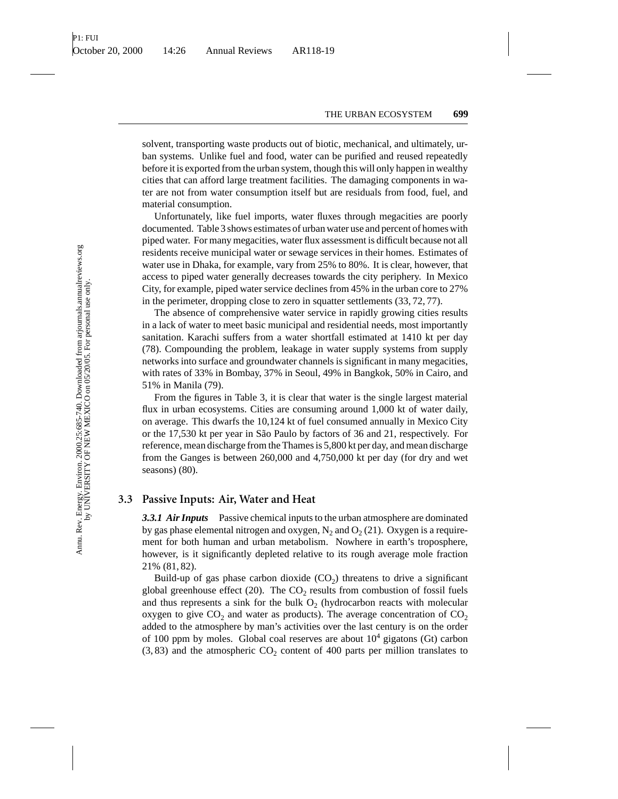solvent, transporting waste products out of biotic, mechanical, and ultimately, urban systems. Unlike fuel and food, water can be purified and reused repeatedly before it is exported from the urban system, though this will only happen in wealthy cities that can afford large treatment facilities. The damaging components in water are not from water consumption itself but are residuals from food, fuel, and material consumption.

Unfortunately, like fuel imports, water fluxes through megacities are poorly documented. Table 3 shows estimates of urban water use and percent of homes with piped water. For many megacities, water flux assessment is difficult because not all residents receive municipal water or sewage services in their homes. Estimates of water use in Dhaka, for example, vary from 25% to 80%. It is clear, however, that access to piped water generally decreases towards the city periphery. In Mexico City, for example, piped water service declines from 45% in the urban core to 27% in the perimeter, dropping close to zero in squatter settlements (33, 72, 77).

The absence of comprehensive water service in rapidly growing cities results in a lack of water to meet basic municipal and residential needs, most importantly sanitation. Karachi suffers from a water shortfall estimated at 1410 kt per day (78). Compounding the problem, leakage in water supply systems from supply networks into surface and groundwater channels is significant in many megacities, with rates of 33% in Bombay, 37% in Seoul, 49% in Bangkok, 50% in Cairo, and 51% in Manila (79).

From the figures in Table 3, it is clear that water is the single largest material flux in urban ecosystems. Cities are consuming around 1,000 kt of water daily, on average. This dwarfs the 10,124 kt of fuel consumed annually in Mexico City or the 17,530 kt per year in S˜ao Paulo by factors of 36 and 21, respectively. For reference, mean discharge from the Thames is 5,800 kt per day, and mean discharge from the Ganges is between 260,000 and 4,750,000 kt per day (for dry and wet seasons) (80).

## **3.3 Passive Inputs: Air, Water and Heat**

*3.3.1 Air Inputs* Passive chemical inputs to the urban atmosphere are dominated by gas phase elemental nitrogen and oxygen,  $N_2$  and  $O_2(21)$ . Oxygen is a requirement for both human and urban metabolism. Nowhere in earth's troposphere, however, is it significantly depleted relative to its rough average mole fraction 21% (81, 82).

Build-up of gas phase carbon dioxide  $(CO<sub>2</sub>)$  threatens to drive a significant global greenhouse effect (20). The  $CO<sub>2</sub>$  results from combustion of fossil fuels and thus represents a sink for the bulk  $O_2$  (hydrocarbon reacts with molecular oxygen to give  $CO<sub>2</sub>$  and water as products). The average concentration of  $CO<sub>2</sub>$ added to the atmosphere by man's activities over the last century is on the order of 100 ppm by moles. Global coal reserves are about  $10<sup>4</sup>$  gigatons (Gt) carbon  $(3, 83)$  and the atmospheric  $CO<sub>2</sub>$  content of 400 parts per million translates to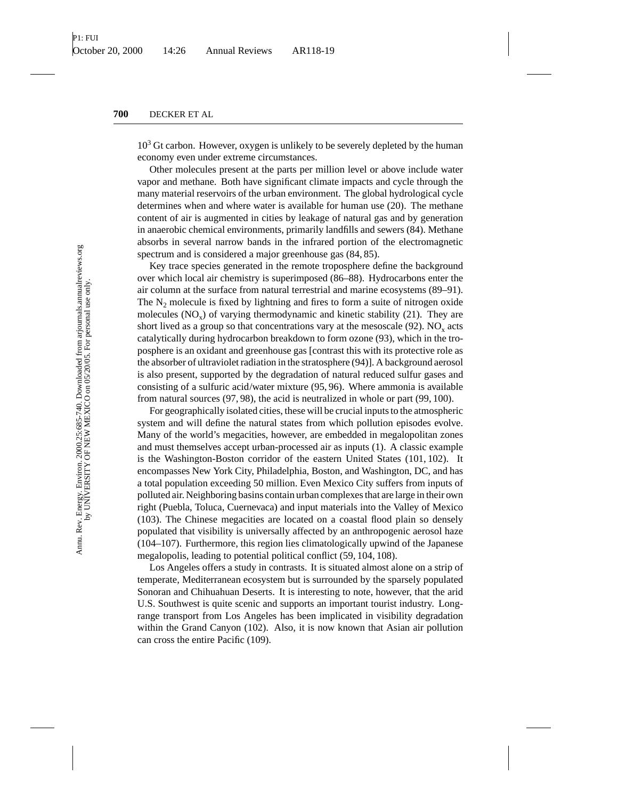$10<sup>3</sup>$  Gt carbon. However, oxygen is unlikely to be severely depleted by the human economy even under extreme circumstances.

Other molecules present at the parts per million level or above include water vapor and methane. Both have significant climate impacts and cycle through the many material reservoirs of the urban environment. The global hydrological cycle determines when and where water is available for human use (20). The methane content of air is augmented in cities by leakage of natural gas and by generation in anaerobic chemical environments, primarily landfills and sewers (84). Methane absorbs in several narrow bands in the infrared portion of the electromagnetic spectrum and is considered a major greenhouse gas (84, 85).

Key trace species generated in the remote troposphere define the background over which local air chemistry is superimposed (86–88). Hydrocarbons enter the air column at the surface from natural terrestrial and marine ecosystems (89–91). The  $N_2$  molecule is fixed by lightning and fires to form a suite of nitrogen oxide molecules  $(NO_x)$  of varying thermodynamic and kinetic stability (21). They are short lived as a group so that concentrations vary at the mesoscale  $(92)$ . NO<sub>y</sub> acts catalytically during hydrocarbon breakdown to form ozone (93), which in the troposphere is an oxidant and greenhouse gas [contrast this with its protective role as the absorber of ultraviolet radiation in the stratosphere (94)]. A background aerosol is also present, supported by the degradation of natural reduced sulfur gases and consisting of a sulfuric acid/water mixture (95, 96). Where ammonia is available from natural sources (97, 98), the acid is neutralized in whole or part (99, 100).

For geographically isolated cities, these will be crucial inputs to the atmospheric system and will define the natural states from which pollution episodes evolve. Many of the world's megacities, however, are embedded in megalopolitan zones and must themselves accept urban-processed air as inputs (1). A classic example is the Washington-Boston corridor of the eastern United States (101, 102). It encompasses New York City, Philadelphia, Boston, and Washington, DC, and has a total population exceeding 50 million. Even Mexico City suffers from inputs of polluted air. Neighboring basins contain urban complexes that are large in their own right (Puebla, Toluca, Cuernevaca) and input materials into the Valley of Mexico (103). The Chinese megacities are located on a coastal flood plain so densely populated that visibility is universally affected by an anthropogenic aerosol haze (104–107). Furthermore, this region lies climatologically upwind of the Japanese megalopolis, leading to potential political conflict (59, 104, 108).

Los Angeles offers a study in contrasts. It is situated almost alone on a strip of temperate, Mediterranean ecosystem but is surrounded by the sparsely populated Sonoran and Chihuahuan Deserts. It is interesting to note, however, that the arid U.S. Southwest is quite scenic and supports an important tourist industry. Longrange transport from Los Angeles has been implicated in visibility degradation within the Grand Canyon (102). Also, it is now known that Asian air pollution can cross the entire Pacific (109).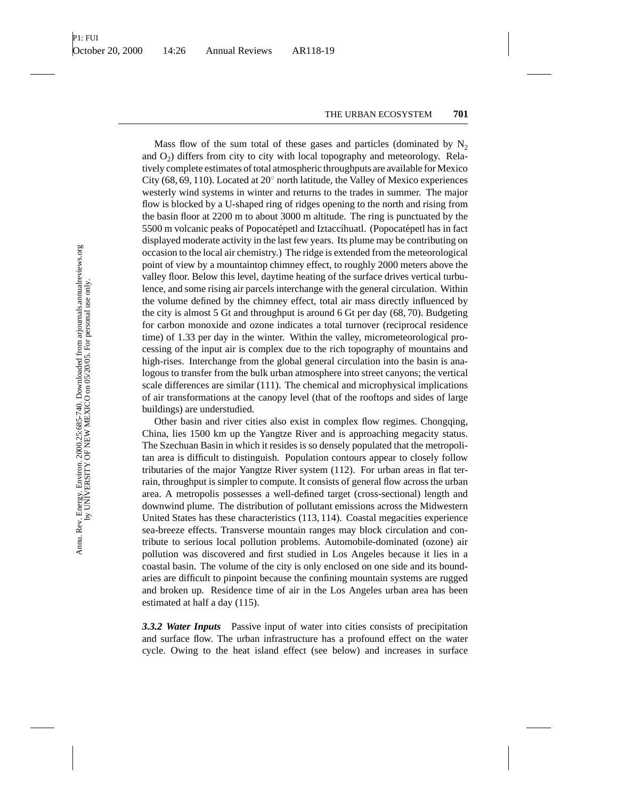Mass flow of the sum total of these gases and particles (dominated by  $N_2$ ) and  $O_2$ ) differs from city to city with local topography and meteorology. Relatively complete estimates of total atmospheric throughputs are available for Mexico City (68, 69, 110). Located at 20◦ north latitude, the Valley of Mexico experiences westerly wind systems in winter and returns to the trades in summer. The major flow is blocked by a U-shaped ring of ridges opening to the north and rising from the basin floor at 2200 m to about 3000 m altitude. The ring is punctuated by the 5500 m volcanic peaks of Popocatépetl and Iztaccí huatl. (Popocatépetl has in fact displayed moderate activity in the last few years. Its plume may be contributing on occasion to the local air chemistry.) The ridge is extended from the meteorological point of view by a mountaintop chimney effect, to roughly 2000 meters above the valley floor. Below this level, daytime heating of the surface drives vertical turbulence, and some rising air parcels interchange with the general circulation. Within the volume defined by the chimney effect, total air mass directly influenced by the city is almost 5 Gt and throughput is around 6 Gt per day (68, 70). Budgeting for carbon monoxide and ozone indicates a total turnover (reciprocal residence time) of 1.33 per day in the winter. Within the valley, micrometeorological processing of the input air is complex due to the rich topography of mountains and high-rises. Interchange from the global general circulation into the basin is analogous to transfer from the bulk urban atmosphere into street canyons; the vertical scale differences are similar (111). The chemical and microphysical implications of air transformations at the canopy level (that of the rooftops and sides of large buildings) are understudied.

Other basin and river cities also exist in complex flow regimes. Chongqing, China, lies 1500 km up the Yangtze River and is approaching megacity status. The Szechuan Basin in which it resides is so densely populated that the metropolitan area is difficult to distinguish. Population contours appear to closely follow tributaries of the major Yangtze River system (112). For urban areas in flat terrain, throughput is simpler to compute. It consists of general flow across the urban area. A metropolis possesses a well-defined target (cross-sectional) length and downwind plume. The distribution of pollutant emissions across the Midwestern United States has these characteristics (113, 114). Coastal megacities experience sea-breeze effects. Transverse mountain ranges may block circulation and contribute to serious local pollution problems. Automobile-dominated (ozone) air pollution was discovered and first studied in Los Angeles because it lies in a coastal basin. The volume of the city is only enclosed on one side and its boundaries are difficult to pinpoint because the confining mountain systems are rugged and broken up. Residence time of air in the Los Angeles urban area has been estimated at half a day (115).

*3.3.2 Water Inputs* Passive input of water into cities consists of precipitation and surface flow. The urban infrastructure has a profound effect on the water cycle. Owing to the heat island effect (see below) and increases in surface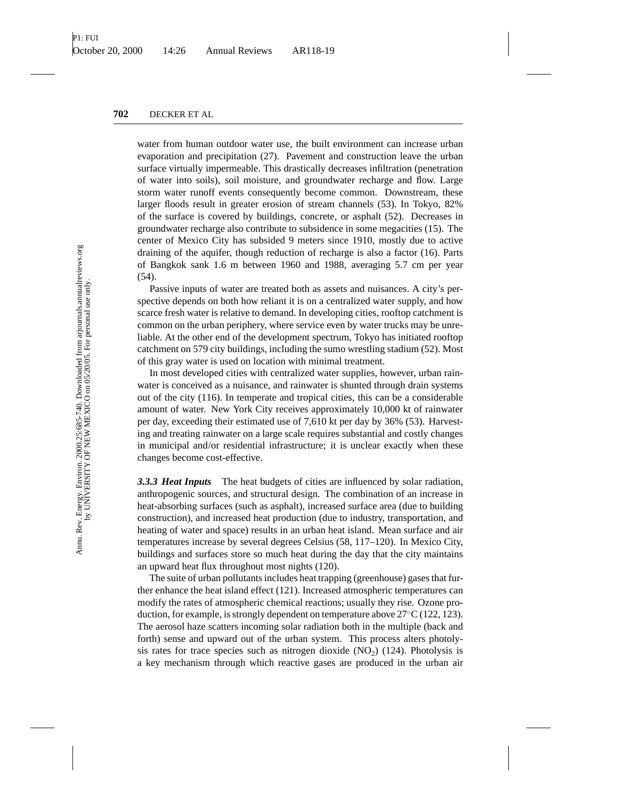water from human outdoor water use, the built environment can increase urban evaporation and precipitation (27). Pavement and construction leave the urban surface virtually impermeable. This drastically decreases infiltration (penetration of water into soils), soil moisture, and groundwater recharge and flow. Large storm water runoff events consequently become common. Downstream, these larger floods result in greater erosion of stream channels (53). In Tokyo, 82% of the surface is covered by buildings, concrete, or asphalt (52). Decreases in groundwater recharge also contribute to subsidence in some megacities (15). The center of Mexico City has subsided 9 meters since 1910, mostly due to active draining of the aquifer, though reduction of recharge is also a factor (16). Parts of Bangkok sank 1.6 m between 1960 and 1988, averaging 5.7 cm per year (54).

Passive inputs of water are treated both as assets and nuisances. A city's perspective depends on both how reliant it is on a centralized water supply, and how scarce fresh water is relative to demand. In developing cities, rooftop catchment is common on the urban periphery, where service even by water trucks may be unreliable. At the other end of the development spectrum, Tokyo has initiated rooftop catchment on 579 city buildings, including the sumo wrestling stadium (52). Most of this gray water is used on location with minimal treatment.

In most developed cities with centralized water supplies, however, urban rainwater is conceived as a nuisance, and rainwater is shunted through drain systems out of the city (116). In temperate and tropical cities, this can be a considerable amount of water. New York City receives approximately 10,000 kt of rainwater per day, exceeding their estimated use of 7,610 kt per day by 36% (53). Harvesting and treating rainwater on a large scale requires substantial and costly changes in municipal and/or residential infrastructure; it is unclear exactly when these changes become cost-effective.

*3.3.3 Heat Inputs* The heat budgets of cities are influenced by solar radiation, anthropogenic sources, and structural design. The combination of an increase in heat-absorbing surfaces (such as asphalt), increased surface area (due to building construction), and increased heat production (due to industry, transportation, and heating of water and space) results in an urban heat island. Mean surface and air temperatures increase by several degrees Celsius (58, 117–120). In Mexico City, buildings and surfaces store so much heat during the day that the city maintains an upward heat flux throughout most nights (120).

The suite of urban pollutants includes heat trapping (greenhouse) gases that further enhance the heat island effect (121). Increased atmospheric temperatures can modify the rates of atmospheric chemical reactions; usually they rise. Ozone production, for example, is strongly dependent on temperature above  $27^{\circ}C(122, 123)$ . The aerosol haze scatters incoming solar radiation both in the multiple (back and forth) sense and upward out of the urban system. This process alters photolysis rates for trace species such as nitrogen dioxide  $(NO<sub>2</sub>)$  (124). Photolysis is a key mechanism through which reactive gases are produced in the urban air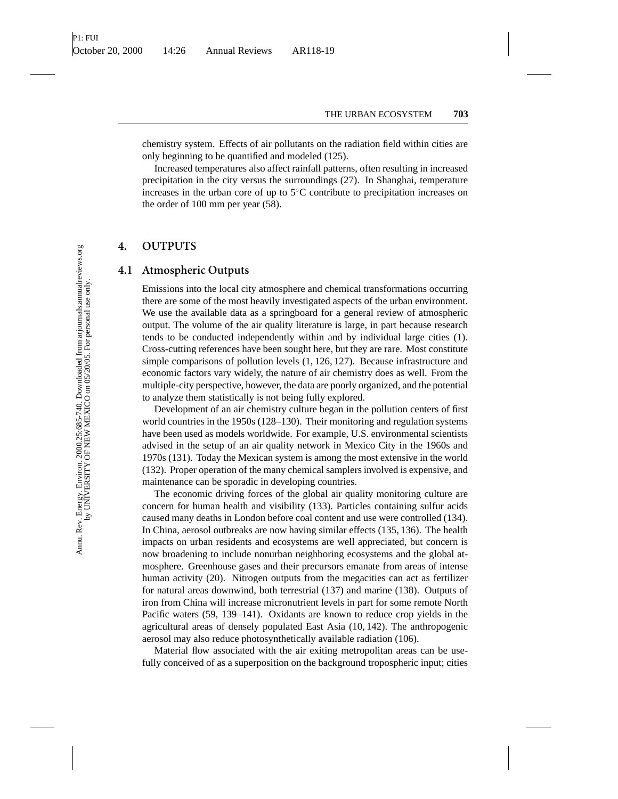chemistry system. Effects of air pollutants on the radiation field within cities are only beginning to be quantified and modeled (125).

Increased temperatures also affect rainfall patterns, often resulting in increased precipitation in the city versus the surroundings (27). In Shanghai, temperature increases in the urban core of up to  $5^{\circ}$ C contribute to precipitation increases on the order of 100 mm per year (58).

#### **4. OUTPUTS**

## **4.1 Atmospheric Outputs**

Emissions into the local city atmosphere and chemical transformations occurring there are some of the most heavily investigated aspects of the urban environment. We use the available data as a springboard for a general review of atmospheric output. The volume of the air quality literature is large, in part because research tends to be conducted independently within and by individual large cities (1). Cross-cutting references have been sought here, but they are rare. Most constitute simple comparisons of pollution levels (1, 126, 127). Because infrastructure and economic factors vary widely, the nature of air chemistry does as well. From the multiple-city perspective, however, the data are poorly organized, and the potential to analyze them statistically is not being fully explored.

Development of an air chemistry culture began in the pollution centers of first world countries in the 1950s (128–130). Their monitoring and regulation systems have been used as models worldwide. For example, U.S. environmental scientists advised in the setup of an air quality network in Mexico City in the 1960s and 1970s (131). Today the Mexican system is among the most extensive in the world (132). Proper operation of the many chemical samplers involved is expensive, and maintenance can be sporadic in developing countries.

The economic driving forces of the global air quality monitoring culture are concern for human health and visibility (133). Particles containing sulfur acids caused many deaths in London before coal content and use were controlled (134). In China, aerosol outbreaks are now having similar effects (135, 136). The health impacts on urban residents and ecosystems are well appreciated, but concern is now broadening to include nonurban neighboring ecosystems and the global atmosphere. Greenhouse gases and their precursors emanate from areas of intense human activity (20). Nitrogen outputs from the megacities can act as fertilizer for natural areas downwind, both terrestrial (137) and marine (138). Outputs of iron from China will increase micronutrient levels in part for some remote North Pacific waters (59, 139–141). Oxidants are known to reduce crop yields in the agricultural areas of densely populated East Asia (10, 142). The anthropogenic aerosol may also reduce photosynthetically available radiation (106).

Material flow associated with the air exiting metropolitan areas can be usefully conceived of as a superposition on the background tropospheric input; cities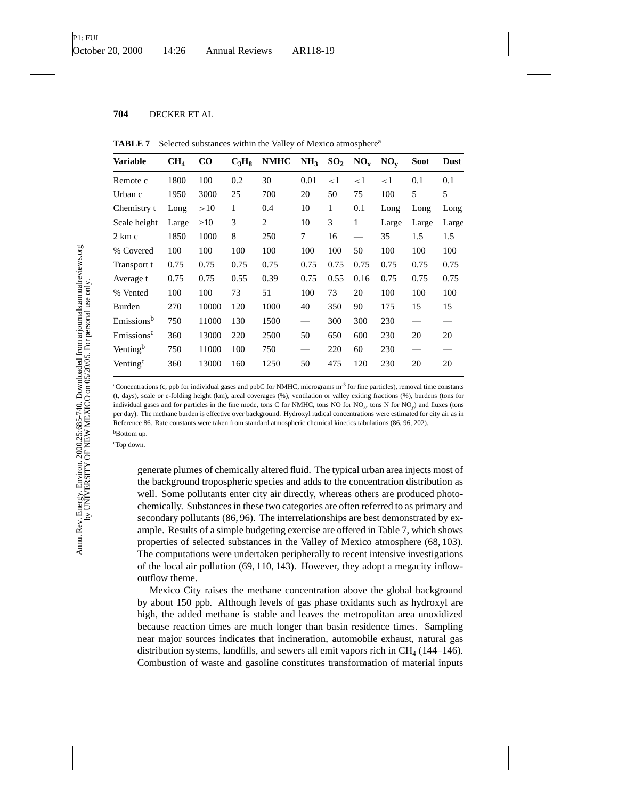| <b>Variable</b>        | CH <sub>4</sub> | $\bf CO$ | $C_3H_8$ | <b>NMHC</b> | NH <sub>3</sub> | SO <sub>2</sub> | $NO_{x}$     | $NO_{v}$ | Soot  | Dust  |
|------------------------|-----------------|----------|----------|-------------|-----------------|-----------------|--------------|----------|-------|-------|
| Remote c               | 1800            | 100      | 0.2      | 30          | 0.01            | $\leq$ 1        | $<$ 1        | $<$ 1    | 0.1   | 0.1   |
| Urban c                | 1950            | 3000     | 25       | 700         | 20              | 50              | 75           | 100      | 5     | 5     |
| Chemistry t            | Long            | >10      | 1        | 0.4         | 10              | 1               | 0.1          | Long     | Long  | Long  |
| Scale height           | Large           | >10      | 3        | 2           | 10              | 3               | $\mathbf{1}$ | Large    | Large | Large |
| $2 \text{ km c}$       | 1850            | 1000     | 8        | 250         | 7               | 16              |              | 35       | 1.5   | 1.5   |
| % Covered              | 100             | 100      | 100      | 100         | 100             | 100             | 50           | 100      | 100   | 100   |
| Transport t            | 0.75            | 0.75     | 0.75     | 0.75        | 0.75            | 0.75            | 0.75         | 0.75     | 0.75  | 0.75  |
| Average t              | 0.75            | 0.75     | 0.55     | 0.39        | 0.75            | 0.55            | 0.16         | 0.75     | 0.75  | 0.75  |
| % Vented               | 100             | 100      | 73       | 51          | 100             | 73              | 20           | 100      | 100   | 100   |
| Burden                 | 270             | 10000    | 120      | 1000        | 40              | 350             | 90           | 175      | 15    | 15    |
| Emissions <sup>b</sup> | 750             | 11000    | 130      | 1500        |                 | 300             | 300          | 230      |       |       |
| Emissions <sup>c</sup> | 360             | 13000    | 220      | 2500        | 50              | 650             | 600          | 230      | 20    | 20    |
| Venting <sup>b</sup>   | 750             | 11000    | 100      | 750         |                 | 220             | 60           | 230      |       |       |
| Venting <sup>c</sup>   | 360             | 13000    | 160      | 1250        | 50              | 475             | 120          | 230      | 20    | 20    |
|                        |                 |          |          |             |                 |                 |              |          |       |       |

**TABLE 7** Selected substances within the Valley of Mexico atmosphere<sup>a</sup>

<sup>a</sup>Concentrations (c, ppb for individual gases and ppbC for NMHC, micrograms m<sup>-3</sup> for fine particles), removal time constants (t, days), scale or e-folding height (km), areal coverages (%), ventilation or valley exiting fractions (%), burdens (tons for individual gases and for particles in the fine mode, tons C for NMHC, tons NO for NO<sub>x</sub>, tons N for NO<sub>x</sub>) and fluxes (tons per day). The methane burden is effective over background. Hydroxyl radical concentrations were estimated for city air as in Reference 86. Rate constants were taken from standard atmospheric chemical kinetics tabulations (86, 96, 202).

**Bottom** up.

c Top down.

generate plumes of chemically altered fluid. The typical urban area injects most of the background tropospheric species and adds to the concentration distribution as well. Some pollutants enter city air directly, whereas others are produced photochemically. Substances in these two categories are often referred to as primary and secondary pollutants (86, 96). The interrelationships are best demonstrated by example. Results of a simple budgeting exercise are offered in Table 7, which shows properties of selected substances in the Valley of Mexico atmosphere (68, 103). The computations were undertaken peripherally to recent intensive investigations of the local air pollution (69, 110, 143). However, they adopt a megacity inflowoutflow theme.

Mexico City raises the methane concentration above the global background by about 150 ppb. Although levels of gas phase oxidants such as hydroxyl are high, the added methane is stable and leaves the metropolitan area unoxidized because reaction times are much longer than basin residence times. Sampling near major sources indicates that incineration, automobile exhaust, natural gas distribution systems, landfills, and sewers all emit vapors rich in  $CH<sub>4</sub>$  (144–146). Combustion of waste and gasoline constitutes transformation of material inputs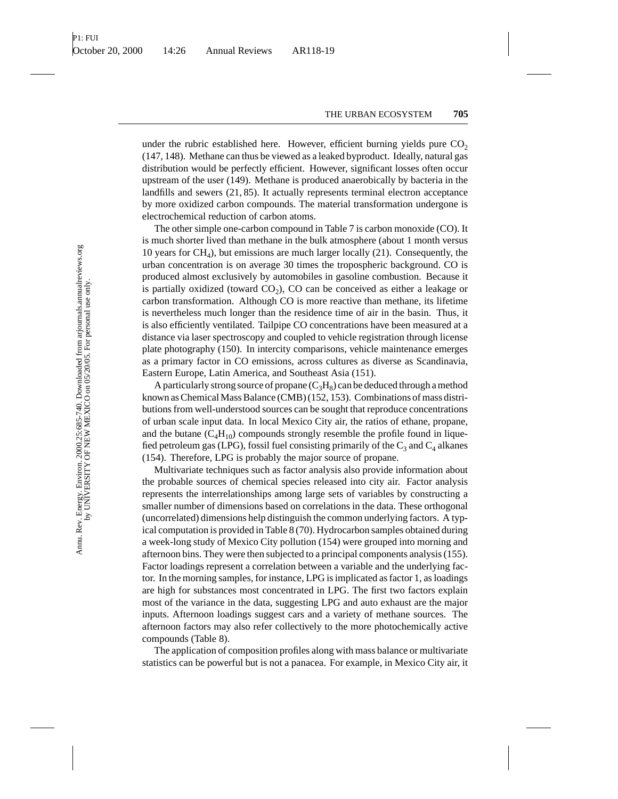under the rubric established here. However, efficient burning yields pure  $CO<sub>2</sub>$ (147, 148). Methane can thus be viewed as a leaked byproduct. Ideally, natural gas distribution would be perfectly efficient. However, significant losses often occur upstream of the user (149). Methane is produced anaerobically by bacteria in the landfills and sewers (21, 85). It actually represents terminal electron acceptance by more oxidized carbon compounds. The material transformation undergone is electrochemical reduction of carbon atoms.

The other simple one-carbon compound in Table 7 is carbon monoxide (CO). It is much shorter lived than methane in the bulk atmosphere (about 1 month versus 10 years for  $CH<sub>4</sub>$ ), but emissions are much larger locally (21). Consequently, the urban concentration is on average 30 times the tropospheric background. CO is produced almost exclusively by automobiles in gasoline combustion. Because it is partially oxidized (toward  $CO<sub>2</sub>$ ), CO can be conceived as either a leakage or carbon transformation. Although CO is more reactive than methane, its lifetime is nevertheless much longer than the residence time of air in the basin. Thus, it is also efficiently ventilated. Tailpipe CO concentrations have been measured at a distance via laser spectroscopy and coupled to vehicle registration through license plate photography (150). In intercity comparisons, vehicle maintenance emerges as a primary factor in CO emissions, across cultures as diverse as Scandinavia, Eastern Europe, Latin America, and Southeast Asia (151).

A particularly strong source of propane  $(C_3H_8)$  can be deduced through a method known as Chemical Mass Balance (CMB) (152, 153). Combinations of mass distributions from well-understood sources can be sought that reproduce concentrations of urban scale input data. In local Mexico City air, the ratios of ethane, propane, and the butane  $(C_4H_{10})$  compounds strongly resemble the profile found in liquefied petroleum gas (LPG), fossil fuel consisting primarily of the  $C_3$  and  $C_4$  alkanes (154). Therefore, LPG is probably the major source of propane.

Multivariate techniques such as factor analysis also provide information about the probable sources of chemical species released into city air. Factor analysis represents the interrelationships among large sets of variables by constructing a smaller number of dimensions based on correlations in the data. These orthogonal (uncorrelated) dimensions help distinguish the common underlying factors. A typical computation is provided in Table 8 (70). Hydrocarbon samples obtained during a week-long study of Mexico City pollution (154) were grouped into morning and afternoon bins. They were then subjected to a principal components analysis (155). Factor loadings represent a correlation between a variable and the underlying factor. In the morning samples, for instance, LPG is implicated as factor 1, as loadings are high for substances most concentrated in LPG. The first two factors explain most of the variance in the data, suggesting LPG and auto exhaust are the major inputs. Afternoon loadings suggest cars and a variety of methane sources. The afternoon factors may also refer collectively to the more photochemically active compounds (Table 8).

The application of composition profiles along with mass balance or multivariate statistics can be powerful but is not a panacea. For example, in Mexico City air, it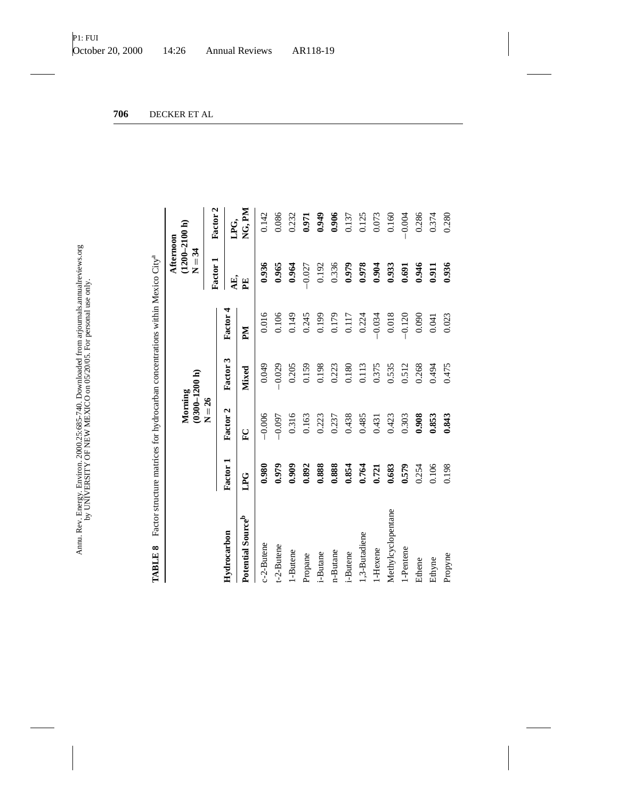| <b>SACRA CASE CASE</b><br>$\sim$ 2000 05.20 000 000 000<br>チーク<br>www.com.com | こうしゃ へいこ こうくうくうくう<br>ソニーン・ソン・エン |
|-------------------------------------------------------------------------------|---------------------------------|
| $\frac{1}{2}$                                                                 |                                 |
|                                                                               |                                 |

TABLE 8 Factor structure matrices for hydrocarban concentrations within Mexico City<sup>a</sup>

| <b>TABLE 8</b>                |          |                  |                   | Factor structure matrices for hydrocarban concentrations within Mexico City <sup>a</sup> |                       |                   |
|-------------------------------|----------|------------------|-------------------|------------------------------------------------------------------------------------------|-----------------------|-------------------|
|                               |          | Morning          | $(0300 - 1200 h)$ |                                                                                          | Afternoon<br>$N = 34$ | $(1200 - 2100 h)$ |
|                               |          | $N = 26$         |                   |                                                                                          | Factor 1              | Factor 2          |
| Hydrocarbon                   | Factor 1 | Factor 2         | Factor 3          | Factor 4                                                                                 | AE,                   | LPG,              |
| Potential Source <sup>b</sup> | LPG      | $\sum_{i=1}^{n}$ | <b>Mixed</b>      | M                                                                                        | EE                    | NG, PM            |
| c-2-Butene                    | 0.980    | $-0.006$         | 670.049           | 0.016                                                                                    | 0.936                 | 0.142             |
| t-2-Butene                    | 0.979    | $-0.097$         | $-0.029$          | 0.106                                                                                    | 0.965                 | 0.086             |
| 1-Butene                      | 0.909    | 0.316            | 0.205             | 0.149                                                                                    | 0.964                 | 0.232             |
| Propane                       | 0.892    | 0.163            | 0.159             | 0.245                                                                                    | $-0.027$              | 0.971             |
| i-Butane                      | 0.888    | 0.223            | 0.198             | 0.199                                                                                    | 0.192                 | 0.949             |
| n-Butane                      | 0.888    | 0.237            | 0.223             | 0.179                                                                                    | 0.336                 | 0.906             |
| i-Butene                      | 0.854    | 0.438            | 0.180             | 0.117                                                                                    | 0.979                 | 0.137             |
| 1,3-Butadiene                 | 0.764    | 0.485            | 0.113             | 0.224                                                                                    | 0.978                 | 0.125             |
| 1-Hexene                      | 0.721    | 0.431            | 0.375             | $-0.034$                                                                                 | 0.904                 | 0.073             |
| Methylcyclopentane            | 0.683    | 0.423            | 0.535             | 0.018                                                                                    | 0.933                 | 0.160             |
| 1-Pentene                     | 0.579    | 0.303            | 0.512             | $-0.120$                                                                                 | 0.691                 | $-0.004$          |
| Ethene                        | 0.254    | 0.908            | 0.268             | 0.090                                                                                    | 0.946                 | 0.286             |
| Ethyne                        | 0.106    | 0.853            | 0.494             | 0.041                                                                                    | 0.911                 | 0.374             |
| Propyne                       | 0.198    | 0.843            | 0.475             | 0.023                                                                                    | 0.936                 | 0.280             |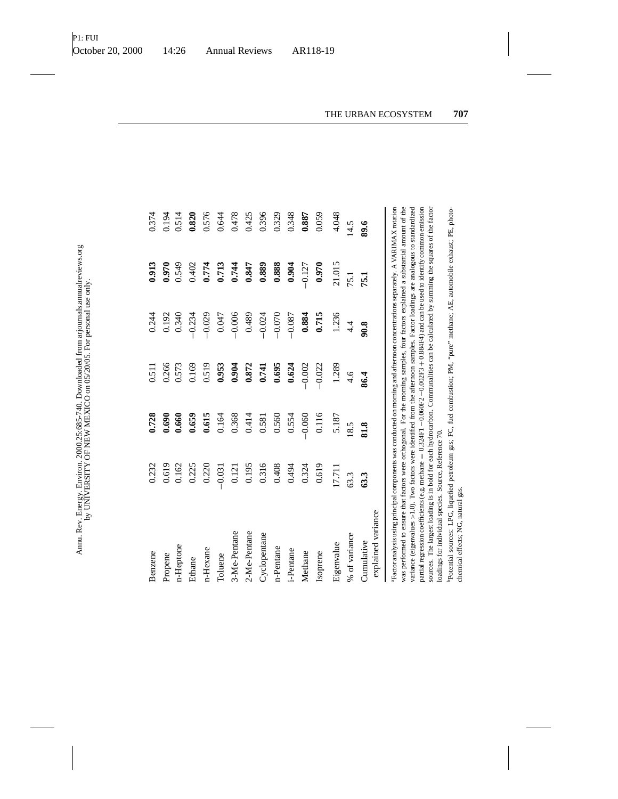| aluan casher<br>as alsultures unut<br>$\sim$ and $\sim$<br>w. INTURPOITY OR NEW MEXICO on 05/2005 For person-<br>$\frac{1}{2}$<br>$\sim$ 2000 25:685-740. Downloaded $\cdots$<br>$\cdots$ . The value of $\sim$<br>$\cdots$ $\cdots$<br>zav Eners | , |
|---------------------------------------------------------------------------------------------------------------------------------------------------------------------------------------------------------------------------------------------------|---|
|                                                                                                                                                                                                                                                   |   |
|                                                                                                                                                                                                                                                   |   |

| Benzene                                                                                                                                                                                                                                                                           | 0.232    | 0.728    | 0.511    | 0.244    | 0.913    | 0.374 |
|-----------------------------------------------------------------------------------------------------------------------------------------------------------------------------------------------------------------------------------------------------------------------------------|----------|----------|----------|----------|----------|-------|
| Propene                                                                                                                                                                                                                                                                           | 0.619    | 0.690    | 0.266    | 0.192    | 0.970    | 0.194 |
| n-Heptone                                                                                                                                                                                                                                                                         | 0.162    | 0.660    | 0.573    | 0.340    | 0.549    | 0.514 |
| Ethane                                                                                                                                                                                                                                                                            | 0.225    | 0.659    | 0.169    | $-0.234$ | 0.402    | 0.820 |
| n-Hexane                                                                                                                                                                                                                                                                          | 0.220    | 0.615    | 0.519    | $-0.029$ | 0.774    | 0.576 |
| Toluene                                                                                                                                                                                                                                                                           | $-0.031$ | 0.164    | 0.953    | 0.047    | 0.713    | 0.644 |
| 3-Me-Pentane                                                                                                                                                                                                                                                                      | 0.121    | 0.368    | 0.904    | $-0.006$ | 0.744    | 0.478 |
| 2-Me-Pentane                                                                                                                                                                                                                                                                      | 0.195    | 0.414    | 0.872    | 0.489    | 0.847    | 0.425 |
| Cyclopentane                                                                                                                                                                                                                                                                      | 0.316    | 0.581    | 0.741    | $-0.024$ | 0.889    | 0.396 |
| n-Pentane                                                                                                                                                                                                                                                                         | 0.408    | 0.560    | 0.695    | $-0.070$ | 0.888    | 0.329 |
| i-Pentane                                                                                                                                                                                                                                                                         | 0.494    | 0.554    | 0.624    | $-0.087$ | 0.904    | 0.348 |
| Methane                                                                                                                                                                                                                                                                           | 0.324    | $-0.060$ | $-0.002$ | 0.884    | $-0.127$ | 0.887 |
| Isoprene                                                                                                                                                                                                                                                                          | 0.619    | 0.116    | $-0.022$ | 0.715    | 0.970    | 0.059 |
| Eigenvalue                                                                                                                                                                                                                                                                        | 17.711   | 5.187    | 1.289    | 1.236    | 21.015   | 4.048 |
| % of variance                                                                                                                                                                                                                                                                     | 63.3     | 18.5     | 4.6      | 4.4      | 75.1     | 14.5  |
| explained variance<br>Cumulative                                                                                                                                                                                                                                                  | 63.3     | 81.8     | 86.4     | 90.8     | 75.1     | 89.6  |
| was performed to ensure that factors were orthogonal. For the morning samples, four factors explained a substantial amount of the<br><sup>ap</sup> actor analysis using principal components was conducted on morning and afternoon concentrations separately. A VARIMAX rotation |          |          |          |          |          |       |

variance (eigenvalues >1.0). Two factors were identified from the afternoon samples. Factor loadings are analogous to standardized partial regression coefficients (e.g. methane = 0.324F1 -0.060F2 -0.002F3 + 0.884F4) and can be used to identify common emission sources. The largest loading is in bold for each hydrocarbon. Communalities can be calculated by summing the squares of the factor was performed to ensure that factors were orthogonal. For the morning samples, four factors explained a substantial amount of the variance (eigenvalues >1.0). Two factors were identified from the afternoon samples. Factor loadings are analogous to standardized partial regression coefficients (e.g. methane = 0.324F1 −0.060F2 −0.002F3 + 0.884F4) and can be used to identify common emission sources. The largest loading is in bold for each hydrocarbon. Communalities can be calculated by summing the squares of the factor loadings for individual species. Source, Reference 70. loadings for individual species. Source, Reference 70.

Potential sources: LPG, liquefied petroleum gas; FC, fuel combustion; PM, "pure" methane; AE, automobile exhaust; PE, photobPotential sources: LPG, liquefied petroleum gas; FC, fuel combustion; PM, "pure" methane; AE, automobile exhaust; PE, photochemical effects; NG, natural gas. chemical effects; NG, natural gas.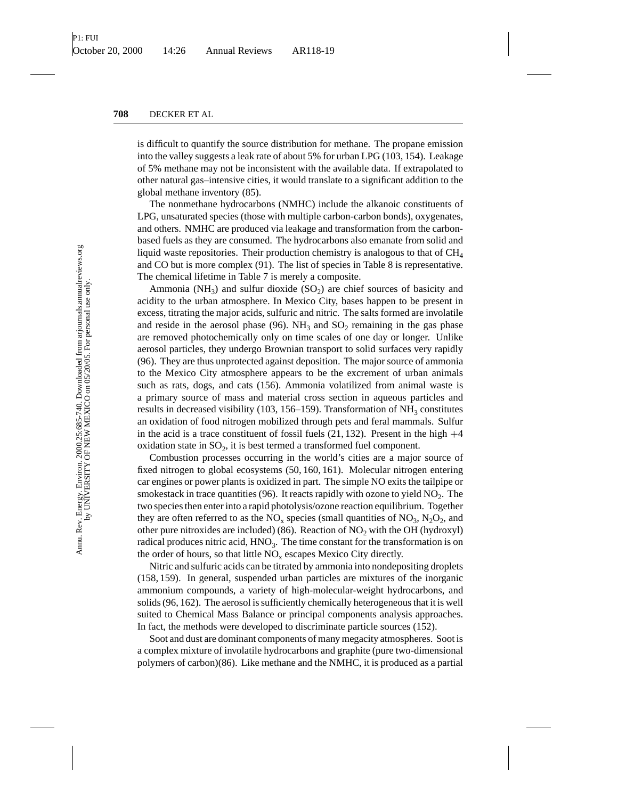is difficult to quantify the source distribution for methane. The propane emission into the valley suggests a leak rate of about 5% for urban LPG (103, 154). Leakage of 5% methane may not be inconsistent with the available data. If extrapolated to other natural gas–intensive cities, it would translate to a significant addition to the global methane inventory (85).

The nonmethane hydrocarbons (NMHC) include the alkanoic constituents of LPG, unsaturated species (those with multiple carbon-carbon bonds), oxygenates, and others. NMHC are produced via leakage and transformation from the carbonbased fuels as they are consumed. The hydrocarbons also emanate from solid and liquid waste repositories. Their production chemistry is analogous to that of  $CH<sub>4</sub>$ and CO but is more complex (91). The list of species in Table 8 is representative. The chemical lifetime in Table 7 is merely a composite.

Ammonia (NH<sub>3</sub>) and sulfur dioxide (SO<sub>2</sub>) are chief sources of basicity and acidity to the urban atmosphere. In Mexico City, bases happen to be present in excess, titrating the major acids, sulfuric and nitric. The salts formed are involatile and reside in the aerosol phase (96).  $NH_3$  and  $SO_2$  remaining in the gas phase are removed photochemically only on time scales of one day or longer. Unlike aerosol particles, they undergo Brownian transport to solid surfaces very rapidly (96). They are thus unprotected against deposition. The major source of ammonia to the Mexico City atmosphere appears to be the excrement of urban animals such as rats, dogs, and cats (156). Ammonia volatilized from animal waste is a primary source of mass and material cross section in aqueous particles and results in decreased visibility (103, 156–159). Transformation of  $NH<sub>3</sub>$  constitutes an oxidation of food nitrogen mobilized through pets and feral mammals. Sulfur in the acid is a trace constituent of fossil fuels  $(21, 132)$ . Present in the high  $+4$ oxidation state in  $SO_2$ , it is best termed a transformed fuel component.

Combustion processes occurring in the world's cities are a major source of fixed nitrogen to global ecosystems (50, 160, 161). Molecular nitrogen entering car engines or power plants is oxidized in part. The simple NO exits the tailpipe or smokestack in trace quantities (96). It reacts rapidly with ozone to yield  $NO<sub>2</sub>$ . The two species then enter into a rapid photolysis/ozone reaction equilibrium. Together they are often referred to as the  $NO<sub>x</sub>$  species (small quantities of  $NO<sub>3</sub>$ ,  $N<sub>2</sub>O<sub>2</sub>$ , and other pure nitroxides are included) (86). Reaction of  $NO<sub>2</sub>$  with the OH (hydroxyl) radical produces nitric acid,  $HNO<sub>3</sub>$ . The time constant for the transformation is on the order of hours, so that little  $NO<sub>x</sub>$  escapes Mexico City directly.

Nitric and sulfuric acids can be titrated by ammonia into nondepositing droplets (158, 159). In general, suspended urban particles are mixtures of the inorganic ammonium compounds, a variety of high-molecular-weight hydrocarbons, and solids (96, 162). The aerosol is sufficiently chemically heterogeneous that it is well suited to Chemical Mass Balance or principal components analysis approaches. In fact, the methods were developed to discriminate particle sources (152).

Soot and dust are dominant components of many megacity atmospheres. Soot is a complex mixture of involatile hydrocarbons and graphite (pure two-dimensional polymers of carbon)(86). Like methane and the NMHC, it is produced as a partial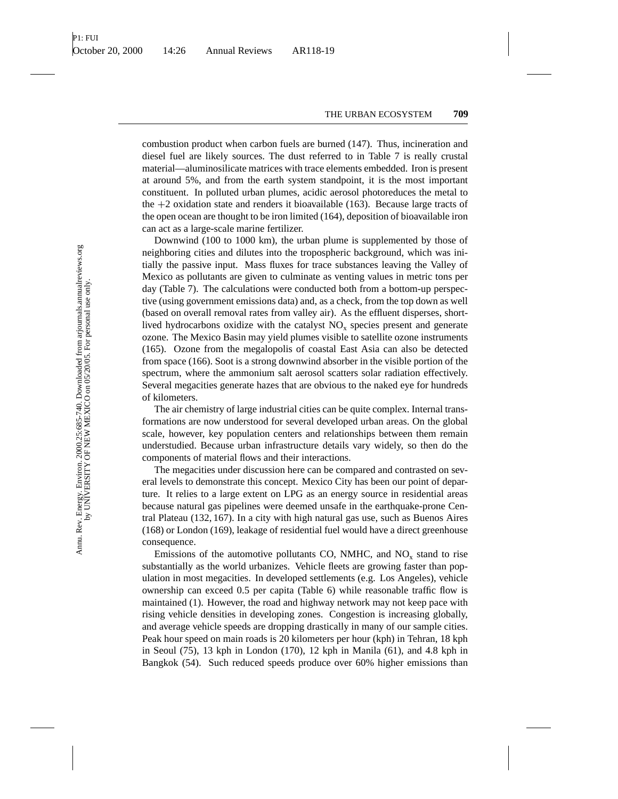combustion product when carbon fuels are burned (147). Thus, incineration and diesel fuel are likely sources. The dust referred to in Table 7 is really crustal material—aluminosilicate matrices with trace elements embedded. Iron is present at around 5%, and from the earth system standpoint, it is the most important constituent. In polluted urban plumes, acidic aerosol photoreduces the metal to the  $+2$  oxidation state and renders it bioavailable (163). Because large tracts of the open ocean are thought to be iron limited (164), deposition of bioavailable iron can act as a large-scale marine fertilizer.

Downwind (100 to 1000 km), the urban plume is supplemented by those of neighboring cities and dilutes into the tropospheric background, which was initially the passive input. Mass fluxes for trace substances leaving the Valley of Mexico as pollutants are given to culminate as venting values in metric tons per day (Table 7). The calculations were conducted both from a bottom-up perspective (using government emissions data) and, as a check, from the top down as well (based on overall removal rates from valley air). As the effluent disperses, shortlived hydrocarbons oxidize with the catalyst  $NO<sub>x</sub>$  species present and generate ozone. The Mexico Basin may yield plumes visible to satellite ozone instruments (165). Ozone from the megalopolis of coastal East Asia can also be detected from space (166). Soot is a strong downwind absorber in the visible portion of the spectrum, where the ammonium salt aerosol scatters solar radiation effectively. Several megacities generate hazes that are obvious to the naked eye for hundreds of kilometers.

The air chemistry of large industrial cities can be quite complex. Internal transformations are now understood for several developed urban areas. On the global scale, however, key population centers and relationships between them remain understudied. Because urban infrastructure details vary widely, so then do the components of material flows and their interactions.

The megacities under discussion here can be compared and contrasted on several levels to demonstrate this concept. Mexico City has been our point of departure. It relies to a large extent on LPG as an energy source in residential areas because natural gas pipelines were deemed unsafe in the earthquake-prone Central Plateau (132, 167). In a city with high natural gas use, such as Buenos Aires (168) or London (169), leakage of residential fuel would have a direct greenhouse consequence.

Emissions of the automotive pollutants CO, NMHC, and  $NO<sub>x</sub>$  stand to rise substantially as the world urbanizes. Vehicle fleets are growing faster than population in most megacities. In developed settlements (e.g. Los Angeles), vehicle ownership can exceed 0.5 per capita (Table 6) while reasonable traffic flow is maintained (1). However, the road and highway network may not keep pace with rising vehicle densities in developing zones. Congestion is increasing globally, and average vehicle speeds are dropping drastically in many of our sample cities. Peak hour speed on main roads is 20 kilometers per hour (kph) in Tehran, 18 kph in Seoul (75), 13 kph in London (170), 12 kph in Manila (61), and 4.8 kph in Bangkok (54). Such reduced speeds produce over 60% higher emissions than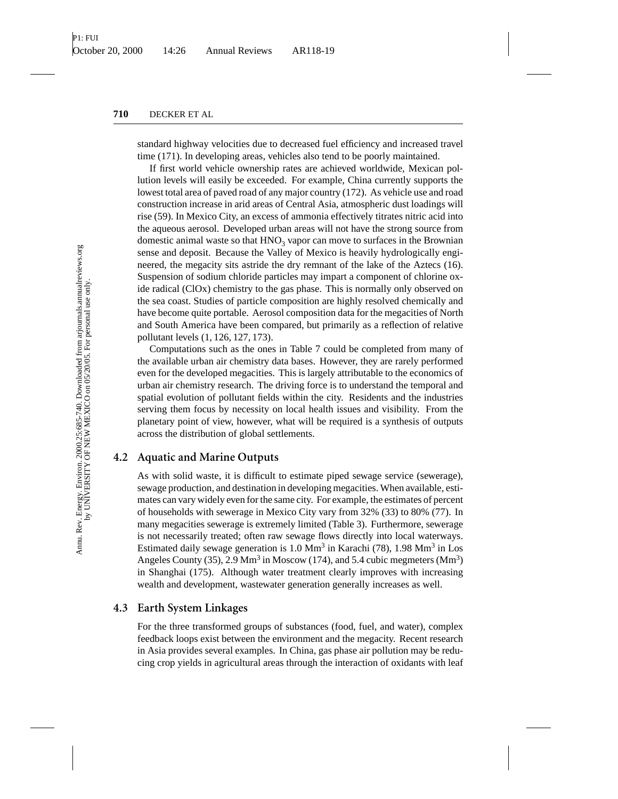standard highway velocities due to decreased fuel efficiency and increased travel time (171). In developing areas, vehicles also tend to be poorly maintained.

If first world vehicle ownership rates are achieved worldwide, Mexican pollution levels will easily be exceeded. For example, China currently supports the lowest total area of paved road of any major country (172). As vehicle use and road construction increase in arid areas of Central Asia, atmospheric dust loadings will rise (59). In Mexico City, an excess of ammonia effectively titrates nitric acid into the aqueous aerosol. Developed urban areas will not have the strong source from domestic animal waste so that  $HNO<sub>3</sub>$  vapor can move to surfaces in the Brownian sense and deposit. Because the Valley of Mexico is heavily hydrologically engineered, the megacity sits astride the dry remnant of the lake of the Aztecs (16). Suspension of sodium chloride particles may impart a component of chlorine oxide radical (ClOx) chemistry to the gas phase. This is normally only observed on the sea coast. Studies of particle composition are highly resolved chemically and have become quite portable. Aerosol composition data for the megacities of North and South America have been compared, but primarily as a reflection of relative pollutant levels (1, 126, 127, 173).

Computations such as the ones in Table 7 could be completed from many of the available urban air chemistry data bases. However, they are rarely performed even for the developed megacities. This is largely attributable to the economics of urban air chemistry research. The driving force is to understand the temporal and spatial evolution of pollutant fields within the city. Residents and the industries serving them focus by necessity on local health issues and visibility. From the planetary point of view, however, what will be required is a synthesis of outputs across the distribution of global settlements.

#### **4.2 Aquatic and Marine Outputs**

As with solid waste, it is difficult to estimate piped sewage service (sewerage), sewage production, and destination in developing megacities. When available, estimates can vary widely even for the same city. For example, the estimates of percent of households with sewerage in Mexico City vary from 32% (33) to 80% (77). In many megacities sewerage is extremely limited (Table 3). Furthermore, sewerage is not necessarily treated; often raw sewage flows directly into local waterways. Estimated daily sewage generation is 1.0 Mm3 in Karachi (78), 1.98 Mm3 in Los Angeles County (35), 2.9 Mm<sup>3</sup> in Moscow (174), and 5.4 cubic megmeters (Mm<sup>3</sup>) in Shanghai (175). Although water treatment clearly improves with increasing wealth and development, wastewater generation generally increases as well.

### **4.3 Earth System Linkages**

For the three transformed groups of substances (food, fuel, and water), complex feedback loops exist between the environment and the megacity. Recent research in Asia provides several examples. In China, gas phase air pollution may be reducing crop yields in agricultural areas through the interaction of oxidants with leaf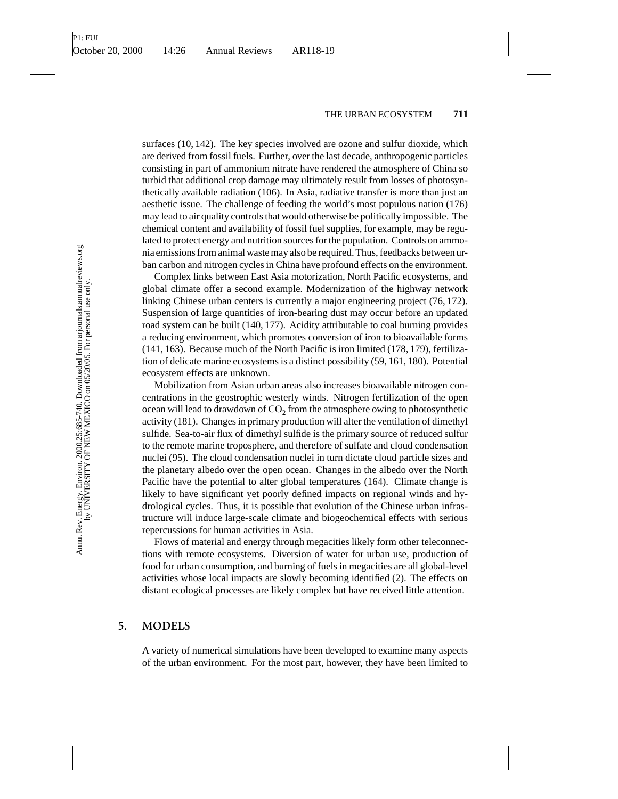surfaces (10, 142). The key species involved are ozone and sulfur dioxide, which are derived from fossil fuels. Further, over the last decade, anthropogenic particles consisting in part of ammonium nitrate have rendered the atmosphere of China so turbid that additional crop damage may ultimately result from losses of photosynthetically available radiation (106). In Asia, radiative transfer is more than just an aesthetic issue. The challenge of feeding the world's most populous nation (176) may lead to air quality controls that would otherwise be politically impossible. The chemical content and availability of fossil fuel supplies, for example, may be regulated to protect energy and nutrition sources for the population. Controls on ammonia emissions from animal waste may also be required. Thus, feedbacks between urban carbon and nitrogen cycles in China have profound effects on the environment.

Complex links between East Asia motorization, North Pacific ecosystems, and global climate offer a second example. Modernization of the highway network linking Chinese urban centers is currently a major engineering project (76, 172). Suspension of large quantities of iron-bearing dust may occur before an updated road system can be built (140, 177). Acidity attributable to coal burning provides a reducing environment, which promotes conversion of iron to bioavailable forms (141, 163). Because much of the North Pacific is iron limited (178, 179), fertilization of delicate marine ecosystems is a distinct possibility (59, 161, 180). Potential ecosystem effects are unknown.

Mobilization from Asian urban areas also increases bioavailable nitrogen concentrations in the geostrophic westerly winds. Nitrogen fertilization of the open ocean will lead to drawdown of  $CO<sub>2</sub>$  from the atmosphere owing to photosynthetic activity (181). Changes in primary production will alter the ventilation of dimethyl sulfide. Sea-to-air flux of dimethyl sulfide is the primary source of reduced sulfur to the remote marine troposphere, and therefore of sulfate and cloud condensation nuclei (95). The cloud condensation nuclei in turn dictate cloud particle sizes and the planetary albedo over the open ocean. Changes in the albedo over the North Pacific have the potential to alter global temperatures (164). Climate change is likely to have significant yet poorly defined impacts on regional winds and hydrological cycles. Thus, it is possible that evolution of the Chinese urban infrastructure will induce large-scale climate and biogeochemical effects with serious repercussions for human activities in Asia.

Flows of material and energy through megacities likely form other teleconnections with remote ecosystems. Diversion of water for urban use, production of food for urban consumption, and burning of fuels in megacities are all global-level activities whose local impacts are slowly becoming identified (2). The effects on distant ecological processes are likely complex but have received little attention.

#### **5. MODELS**

A variety of numerical simulations have been developed to examine many aspects of the urban environment. For the most part, however, they have been limited to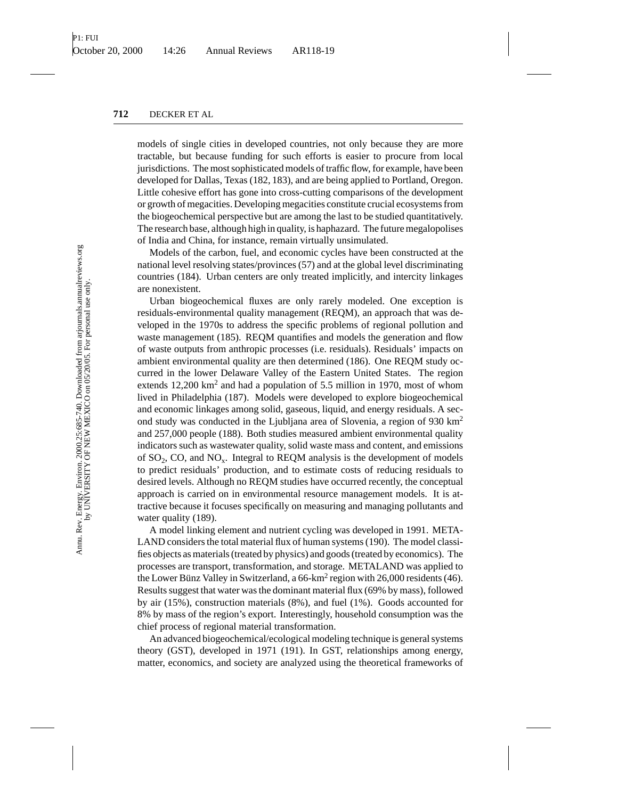models of single cities in developed countries, not only because they are more tractable, but because funding for such efforts is easier to procure from local jurisdictions. The most sophisticated models of traffic flow, for example, have been developed for Dallas, Texas (182, 183), and are being applied to Portland, Oregon. Little cohesive effort has gone into cross-cutting comparisons of the development or growth of megacities. Developing megacities constitute crucial ecosystems from the biogeochemical perspective but are among the last to be studied quantitatively. The research base, although high in quality, is haphazard. The future megalopolises of India and China, for instance, remain virtually unsimulated.

Models of the carbon, fuel, and economic cycles have been constructed at the national level resolving states/provinces (57) and at the global level discriminating countries (184). Urban centers are only treated implicitly, and intercity linkages are nonexistent.

Urban biogeochemical fluxes are only rarely modeled. One exception is residuals-environmental quality management (REQM), an approach that was developed in the 1970s to address the specific problems of regional pollution and waste management (185). REQM quantifies and models the generation and flow of waste outputs from anthropic processes (i.e. residuals). Residuals' impacts on ambient environmental quality are then determined (186). One REQM study occurred in the lower Delaware Valley of the Eastern United States. The region extends 12,200  $km^2$  and had a population of 5.5 million in 1970, most of whom lived in Philadelphia (187). Models were developed to explore biogeochemical and economic linkages among solid, gaseous, liquid, and energy residuals. A second study was conducted in the Ljubljana area of Slovenia, a region of 930 km2 and 257,000 people (188). Both studies measured ambient environmental quality indicators such as wastewater quality, solid waste mass and content, and emissions of  $SO_2$ , CO, and  $NO_x$ . Integral to REQM analysis is the development of models to predict residuals' production, and to estimate costs of reducing residuals to desired levels. Although no REQM studies have occurred recently, the conceptual approach is carried on in environmental resource management models. It is attractive because it focuses specifically on measuring and managing pollutants and water quality (189).

A model linking element and nutrient cycling was developed in 1991. META-LAND considers the total material flux of human systems (190). The model classifies objects as materials (treated by physics) and goods (treated by economics). The processes are transport, transformation, and storage. METALAND was applied to the Lower Bünz Valley in Switzerland, a  $66\text{-}km^2$  region with  $26,000$  residents (46). Results suggest that water was the dominant material flux (69% by mass), followed by air (15%), construction materials (8%), and fuel (1%). Goods accounted for 8% by mass of the region's export. Interestingly, household consumption was the chief process of regional material transformation.

An advanced biogeochemical/ecological modeling technique is general systems theory (GST), developed in 1971 (191). In GST, relationships among energy, matter, economics, and society are analyzed using the theoretical frameworks of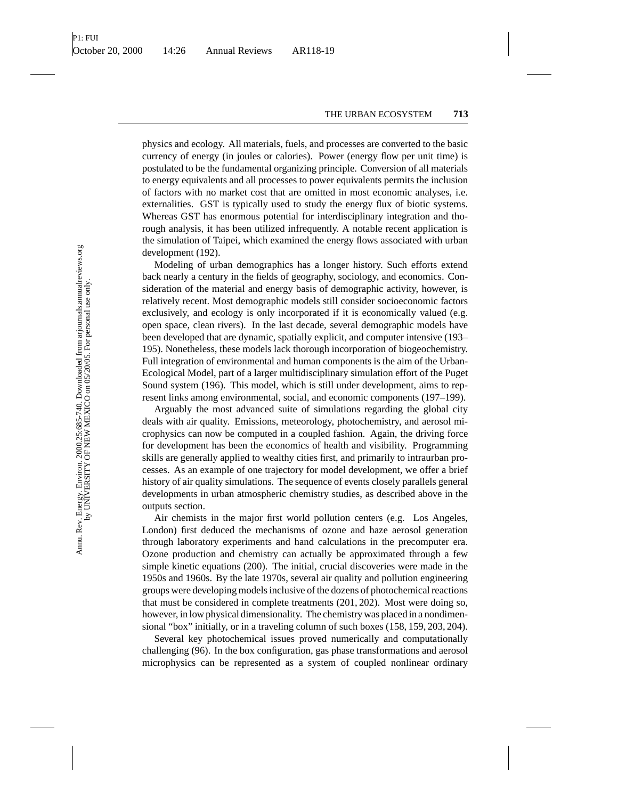physics and ecology. All materials, fuels, and processes are converted to the basic currency of energy (in joules or calories). Power (energy flow per unit time) is postulated to be the fundamental organizing principle. Conversion of all materials to energy equivalents and all processes to power equivalents permits the inclusion of factors with no market cost that are omitted in most economic analyses, i.e. externalities. GST is typically used to study the energy flux of biotic systems. Whereas GST has enormous potential for interdisciplinary integration and thorough analysis, it has been utilized infrequently. A notable recent application is the simulation of Taipei, which examined the energy flows associated with urban development (192).

Modeling of urban demographics has a longer history. Such efforts extend back nearly a century in the fields of geography, sociology, and economics. Consideration of the material and energy basis of demographic activity, however, is relatively recent. Most demographic models still consider socioeconomic factors exclusively, and ecology is only incorporated if it is economically valued (e.g. open space, clean rivers). In the last decade, several demographic models have been developed that are dynamic, spatially explicit, and computer intensive (193– 195). Nonetheless, these models lack thorough incorporation of biogeochemistry. Full integration of environmental and human components is the aim of the Urban-Ecological Model, part of a larger multidisciplinary simulation effort of the Puget Sound system (196). This model, which is still under development, aims to represent links among environmental, social, and economic components (197–199).

Arguably the most advanced suite of simulations regarding the global city deals with air quality. Emissions, meteorology, photochemistry, and aerosol microphysics can now be computed in a coupled fashion. Again, the driving force for development has been the economics of health and visibility. Programming skills are generally applied to wealthy cities first, and primarily to intraurban processes. As an example of one trajectory for model development, we offer a brief history of air quality simulations. The sequence of events closely parallels general developments in urban atmospheric chemistry studies, as described above in the outputs section.

Air chemists in the major first world pollution centers (e.g. Los Angeles, London) first deduced the mechanisms of ozone and haze aerosol generation through laboratory experiments and hand calculations in the precomputer era. Ozone production and chemistry can actually be approximated through a few simple kinetic equations (200). The initial, crucial discoveries were made in the 1950s and 1960s. By the late 1970s, several air quality and pollution engineering groups were developing models inclusive of the dozens of photochemical reactions that must be considered in complete treatments (201, 202). Most were doing so, however, in low physical dimensionality. The chemistry was placed in a nondimensional "box" initially, or in a traveling column of such boxes (158, 159, 203, 204).

Several key photochemical issues proved numerically and computationally challenging (96). In the box configuration, gas phase transformations and aerosol microphysics can be represented as a system of coupled nonlinear ordinary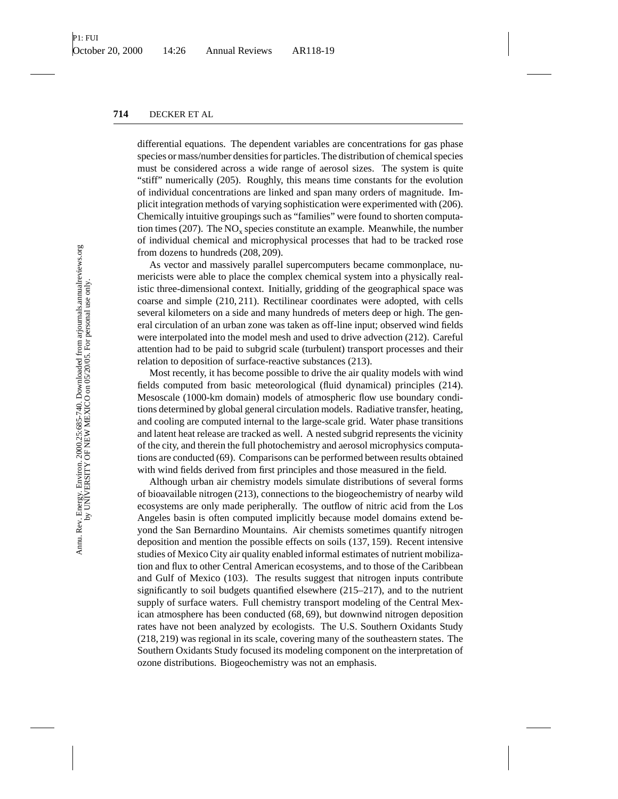differential equations. The dependent variables are concentrations for gas phase species or mass/number densities for particles. The distribution of chemical species must be considered across a wide range of aerosol sizes. The system is quite "stiff" numerically (205). Roughly, this means time constants for the evolution of individual concentrations are linked and span many orders of magnitude. Implicit integration methods of varying sophistication were experimented with (206). Chemically intuitive groupings such as "families" were found to shorten computation times (207). The  $NO<sub>x</sub>$  species constitute an example. Meanwhile, the number of individual chemical and microphysical processes that had to be tracked rose from dozens to hundreds (208, 209).

As vector and massively parallel supercomputers became commonplace, numericists were able to place the complex chemical system into a physically realistic three-dimensional context. Initially, gridding of the geographical space was coarse and simple (210, 211). Rectilinear coordinates were adopted, with cells several kilometers on a side and many hundreds of meters deep or high. The general circulation of an urban zone was taken as off-line input; observed wind fields were interpolated into the model mesh and used to drive advection (212). Careful attention had to be paid to subgrid scale (turbulent) transport processes and their relation to deposition of surface-reactive substances (213).

Most recently, it has become possible to drive the air quality models with wind fields computed from basic meteorological (fluid dynamical) principles (214). Mesoscale (1000-km domain) models of atmospheric flow use boundary conditions determined by global general circulation models. Radiative transfer, heating, and cooling are computed internal to the large-scale grid. Water phase transitions and latent heat release are tracked as well. A nested subgrid represents the vicinity of the city, and therein the full photochemistry and aerosol microphysics computations are conducted (69). Comparisons can be performed between results obtained with wind fields derived from first principles and those measured in the field.

Although urban air chemistry models simulate distributions of several forms of bioavailable nitrogen (213), connections to the biogeochemistry of nearby wild ecosystems are only made peripherally. The outflow of nitric acid from the Los Angeles basin is often computed implicitly because model domains extend beyond the San Bernardino Mountains. Air chemists sometimes quantify nitrogen deposition and mention the possible effects on soils (137, 159). Recent intensive studies of Mexico City air quality enabled informal estimates of nutrient mobilization and flux to other Central American ecosystems, and to those of the Caribbean and Gulf of Mexico (103). The results suggest that nitrogen inputs contribute significantly to soil budgets quantified elsewhere (215–217), and to the nutrient supply of surface waters. Full chemistry transport modeling of the Central Mexican atmosphere has been conducted (68, 69), but downwind nitrogen deposition rates have not been analyzed by ecologists. The U.S. Southern Oxidants Study (218, 219) was regional in its scale, covering many of the southeastern states. The Southern Oxidants Study focused its modeling component on the interpretation of ozone distributions. Biogeochemistry was not an emphasis.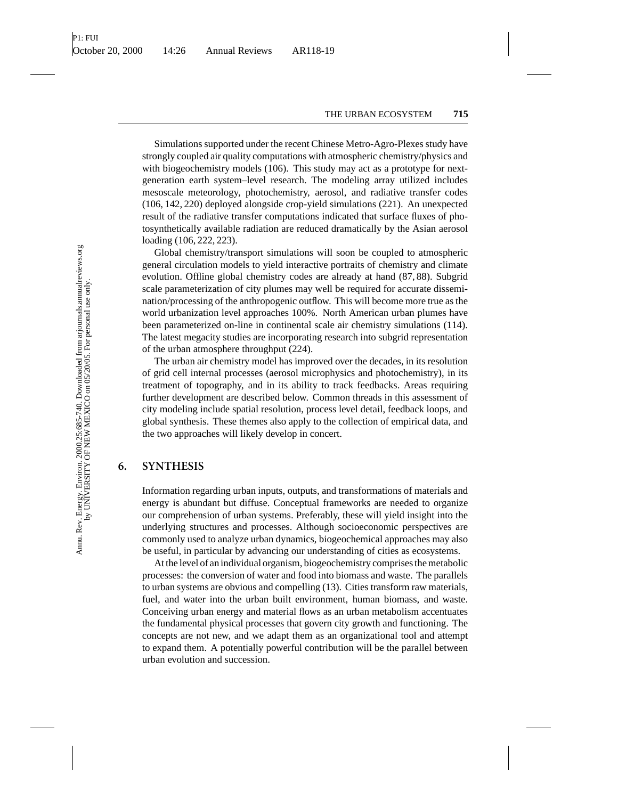Simulations supported under the recent Chinese Metro-Agro-Plexes study have strongly coupled air quality computations with atmospheric chemistry/physics and with biogeochemistry models (106). This study may act as a prototype for nextgeneration earth system–level research. The modeling array utilized includes mesoscale meteorology, photochemistry, aerosol, and radiative transfer codes (106, 142, 220) deployed alongside crop-yield simulations (221). An unexpected result of the radiative transfer computations indicated that surface fluxes of photosynthetically available radiation are reduced dramatically by the Asian aerosol loading (106, 222, 223).

Global chemistry/transport simulations will soon be coupled to atmospheric general circulation models to yield interactive portraits of chemistry and climate evolution. Offline global chemistry codes are already at hand (87, 88). Subgrid scale parameterization of city plumes may well be required for accurate dissemination/processing of the anthropogenic outflow. This will become more true as the world urbanization level approaches 100%. North American urban plumes have been parameterized on-line in continental scale air chemistry simulations (114). The latest megacity studies are incorporating research into subgrid representation of the urban atmosphere throughput (224).

The urban air chemistry model has improved over the decades, in its resolution of grid cell internal processes (aerosol microphysics and photochemistry), in its treatment of topography, and in its ability to track feedbacks. Areas requiring further development are described below. Common threads in this assessment of city modeling include spatial resolution, process level detail, feedback loops, and global synthesis. These themes also apply to the collection of empirical data, and the two approaches will likely develop in concert.

### **6. SYNTHESIS**

Information regarding urban inputs, outputs, and transformations of materials and energy is abundant but diffuse. Conceptual frameworks are needed to organize our comprehension of urban systems. Preferably, these will yield insight into the underlying structures and processes. Although socioeconomic perspectives are commonly used to analyze urban dynamics, biogeochemical approaches may also be useful, in particular by advancing our understanding of cities as ecosystems.

At the level of an individual organism, biogeochemistry comprises the metabolic processes: the conversion of water and food into biomass and waste. The parallels to urban systems are obvious and compelling (13). Cities transform raw materials, fuel, and water into the urban built environment, human biomass, and waste. Conceiving urban energy and material flows as an urban metabolism accentuates the fundamental physical processes that govern city growth and functioning. The concepts are not new, and we adapt them as an organizational tool and attempt to expand them. A potentially powerful contribution will be the parallel between urban evolution and succession.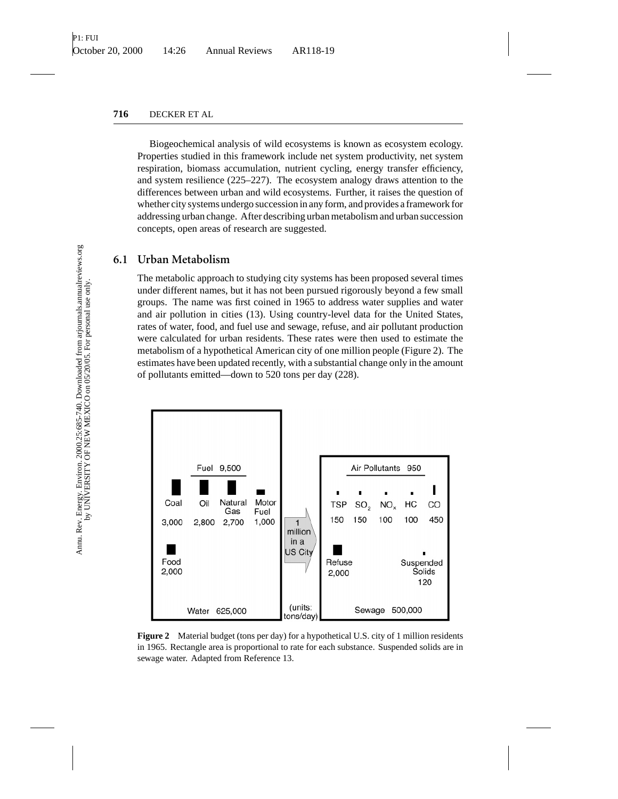Biogeochemical analysis of wild ecosystems is known as ecosystem ecology. Properties studied in this framework include net system productivity, net system respiration, biomass accumulation, nutrient cycling, energy transfer efficiency, and system resilience (225–227). The ecosystem analogy draws attention to the differences between urban and wild ecosystems. Further, it raises the question of whether city systems undergo succession in any form, and provides a framework for addressing urban change. After describing urban metabolism and urban succession concepts, open areas of research are suggested.

#### **6.1 Urban Metabolism**

The metabolic approach to studying city systems has been proposed several times under different names, but it has not been pursued rigorously beyond a few small groups. The name was first coined in 1965 to address water supplies and water and air pollution in cities (13). Using country-level data for the United States, rates of water, food, and fuel use and sewage, refuse, and air pollutant production were calculated for urban residents. These rates were then used to estimate the metabolism of a hypothetical American city of one million people (Figure 2). The estimates have been updated recently, with a substantial change only in the amount of pollutants emitted—down to 520 tons per day (228).



**Figure 2** Material budget (tons per day) for a hypothetical U.S. city of 1 million residents in 1965. Rectangle area is proportional to rate for each substance. Suspended solids are in sewage water. Adapted from Reference 13.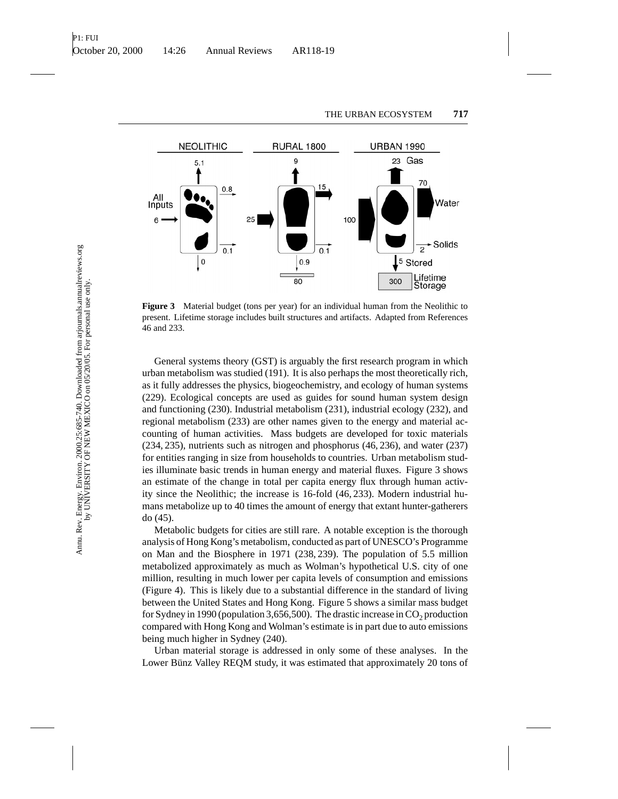

**Figure 3** Material budget (tons per year) for an individual human from the Neolithic to present. Lifetime storage includes built structures and artifacts. Adapted from References 46 and 233.

General systems theory (GST) is arguably the first research program in which urban metabolism was studied (191). It is also perhaps the most theoretically rich, as it fully addresses the physics, biogeochemistry, and ecology of human systems (229). Ecological concepts are used as guides for sound human system design and functioning (230). Industrial metabolism (231), industrial ecology (232), and regional metabolism (233) are other names given to the energy and material accounting of human activities. Mass budgets are developed for toxic materials (234, 235), nutrients such as nitrogen and phosphorus (46, 236), and water (237) for entities ranging in size from households to countries. Urban metabolism studies illuminate basic trends in human energy and material fluxes. Figure 3 shows an estimate of the change in total per capita energy flux through human activity since the Neolithic; the increase is 16-fold (46, 233). Modern industrial humans metabolize up to 40 times the amount of energy that extant hunter-gatherers do (45).

Metabolic budgets for cities are still rare. A notable exception is the thorough analysis of Hong Kong's metabolism, conducted as part of UNESCO's Programme on Man and the Biosphere in 1971 (238, 239). The population of 5.5 million metabolized approximately as much as Wolman's hypothetical U.S. city of one million, resulting in much lower per capita levels of consumption and emissions (Figure 4). This is likely due to a substantial difference in the standard of living between the United States and Hong Kong. Figure 5 shows a similar mass budget for Sydney in 1990 (population 3,656,500). The drastic increase in  $CO<sub>2</sub>$  production compared with Hong Kong and Wolman's estimate is in part due to auto emissions being much higher in Sydney (240).

Urban material storage is addressed in only some of these analyses. In the Lower Bünz Valley REQM study, it was estimated that approximately 20 tons of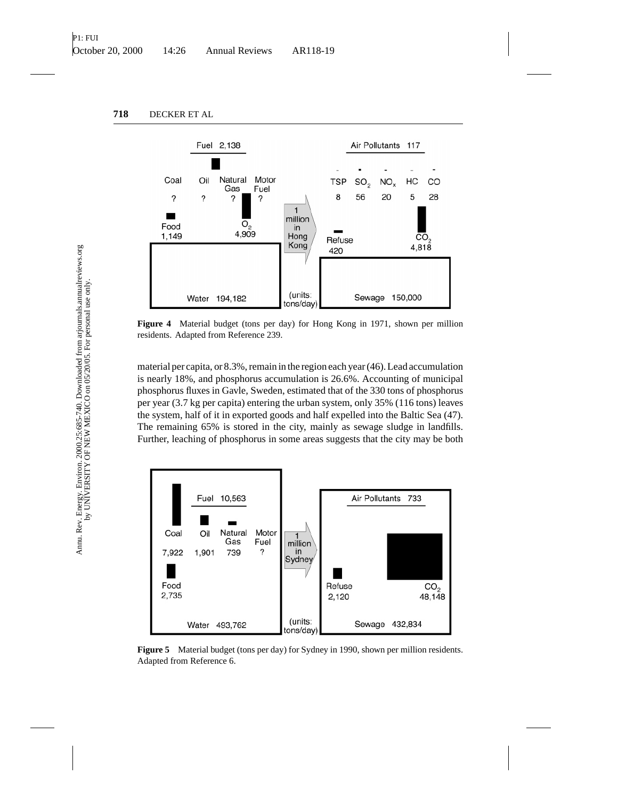

**Figure 4** Material budget (tons per day) for Hong Kong in 1971, shown per million residents. Adapted from Reference 239.

material per capita, or 8.3%, remain in the region each year (46). Lead accumulation is nearly 18%, and phosphorus accumulation is 26.6%. Accounting of municipal phosphorus fluxes in Gavle, Sweden, estimated that of the 330 tons of phosphorus per year (3.7 kg per capita) entering the urban system, only 35% (116 tons) leaves the system, half of it in exported goods and half expelled into the Baltic Sea (47). The remaining 65% is stored in the city, mainly as sewage sludge in landfills. Further, leaching of phosphorus in some areas suggests that the city may be both



**Figure 5** Material budget (tons per day) for Sydney in 1990, shown per million residents. Adapted from Reference 6.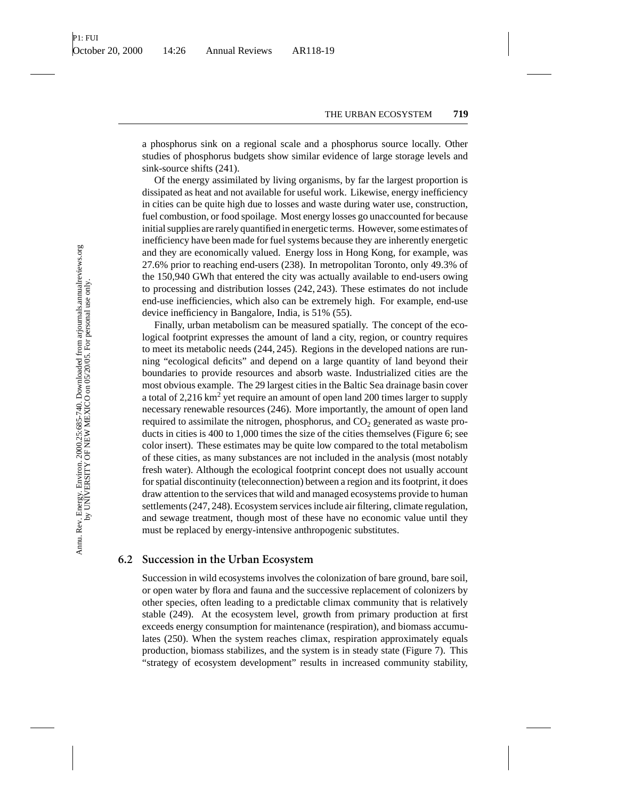a phosphorus sink on a regional scale and a phosphorus source locally. Other studies of phosphorus budgets show similar evidence of large storage levels and sink-source shifts (241).

Of the energy assimilated by living organisms, by far the largest proportion is dissipated as heat and not available for useful work. Likewise, energy inefficiency in cities can be quite high due to losses and waste during water use, construction, fuel combustion, or food spoilage. Most energy losses go unaccounted for because initial supplies are rarely quantified in energetic terms. However, some estimates of inefficiency have been made for fuel systems because they are inherently energetic and they are economically valued. Energy loss in Hong Kong, for example, was 27.6% prior to reaching end-users (238). In metropolitan Toronto, only 49.3% of the 150,940 GWh that entered the city was actually available to end-users owing to processing and distribution losses (242, 243). These estimates do not include end-use inefficiencies, which also can be extremely high. For example, end-use device inefficiency in Bangalore, India, is 51% (55).

Finally, urban metabolism can be measured spatially. The concept of the ecological footprint expresses the amount of land a city, region, or country requires to meet its metabolic needs (244, 245). Regions in the developed nations are running "ecological deficits" and depend on a large quantity of land beyond their boundaries to provide resources and absorb waste. Industrialized cities are the most obvious example. The 29 largest cities in the Baltic Sea drainage basin cover a total of 2,216 km<sup>2</sup> yet require an amount of open land 200 times larger to supply necessary renewable resources (246). More importantly, the amount of open land required to assimilate the nitrogen, phosphorus, and  $CO<sub>2</sub>$  generated as waste products in cities is 400 to 1,000 times the size of the cities themselves (Figure 6; see color insert). These estimates may be quite low compared to the total metabolism of these cities, as many substances are not included in the analysis (most notably fresh water). Although the ecological footprint concept does not usually account for spatial discontinuity (teleconnection) between a region and its footprint, it does draw attention to the services that wild and managed ecosystems provide to human settlements (247, 248). Ecosystem services include air filtering, climate regulation, and sewage treatment, though most of these have no economic value until they must be replaced by energy-intensive anthropogenic substitutes.

## **6.2 Succession in the Urban Ecosystem**

Succession in wild ecosystems involves the colonization of bare ground, bare soil, or open water by flora and fauna and the successive replacement of colonizers by other species, often leading to a predictable climax community that is relatively stable (249). At the ecosystem level, growth from primary production at first exceeds energy consumption for maintenance (respiration), and biomass accumulates (250). When the system reaches climax, respiration approximately equals production, biomass stabilizes, and the system is in steady state (Figure 7). This "strategy of ecosystem development" results in increased community stability,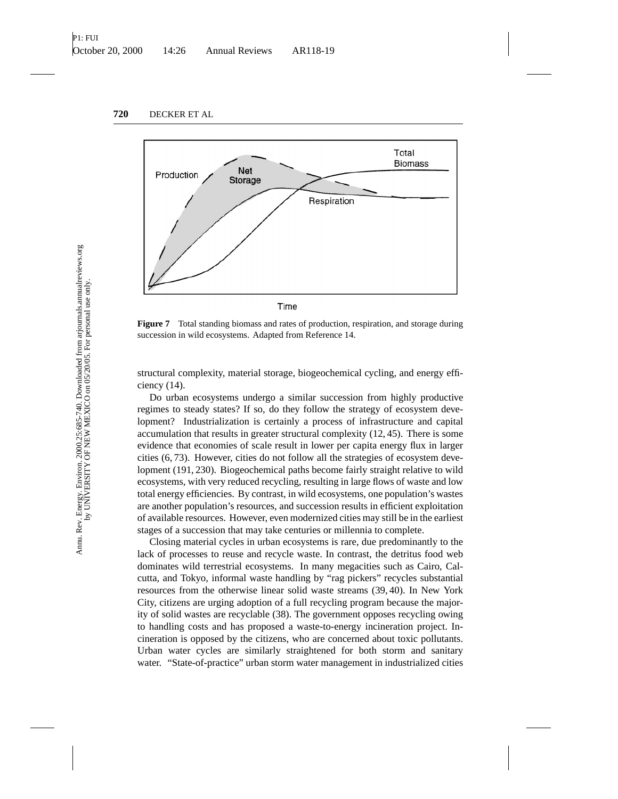

**Figure 7** Total standing biomass and rates of production, respiration, and storage during succession in wild ecosystems. Adapted from Reference 14.

structural complexity, material storage, biogeochemical cycling, and energy efficiency (14).

Do urban ecosystems undergo a similar succession from highly productive regimes to steady states? If so, do they follow the strategy of ecosystem development? Industrialization is certainly a process of infrastructure and capital accumulation that results in greater structural complexity (12, 45). There is some evidence that economies of scale result in lower per capita energy flux in larger cities (6, 73). However, cities do not follow all the strategies of ecosystem development (191, 230). Biogeochemical paths become fairly straight relative to wild ecosystems, with very reduced recycling, resulting in large flows of waste and low total energy efficiencies. By contrast, in wild ecosystems, one population's wastes are another population's resources, and succession results in efficient exploitation of available resources. However, even modernized cities may still be in the earliest stages of a succession that may take centuries or millennia to complete.

Closing material cycles in urban ecosystems is rare, due predominantly to the lack of processes to reuse and recycle waste. In contrast, the detritus food web dominates wild terrestrial ecosystems. In many megacities such as Cairo, Calcutta, and Tokyo, informal waste handling by "rag pickers" recycles substantial resources from the otherwise linear solid waste streams (39, 40). In New York City, citizens are urging adoption of a full recycling program because the majority of solid wastes are recyclable (38). The government opposes recycling owing to handling costs and has proposed a waste-to-energy incineration project. Incineration is opposed by the citizens, who are concerned about toxic pollutants. Urban water cycles are similarly straightened for both storm and sanitary water. "State-of-practice" urban storm water management in industrialized cities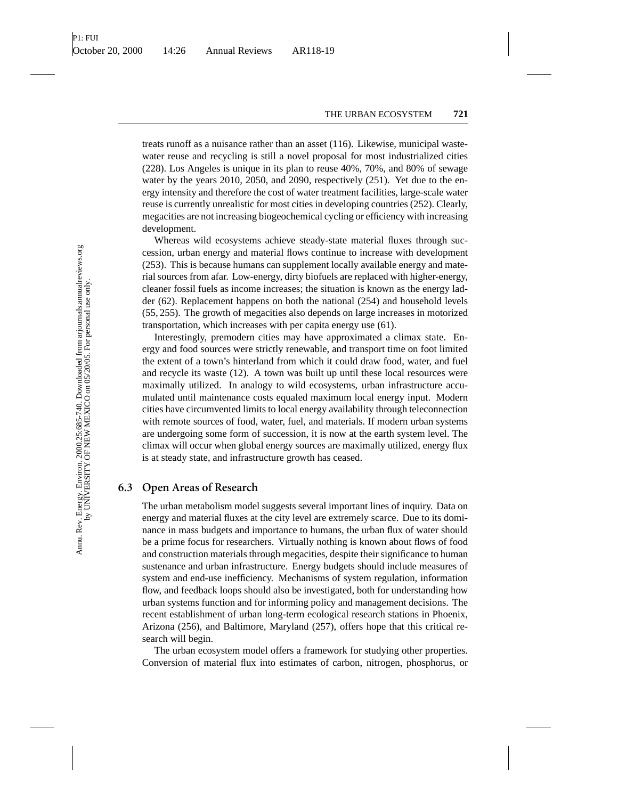treats runoff as a nuisance rather than an asset (116). Likewise, municipal wastewater reuse and recycling is still a novel proposal for most industrialized cities (228). Los Angeles is unique in its plan to reuse 40%, 70%, and 80% of sewage water by the years 2010, 2050, and 2090, respectively (251). Yet due to the energy intensity and therefore the cost of water treatment facilities, large-scale water reuse is currently unrealistic for most cities in developing countries (252). Clearly, megacities are not increasing biogeochemical cycling or efficiency with increasing development.

Whereas wild ecosystems achieve steady-state material fluxes through succession, urban energy and material flows continue to increase with development (253). This is because humans can supplement locally available energy and material sources from afar. Low-energy, dirty biofuels are replaced with higher-energy, cleaner fossil fuels as income increases; the situation is known as the energy ladder (62). Replacement happens on both the national (254) and household levels (55, 255). The growth of megacities also depends on large increases in motorized transportation, which increases with per capita energy use (61).

Interestingly, premodern cities may have approximated a climax state. Energy and food sources were strictly renewable, and transport time on foot limited the extent of a town's hinterland from which it could draw food, water, and fuel and recycle its waste (12). A town was built up until these local resources were maximally utilized. In analogy to wild ecosystems, urban infrastructure accumulated until maintenance costs equaled maximum local energy input. Modern cities have circumvented limits to local energy availability through teleconnection with remote sources of food, water, fuel, and materials. If modern urban systems are undergoing some form of succession, it is now at the earth system level. The climax will occur when global energy sources are maximally utilized, energy flux is at steady state, and infrastructure growth has ceased.

## **6.3 Open Areas of Research**

The urban metabolism model suggests several important lines of inquiry. Data on energy and material fluxes at the city level are extremely scarce. Due to its dominance in mass budgets and importance to humans, the urban flux of water should be a prime focus for researchers. Virtually nothing is known about flows of food and construction materials through megacities, despite their significance to human sustenance and urban infrastructure. Energy budgets should include measures of system and end-use inefficiency. Mechanisms of system regulation, information flow, and feedback loops should also be investigated, both for understanding how urban systems function and for informing policy and management decisions. The recent establishment of urban long-term ecological research stations in Phoenix, Arizona (256), and Baltimore, Maryland (257), offers hope that this critical research will begin.

The urban ecosystem model offers a framework for studying other properties. Conversion of material flux into estimates of carbon, nitrogen, phosphorus, or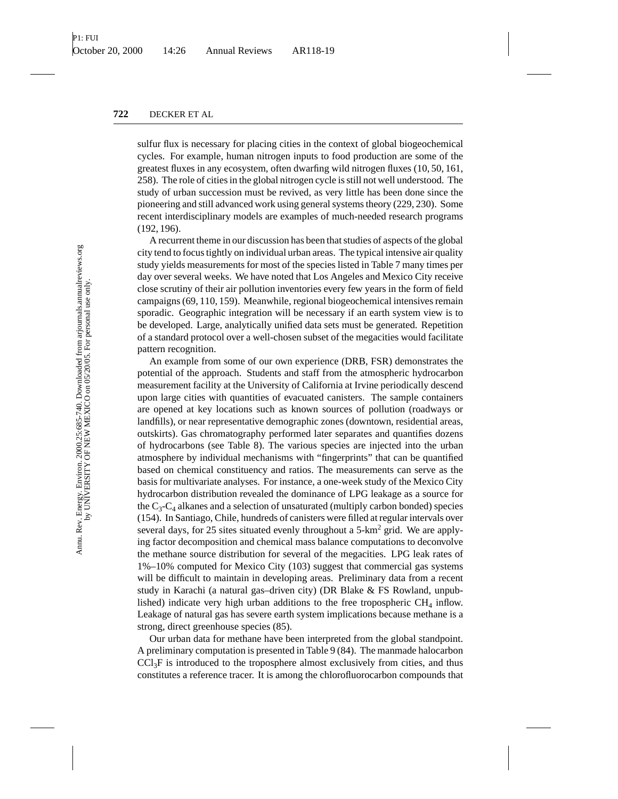sulfur flux is necessary for placing cities in the context of global biogeochemical cycles. For example, human nitrogen inputs to food production are some of the greatest fluxes in any ecosystem, often dwarfing wild nitrogen fluxes (10, 50, 161, 258). The role of cities in the global nitrogen cycle is still not well understood. The study of urban succession must be revived, as very little has been done since the pioneering and still advanced work using general systems theory (229, 230). Some recent interdisciplinary models are examples of much-needed research programs (192, 196).

A recurrent theme in our discussion has been that studies of aspects of the global city tend to focus tightly on individual urban areas. The typical intensive air quality study yields measurements for most of the species listed in Table 7 many times per day over several weeks. We have noted that Los Angeles and Mexico City receive close scrutiny of their air pollution inventories every few years in the form of field campaigns (69, 110, 159). Meanwhile, regional biogeochemical intensives remain sporadic. Geographic integration will be necessary if an earth system view is to be developed. Large, analytically unified data sets must be generated. Repetition of a standard protocol over a well-chosen subset of the megacities would facilitate pattern recognition.

An example from some of our own experience (DRB, FSR) demonstrates the potential of the approach. Students and staff from the atmospheric hydrocarbon measurement facility at the University of California at Irvine periodically descend upon large cities with quantities of evacuated canisters. The sample containers are opened at key locations such as known sources of pollution (roadways or landfills), or near representative demographic zones (downtown, residential areas, outskirts). Gas chromatography performed later separates and quantifies dozens of hydrocarbons (see Table 8). The various species are injected into the urban atmosphere by individual mechanisms with "fingerprints" that can be quantified based on chemical constituency and ratios. The measurements can serve as the basis for multivariate analyses. For instance, a one-week study of the Mexico City hydrocarbon distribution revealed the dominance of LPG leakage as a source for the  $C_3$ -C<sub>4</sub> alkanes and a selection of unsaturated (multiply carbon bonded) species (154). In Santiago, Chile, hundreds of canisters were filled at regular intervals over several days, for 25 sites situated evenly throughout a 5-km<sup>2</sup> grid. We are applying factor decomposition and chemical mass balance computations to deconvolve the methane source distribution for several of the megacities. LPG leak rates of 1%–10% computed for Mexico City (103) suggest that commercial gas systems will be difficult to maintain in developing areas. Preliminary data from a recent study in Karachi (a natural gas–driven city) (DR Blake & FS Rowland, unpublished) indicate very high urban additions to the free tropospheric  $CH<sub>4</sub>$  inflow. Leakage of natural gas has severe earth system implications because methane is a strong, direct greenhouse species (85).

Our urban data for methane have been interpreted from the global standpoint. A preliminary computation is presented in Table 9 (84). The manmade halocarbon  $CCl<sub>3</sub>F$  is introduced to the troposphere almost exclusively from cities, and thus constitutes a reference tracer. It is among the chlorofluorocarbon compounds that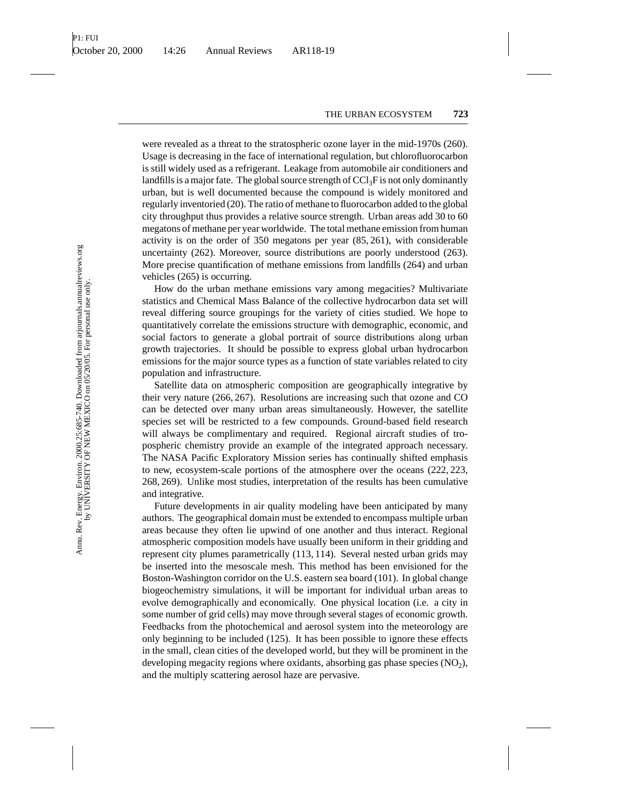were revealed as a threat to the stratospheric ozone layer in the mid-1970s (260). Usage is decreasing in the face of international regulation, but chlorofluorocarbon is still widely used as a refrigerant. Leakage from automobile air conditioners and landfills is a major fate. The global source strength of  $CCl<sub>3</sub>F$  is not only dominantly urban, but is well documented because the compound is widely monitored and regularly inventoried (20). The ratio of methane to fluorocarbon added to the global city throughput thus provides a relative source strength. Urban areas add 30 to 60 megatons of methane per year worldwide. The total methane emission from human activity is on the order of 350 megatons per year (85, 261), with considerable uncertainty (262). Moreover, source distributions are poorly understood (263). More precise quantification of methane emissions from landfills (264) and urban vehicles (265) is occurring.

How do the urban methane emissions vary among megacities? Multivariate statistics and Chemical Mass Balance of the collective hydrocarbon data set will reveal differing source groupings for the variety of cities studied. We hope to quantitatively correlate the emissions structure with demographic, economic, and social factors to generate a global portrait of source distributions along urban growth trajectories. It should be possible to express global urban hydrocarbon emissions for the major source types as a function of state variables related to city population and infrastructure.

Satellite data on atmospheric composition are geographically integrative by their very nature (266, 267). Resolutions are increasing such that ozone and CO can be detected over many urban areas simultaneously. However, the satellite species set will be restricted to a few compounds. Ground-based field research will always be complimentary and required. Regional aircraft studies of tropospheric chemistry provide an example of the integrated approach necessary. The NASA Pacific Exploratory Mission series has continually shifted emphasis to new, ecosystem-scale portions of the atmosphere over the oceans (222, 223, 268, 269). Unlike most studies, interpretation of the results has been cumulative and integrative.

Future developments in air quality modeling have been anticipated by many authors. The geographical domain must be extended to encompass multiple urban areas because they often lie upwind of one another and thus interact. Regional atmospheric composition models have usually been uniform in their gridding and represent city plumes parametrically (113, 114). Several nested urban grids may be inserted into the mesoscale mesh. This method has been envisioned for the Boston-Washington corridor on the U.S. eastern sea board (101). In global change biogeochemistry simulations, it will be important for individual urban areas to evolve demographically and economically. One physical location (i.e. a city in some number of grid cells) may move through several stages of economic growth. Feedbacks from the photochemical and aerosol system into the meteorology are only beginning to be included (125). It has been possible to ignore these effects in the small, clean cities of the developed world, but they will be prominent in the developing megacity regions where oxidants, absorbing gas phase species  $(NO<sub>2</sub>)$ , and the multiply scattering aerosol haze are pervasive.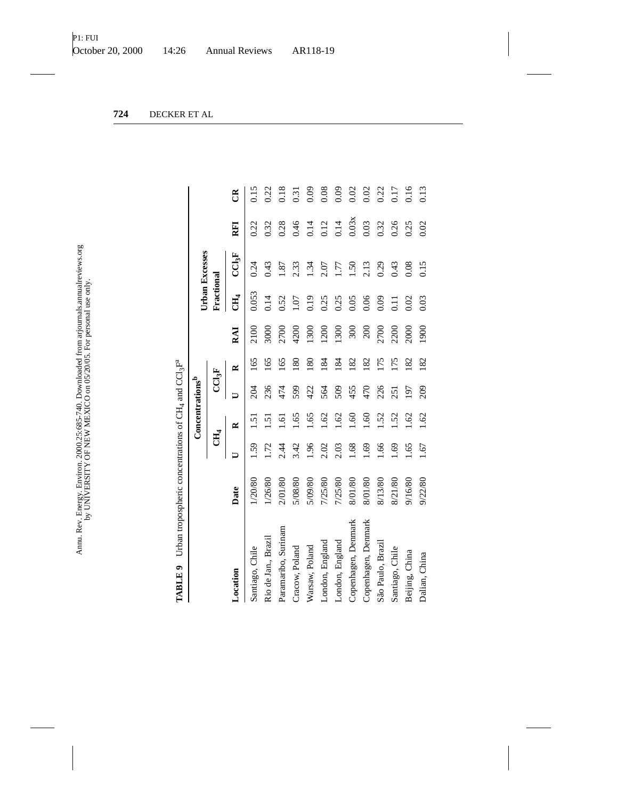Annu. Rev. Energy. Environ. 2000.25:685-740. Downloaded from arjournals.annualreviews.org<br>by UNIVERSITY OF NEW MEXICO on 05/20/05. For personal use only. Annu. Rev. Energy. Environ. 2000.25:685-740. Downloaded from arjournals.annualreviews.org by UNIVERSITY OF NEW MEXICO on 05/20/05. For personal use only.

**TABLE 9** Urban tropospheric concentrations of CH<sub>4</sub> and CCI<sub>3</sub> $F^a$ 

| <b>TABLE 9</b> Urban tropospheric concentrations of $CH4$ and $Cl3Fa$ |         |      |                             |       |     |      |                 |                       |       |      |
|-----------------------------------------------------------------------|---------|------|-----------------------------|-------|-----|------|-----------------|-----------------------|-------|------|
|                                                                       |         |      | Concentrations <sup>b</sup> |       |     |      |                 | <b>Urban Excesses</b> |       |      |
|                                                                       |         | E    |                             | CC14F |     |      | Fractional      |                       |       |      |
| Location                                                              | Date    |      | ≃                           |       | ≃   | RAI  | CН <sub>4</sub> | $CCI_3F$              | RFI   | g    |
| Santiago, Chile                                                       | 1/20/80 | 1.59 | $\overline{5}$              | 204   | 165 | 2100 | 0.053           | 0.24                  | 0.22  | 0.15 |
| Rio de Jan., Brazil                                                   | 1/26/80 | 1.72 | $\overline{5}$              | 236   | 165 | 3000 | 0.14            | 0.43                  | 0.32  | 0.22 |
| Paramaribo, Surinam                                                   | 2/01/80 | 2.44 | $\overline{5}$              | 474   | 165 | 2700 | 0.52            | 1.87                  | 0.28  | 0.18 |
| Cracow, Poland                                                        | 5/08/80 | 3.42 | 1.65                        | 599   | 180 | 4200 | 1.07            | 2.33                  | 0.46  | 0.31 |
| Warsaw, Poland                                                        | 5/09/80 | 1.96 | 1.65                        | 422   | 180 | 1300 | 0.19            | 1.34                  | 0.14  | 0.09 |
| London, England                                                       | 7/25/80 | 2.02 | 1.62                        | 564   | 184 | 1200 | 0.25            | 2.07                  | 0.12  | 0.08 |
| London, England                                                       | 7/25/80 | 2.03 | 1.62                        | 509   | 184 | 1300 | 0.25            | 1.77                  | 0.14  | 0.09 |
| Copenhagen, Denmark                                                   | 8/01/80 | 1.68 | 0.60                        | 455   | 182 | 300  | 0.05            | 1.50                  | 0.03x | 0.02 |
| Copenhagen, Denmark                                                   | 8/01/80 | 1.69 | 0.60                        | 470   | 182 | 200  | 0.06            | 2.13                  | 0.03  | 0.02 |
| São Paulo, Brazil                                                     | 8/13/80 | 1.66 | 1.52                        | 226   | 175 | 2700 | 0.09            | 0.29                  | 0.32  | 0.22 |
| Santiago, Chile                                                       | 8/21/80 | 1.69 | 1.52                        | 251   | 175 | 2200 | $\Xi$           | 0.43                  | 0.26  | 0.17 |
| Beijing, China                                                        | 9/16/80 | 1.65 | 1.62                        | 197   | 182 | 2000 | 0.02            | 0.08                  | 0.25  | 0.16 |
| Dalian, China                                                         | 9/22/80 | 1.67 | 1.62                        | 209   | 182 | 1900 | 0.03            | 0.15                  | 0.02  | 0.13 |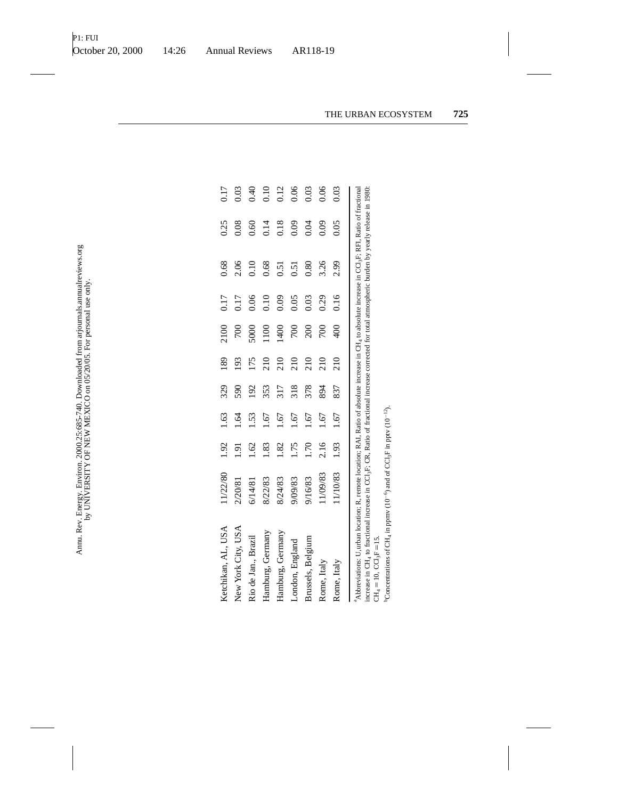|                      | י<br>יישוב                                                 |
|----------------------|------------------------------------------------------------|
| $-200.20$ and $-205$ |                                                            |
|                      | $\cdots$ is the correct of stress and $\alpha$ of $\alpha$ |
|                      |                                                            |

| Ketchikan, AL, USA  | 11/22/80 | 1.92             | 1.63  | 329              | 189 | 2100            | 0.17 | 0.68 | 0.25 | 0.17 |
|---------------------|----------|------------------|-------|------------------|-----|-----------------|------|------|------|------|
| New York City, USA  | 2/20/81  | $\overline{191}$ | 1.64  | 590              | 193 | $\overline{00}$ | 0.17 | 2.06 | 0.08 | 0.03 |
| Rio de Jan., Brazil | 6/14/81  | 1.62             | 1.53  | $\overline{561}$ | 175 | 5000            | 0.06 | 0.10 | 0.60 | 0.40 |
| Hamburg, Germany    | 8/22/83  | 1.83             | 1.67  | 353              | 210 | 1100            | 0.10 | 0.68 | 0.14 | 0.10 |
| Hamburg, Germany    | 8/24/83  | 1.82             | 1.67  | 317              | 210 | 1400            | 0.09 | 0.51 | 0.18 | 0.12 |
| London, England     | 88/60/6  | 1.75             | 1.67  | 318              | 210 | 700             | 0.05 | 0.51 | 0.09 | 0.06 |
| Brussels, Belgium   | 9/16/83  | 1.70             | 1.67  | 378              | 210 | 200             | 0.03 | 0.80 | 0.04 | 0.03 |
| Rome, Italy         | 11/09/83 | 2.16             | $-67$ | 894              | 210 | $\overline{00}$ | 0.29 | 3.26 | 0.09 | 0.06 |
| Rome, Italy         | 1110/83  | 1.93             | 1.67  | 837              | 210 | 600             | 0.16 | 2.99 | 0.05 | 0.03 |

<sup>b</sup>Concentrations of CH<sub>4</sub> in ppmv (10<sup>-6</sup>) and of CCI<sub>3</sub>F in pptv (10<sup>-12</sup>). bConcentrations of CH4 in ppmv (10−6) and of CCl3F in pptv (10−12).

 $CH_4 = 10, \overline{C}Cl_3$ 

 $= 10.$  CCl<sub>a</sub>F $= 15.$ 

increase in CH4 to fractional increase in CCl3F; CR, Ratio of fractional increase corrected for total atmospheric burden by yearly release in 1980:

increase in CH<sub>4</sub> to fractional increase in CCl<sub>3</sub>F; CR, Ratio of fractional increase corrected for total atmospheric burden by yearly release in 1980:<br>CH<sub>4</sub> = 10, CCl<sub>3</sub>F = 15.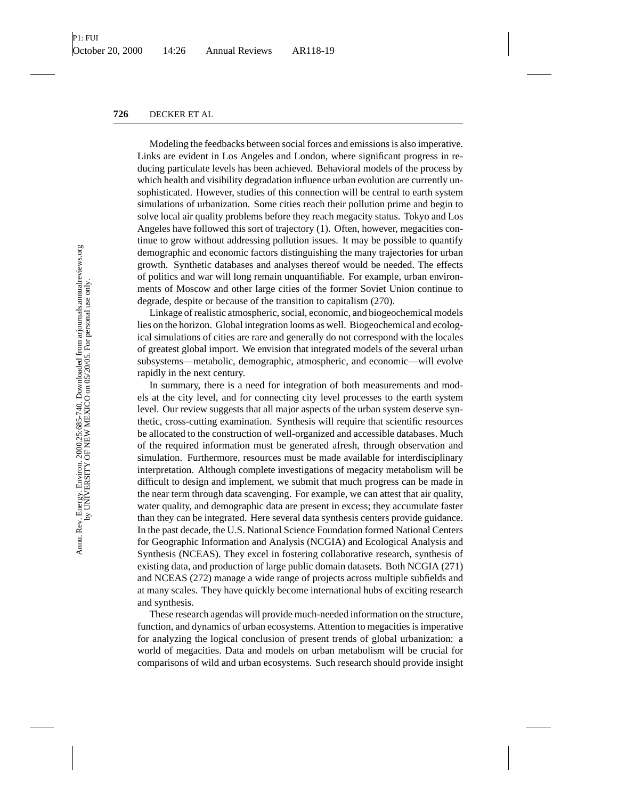Modeling the feedbacks between social forces and emissions is also imperative. Links are evident in Los Angeles and London, where significant progress in reducing particulate levels has been achieved. Behavioral models of the process by which health and visibility degradation influence urban evolution are currently unsophisticated. However, studies of this connection will be central to earth system simulations of urbanization. Some cities reach their pollution prime and begin to solve local air quality problems before they reach megacity status. Tokyo and Los Angeles have followed this sort of trajectory (1). Often, however, megacities continue to grow without addressing pollution issues. It may be possible to quantify demographic and economic factors distinguishing the many trajectories for urban growth. Synthetic databases and analyses thereof would be needed. The effects of politics and war will long remain unquantifiable. For example, urban environments of Moscow and other large cities of the former Soviet Union continue to degrade, despite or because of the transition to capitalism (270).

Linkage of realistic atmospheric, social, economic, and biogeochemical models lies on the horizon. Global integration looms as well. Biogeochemical and ecological simulations of cities are rare and generally do not correspond with the locales of greatest global import. We envision that integrated models of the several urban subsystems—metabolic, demographic, atmospheric, and economic—will evolve rapidly in the next century.

In summary, there is a need for integration of both measurements and models at the city level, and for connecting city level processes to the earth system level. Our review suggests that all major aspects of the urban system deserve synthetic, cross-cutting examination. Synthesis will require that scientific resources be allocated to the construction of well-organized and accessible databases. Much of the required information must be generated afresh, through observation and simulation. Furthermore, resources must be made available for interdisciplinary interpretation. Although complete investigations of megacity metabolism will be difficult to design and implement, we submit that much progress can be made in the near term through data scavenging. For example, we can attest that air quality, water quality, and demographic data are present in excess; they accumulate faster than they can be integrated. Here several data synthesis centers provide guidance. In the past decade, the U.S. National Science Foundation formed National Centers for Geographic Information and Analysis (NCGIA) and Ecological Analysis and Synthesis (NCEAS). They excel in fostering collaborative research, synthesis of existing data, and production of large public domain datasets. Both NCGIA (271) and NCEAS (272) manage a wide range of projects across multiple subfields and at many scales. They have quickly become international hubs of exciting research and synthesis.

These research agendas will provide much-needed information on the structure, function, and dynamics of urban ecosystems. Attention to megacities is imperative for analyzing the logical conclusion of present trends of global urbanization: a world of megacities. Data and models on urban metabolism will be crucial for comparisons of wild and urban ecosystems. Such research should provide insight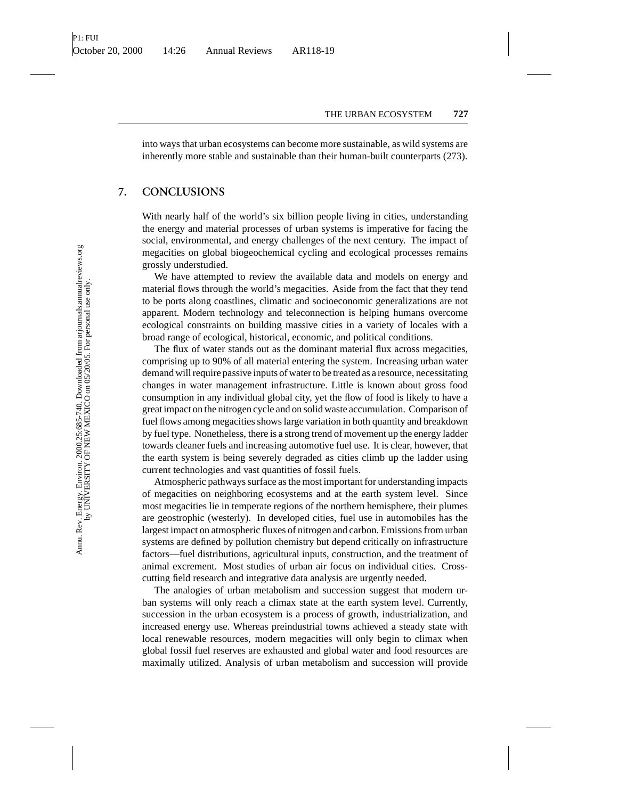into ways that urban ecosystems can become more sustainable, as wild systems are inherently more stable and sustainable than their human-built counterparts (273).

### **7. CONCLUSIONS**

With nearly half of the world's six billion people living in cities, understanding the energy and material processes of urban systems is imperative for facing the social, environmental, and energy challenges of the next century. The impact of megacities on global biogeochemical cycling and ecological processes remains grossly understudied.

We have attempted to review the available data and models on energy and material flows through the world's megacities. Aside from the fact that they tend to be ports along coastlines, climatic and socioeconomic generalizations are not apparent. Modern technology and teleconnection is helping humans overcome ecological constraints on building massive cities in a variety of locales with a broad range of ecological, historical, economic, and political conditions.

The flux of water stands out as the dominant material flux across megacities, comprising up to 90% of all material entering the system. Increasing urban water demand will require passive inputs of water to be treated as a resource, necessitating changes in water management infrastructure. Little is known about gross food consumption in any individual global city, yet the flow of food is likely to have a great impact on the nitrogen cycle and on solid waste accumulation. Comparison of fuel flows among megacities shows large variation in both quantity and breakdown by fuel type. Nonetheless, there is a strong trend of movement up the energy ladder towards cleaner fuels and increasing automotive fuel use. It is clear, however, that the earth system is being severely degraded as cities climb up the ladder using current technologies and vast quantities of fossil fuels.

Atmospheric pathways surface as the most important for understanding impacts of megacities on neighboring ecosystems and at the earth system level. Since most megacities lie in temperate regions of the northern hemisphere, their plumes are geostrophic (westerly). In developed cities, fuel use in automobiles has the largest impact on atmospheric fluxes of nitrogen and carbon. Emissions from urban systems are defined by pollution chemistry but depend critically on infrastructure factors—fuel distributions, agricultural inputs, construction, and the treatment of animal excrement. Most studies of urban air focus on individual cities. Crosscutting field research and integrative data analysis are urgently needed.

The analogies of urban metabolism and succession suggest that modern urban systems will only reach a climax state at the earth system level. Currently, succession in the urban ecosystem is a process of growth, industrialization, and increased energy use. Whereas preindustrial towns achieved a steady state with local renewable resources, modern megacities will only begin to climax when global fossil fuel reserves are exhausted and global water and food resources are maximally utilized. Analysis of urban metabolism and succession will provide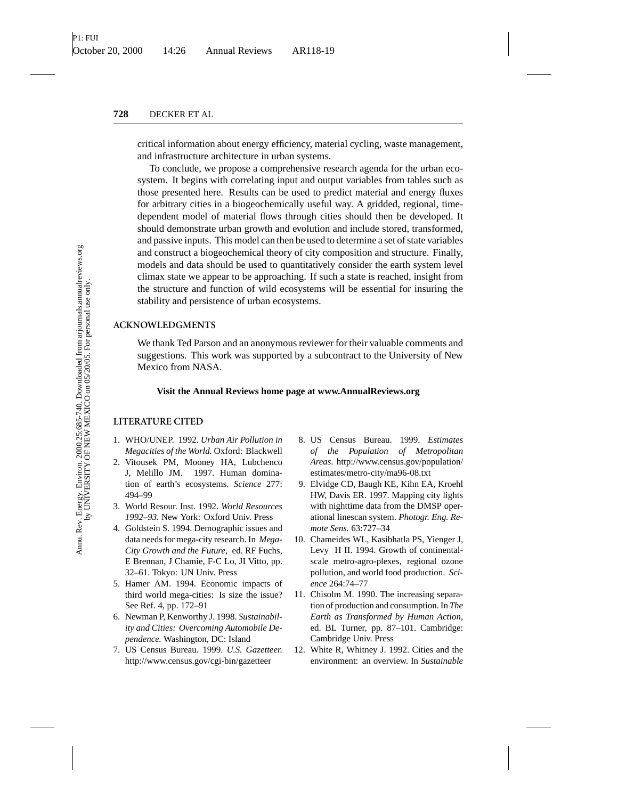critical information about energy efficiency, material cycling, waste management, and infrastructure architecture in urban systems.

To conclude, we propose a comprehensive research agenda for the urban ecosystem. It begins with correlating input and output variables from tables such as those presented here. Results can be used to predict material and energy fluxes for arbitrary cities in a biogeochemically useful way. A gridded, regional, timedependent model of material flows through cities should then be developed. It should demonstrate urban growth and evolution and include stored, transformed, and passive inputs. This model can then be used to determine a set of state variables and construct a biogeochemical theory of city composition and structure. Finally, models and data should be used to quantitatively consider the earth system level climax state we appear to be approaching. If such a state is reached, insight from the structure and function of wild ecosystems will be essential for insuring the stability and persistence of urban ecosystems.

#### **ACKNOWLEDGMENTS**

We thank Ted Parson and an anonymous reviewer for their valuable comments and suggestions. This work was supported by a subcontract to the University of New Mexico from NASA.

#### **Visit the Annual Reviews home page at www.AnnualReviews.org**

#### **LITERATURE CITED**

- 1. WHO/UNEP. 1992. *Urban Air Pollution in Megacities of the World.* Oxford: Blackwell
- 2. Vitousek PM, Mooney HA, Lubchenco J, Melillo JM. 1997. Human domination of earth's ecosystems. *Science* 277: 494–99
- 3. World Resour. Inst. 1992. *World Resources 1992–93.* New York: Oxford Univ. Press
- 4. Goldstein S. 1994. Demographic issues and data needs for mega-city research. In *Mega-City Growth and the Future*, ed. RF Fuchs, E Brennan, J Chamie, F-C Lo, JI Vitto, pp. 32–61. Tokyo: UN Univ. Press
- 5. Hamer AM. 1994. Economic impacts of third world mega-cities: Is size the issue? See Ref. 4, pp. 172–91
- 6. Newman P, Kenworthy J. 1998. *Sustainability and Cities: Overcoming Automobile Dependence.* Washington, DC: Island
- 7. US Census Bureau. 1999. *U.S. Gazetteer.* http://www.census.gov/cgi-bin/gazetteer
- 8. US Census Bureau. 1999. *Estimates of the Population of Metropolitan Areas.* http://www.census.gov/population/ estimates/metro-city/ma96-08.txt
- 9. Elvidge CD, Baugh KE, Kihn EA, Kroehl HW, Davis ER. 1997. Mapping city lights with nighttime data from the DMSP operational linescan system. *Photogr. Eng. Remote Sens.* 63:727–34
- 10. Chameides WL, Kasibhatla PS, Yienger J, Levy H II. 1994. Growth of continentalscale metro-agro-plexes, regional ozone pollution, and world food production. *Science* 264:74–77
- 11. Chisolm M. 1990. The increasing separation of production and consumption. In *The Earth as Transformed by Human Action*, ed. BL Turner, pp. 87–101. Cambridge: Cambridge Univ. Press
- 12. White R, Whitney J. 1992. Cities and the environment: an overview. In *Sustainable*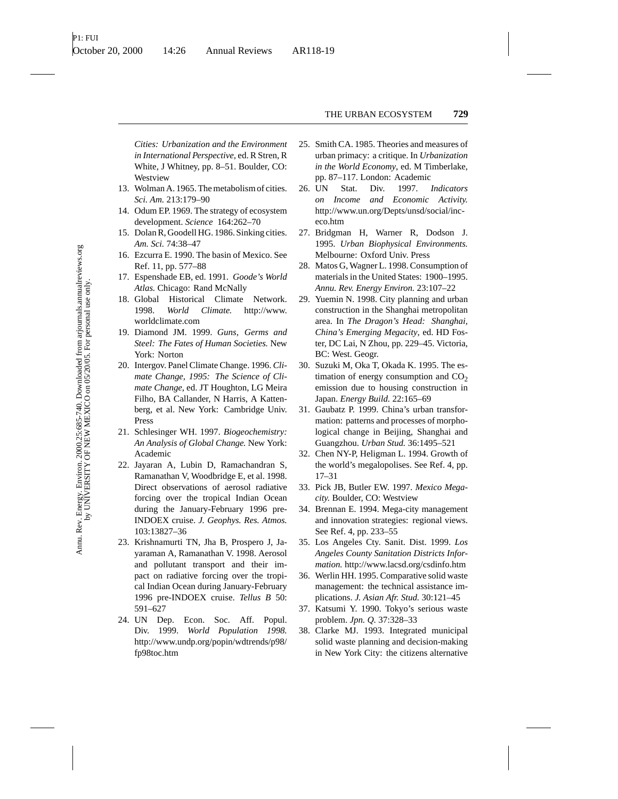*Cities: Urbanization and the Environment in International Perspective*, ed. R Stren, R White, J Whitney, pp. 8–51. Boulder, CO: Westview

- 13. Wolman A. 1965. The metabolism of cities. *Sci. Am.* 213:179–90
- 14. Odum EP. 1969. The strategy of ecosystem development. *Science* 164:262–70
- 15. Dolan R, Goodell HG. 1986. Sinking cities. *Am. Sci.* 74:38–47
- 16. Ezcurra E. 1990. The basin of Mexico. See Ref. 11, pp. 577–88
- 17. Espenshade EB, ed. 1991. *Goode's World Atlas.* Chicago: Rand McNally
- 18. Global Historical Climate Network. 1998. *World Climate.* http://www. worldclimate.com
- 19. Diamond JM. 1999. *Guns, Germs and Steel: The Fates of Human Societies.* New York: Norton
- 20. Intergov. Panel Climate Change. 1996. *Climate Change, 1995: The Science of Climate Change*, ed. JT Houghton, LG Meira Filho, BA Callander, N Harris, A Kattenberg, et al. New York: Cambridge Univ. Press
- 21. Schlesinger WH. 1997. *Biogeochemistry: An Analysis of Global Change.* New York: Academic
- 22. Jayaran A, Lubin D, Ramachandran S, Ramanathan V, Woodbridge E, et al. 1998. Direct observations of aerosol radiative forcing over the tropical Indian Ocean during the January-February 1996 pre-INDOEX cruise. *J. Geophys. Res. Atmos.* 103:13827–36
- 23. Krishnamurti TN, Jha B, Prospero J, Jayaraman A, Ramanathan V. 1998. Aerosol and pollutant transport and their impact on radiative forcing over the tropical Indian Ocean during January-February 1996 pre-INDOEX cruise. *Tellus B* 50: 591–627
- 24. UN Dep. Econ. Soc. Aff. Popul. Div. 1999. *World Population 1998.* http://www.undp.org/popin/wdtrends/p98/ fp98toc.htm
- 25. Smith CA. 1985. Theories and measures of urban primacy: a critique. In *Urbanization in the World Economy*, ed. M Timberlake, pp. 87–117. London: Academic
- 26. UN Stat. Div. 1997. *Indicators on Income and Economic Activity.* http://www.un.org/Depts/unsd/social/inceco.htm
- 27. Bridgman H, Warner R, Dodson J. 1995. *Urban Biophysical Environments.* Melbourne: Oxford Univ. Press
- 28. Matos G, Wagner L. 1998. Consumption of materials in the United States: 1900–1995. *Annu. Rev. Energy Environ.* 23:107–22
- 29. Yuemin N. 1998. City planning and urban construction in the Shanghai metropolitan area. In *The Dragon's Head: Shanghai, China's Emerging Megacity*, ed. HD Foster, DC Lai, N Zhou, pp. 229–45. Victoria, BC: West. Geogr.
- 30. Suzuki M, Oka T, Okada K. 1995. The estimation of energy consumption and  $CO<sub>2</sub>$ emission due to housing construction in Japan. *Energy Build.* 22:165–69
- 31. Gaubatz P. 1999. China's urban transformation: patterns and processes of morphological change in Beijing, Shanghai and Guangzhou. *Urban Stud.* 36:1495–521
- 32. Chen NY-P, Heligman L. 1994. Growth of the world's megalopolises. See Ref. 4, pp. 17–31
- 33. Pick JB, Butler EW. 1997. *Mexico Megacity.* Boulder, CO: Westview
- 34. Brennan E. 1994. Mega-city management and innovation strategies: regional views. See Ref. 4, pp. 233–55
- 35. Los Angeles Cty. Sanit. Dist. 1999. *Los Angeles County Sanitation Districts Information.* http://www.lacsd.org/csdinfo.htm
- 36. Werlin HH. 1995. Comparative solid waste management: the technical assistance implications. *J. Asian Afr. Stud.* 30:121–45
- 37. Katsumi Y. 1990. Tokyo's serious waste problem. *Jpn. Q.* 37:328–33
- 38. Clarke MJ. 1993. Integrated municipal solid waste planning and decision-making in New York City: the citizens alternative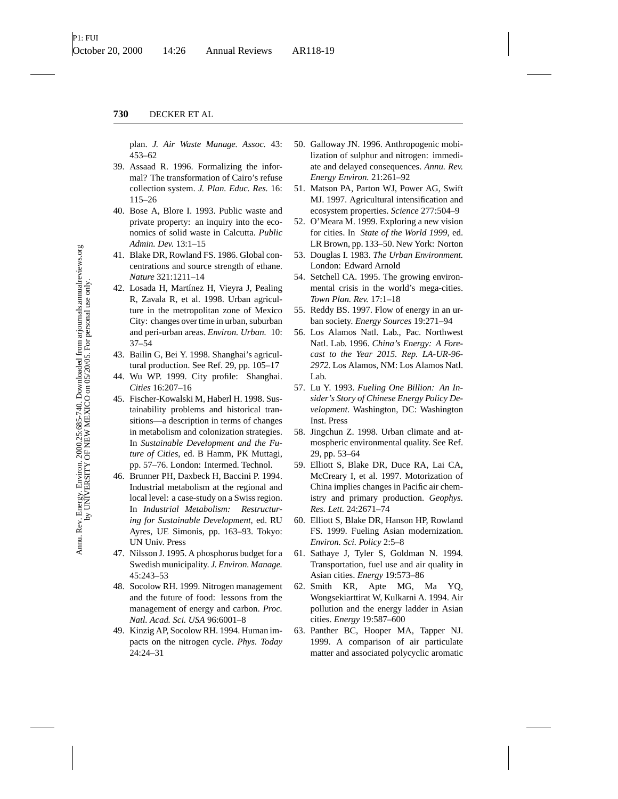plan. *J. Air Waste Manage. Assoc.* 43: 453–62

- 39. Assaad R. 1996. Formalizing the informal? The transformation of Cairo's refuse collection system. *J. Plan. Educ. Res.* 16: 115–26
- 40. Bose A, Blore I. 1993. Public waste and private property: an inquiry into the economics of solid waste in Calcutta. *Public Admin. Dev.* 13:1–15
- 41. Blake DR, Rowland FS. 1986. Global concentrations and source strength of ethane. *Nature* 321:1211–14
- 42. Losada H, Martínez H, Vieyra J, Pealing R, Zavala R, et al. 1998. Urban agriculture in the metropolitan zone of Mexico City: changes over time in urban, suburban and peri-urban areas. *Environ. Urban.* 10: 37–54
- 43. Bailin G, Bei Y. 1998. Shanghai's agricultural production. See Ref. 29, pp. 105–17
- 44. Wu WP. 1999. City profile: Shanghai. *Cities* 16:207–16
- 45. Fischer-Kowalski M, Haberl H. 1998. Sustainability problems and historical transitions—a description in terms of changes in metabolism and colonization strategies. In *Sustainable Development and the Future of Cities*, ed. B Hamm, PK Muttagi, pp. 57–76. London: Intermed. Technol.
- 46. Brunner PH, Daxbeck H, Baccini P. 1994. Industrial metabolism at the regional and local level: a case-study on a Swiss region. In *Industrial Metabolism: Restructuring for Sustainable Development*, ed. RU Ayres, UE Simonis, pp. 163–93. Tokyo: UN Univ. Press
- 47. Nilsson J. 1995. A phosphorus budget for a Swedish municipality. *J. Environ. Manage.* 45:243–53
- 48. Socolow RH. 1999. Nitrogen management and the future of food: lessons from the management of energy and carbon. *Proc. Natl. Acad. Sci. USA* 96:6001–8
- 49. Kinzig AP, Socolow RH. 1994. Human impacts on the nitrogen cycle. *Phys. Today* 24:24–31
- 50. Galloway JN. 1996. Anthropogenic mobilization of sulphur and nitrogen: immediate and delayed consequences. *Annu. Rev. Energy Environ.* 21:261–92
- 51. Matson PA, Parton WJ, Power AG, Swift MJ. 1997. Agricultural intensification and ecosystem properties. *Science* 277:504–9
- 52. O'Meara M. 1999. Exploring a new vision for cities. In *State of the World 1999*, ed. LR Brown, pp. 133–50. New York: Norton
- 53. Douglas I. 1983. *The Urban Environment.* London: Edward Arnold
- 54. Setchell CA. 1995. The growing environmental crisis in the world's mega-cities. *Town Plan. Rev.* 17:1–18
- 55. Reddy BS. 1997. Flow of energy in an urban society. *Energy Sources* 19:271–94
- 56. Los Alamos Natl. Lab., Pac. Northwest Natl. Lab. 1996. *China's Energy: A Forecast to the Year 2015. Rep. LA-UR-96- 2972.* Los Alamos, NM: Los Alamos Natl. Lab.
- 57. Lu Y. 1993. *Fueling One Billion: An Insider's Story of Chinese Energy Policy Development.* Washington, DC: Washington Inst. Press
- 58. Jingchun Z. 1998. Urban climate and atmospheric environmental quality. See Ref. 29, pp. 53–64
- 59. Elliott S, Blake DR, Duce RA, Lai CA, McCreary I, et al. 1997. Motorization of China implies changes in Pacific air chemistry and primary production. *Geophys. Res. Lett.* 24:2671–74
- 60. Elliott S, Blake DR, Hanson HP, Rowland FS. 1999. Fueling Asian modernization. *Environ. Sci. Policy* 2:5–8
- 61. Sathaye J, Tyler S, Goldman N. 1994. Transportation, fuel use and air quality in Asian cities. *Energy* 19:573–86
- 62. Smith KR, Apte MG, Ma YQ, Wongsekiarttirat W, Kulkarni A. 1994. Air pollution and the energy ladder in Asian cities. *Energy* 19:587–600
- 63. Panther BC, Hooper MA, Tapper NJ. 1999. A comparison of air particulate matter and associated polycyclic aromatic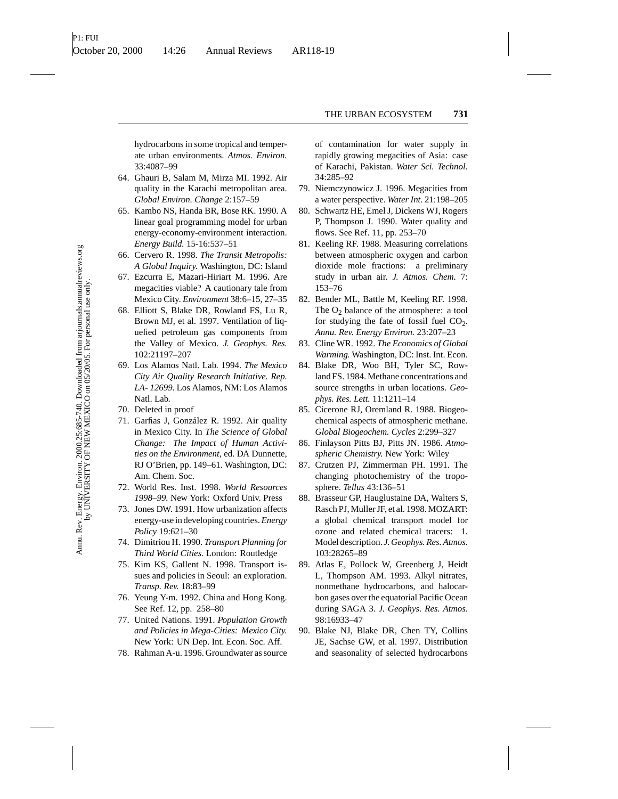hydrocarbons in some tropical and temperate urban environments. *Atmos. Environ.* 33:4087–99

- 64. Ghauri B, Salam M, Mirza MI. 1992. Air quality in the Karachi metropolitan area. *Global Environ. Change* 2:157–59
- 65. Kambo NS, Handa BR, Bose RK. 1990. A linear goal programming model for urban energy-economy-environment interaction. *Energy Build.* 15-16:537–51
- 66. Cervero R. 1998. *The Transit Metropolis: A Global Inquiry.* Washington, DC: Island
- 67. Ezcurra E, Mazari-Hiriart M. 1996. Are megacities viable? A cautionary tale from Mexico City. *Environment* 38:6–15, 27–35
- 68. Elliott S, Blake DR, Rowland FS, Lu R, Brown MJ, et al. 1997. Ventilation of liquefied petroleum gas components from the Valley of Mexico. *J. Geophys. Res.* 102:21197–207
- 69. Los Alamos Natl. Lab. 1994. *The Mexico City Air Quality Research Initiative. Rep. LA- 12699.* Los Alamos, NM: Los Alamos Natl. Lab.
- 70. Deleted in proof
- 71. Garfias J, González R. 1992. Air quality in Mexico City. In *The Science of Global Change: The Impact of Human Activities on the Environment*, ed. DA Dunnette, RJ O'Brien, pp. 149–61. Washington, DC: Am. Chem. Soc.
- 72. World Res. Inst. 1998. *World Resources 1998–99.* New York: Oxford Univ. Press
- 73. Jones DW. 1991. How urbanization affects energy-use in developing countries.*Energy Policy* 19:621–30
- 74. Dimitriou H. 1990. *Transport Planning for Third World Cities.* London: Routledge
- 75. Kim KS, Gallent N. 1998. Transport issues and policies in Seoul: an exploration. *Transp. Rev.* 18:83–99
- 76. Yeung Y-m. 1992. China and Hong Kong. See Ref. 12, pp. 258–80
- 77. United Nations. 1991. *Population Growth and Policies in Mega-Cities: Mexico City.* New York: UN Dep. Int. Econ. Soc. Aff.
- 78. Rahman A-u. 1996. Groundwater as source

of contamination for water supply in rapidly growing megacities of Asia: case of Karachi, Pakistan. *Water Sci. Technol.* 34:285–92

- 79. Niemczynowicz J. 1996. Megacities from a water perspective. *Water Int.* 21:198–205
- 80. Schwartz HE, Emel J, Dickens WJ, Rogers P, Thompson J. 1990. Water quality and flows. See Ref. 11, pp. 253–70
- 81. Keeling RF. 1988. Measuring correlations between atmospheric oxygen and carbon dioxide mole fractions: a preliminary study in urban air. *J. Atmos. Chem.* 7: 153–76
- 82. Bender ML, Battle M, Keeling RF. 1998. The  $O_2$  balance of the atmosphere: a tool for studying the fate of fossil fuel  $CO<sub>2</sub>$ . *Annu. Rev. Energy Environ.* 23:207–23
- 83. Cline WR. 1992. *The Economics of Global Warming.* Washington, DC: Inst. Int. Econ.
- 84. Blake DR, Woo BH, Tyler SC, Rowland FS. 1984. Methane concentrations and source strengths in urban locations. *Geophys. Res. Lett.* 11:1211–14
- 85. Cicerone RJ, Oremland R. 1988. Biogeochemical aspects of atmospheric methane. *Global Biogeochem. Cycles* 2:299–327
- 86. Finlayson Pitts BJ, Pitts JN. 1986. *Atmospheric Chemistry.* New York: Wiley
- 87. Crutzen PJ, Zimmerman PH. 1991. The changing photochemistry of the troposphere. *Tellus* 43:136–51
- 88. Brasseur GP, Hauglustaine DA, Walters S, Rasch PJ, Muller JF, et al. 1998. MOZART: a global chemical transport model for ozone and related chemical tracers: 1. Model description. *J. Geophys. Res. Atmos.* 103:28265–89
- 89. Atlas E, Pollock W, Greenberg J, Heidt L, Thompson AM. 1993. Alkyl nitrates, nonmethane hydrocarbons, and halocarbon gases over the equatorial Pacific Ocean during SAGA 3. *J. Geophys. Res. Atmos.* 98:16933–47
- 90. Blake NJ, Blake DR, Chen TY, Collins JE, Sachse GW, et al. 1997. Distribution and seasonality of selected hydrocarbons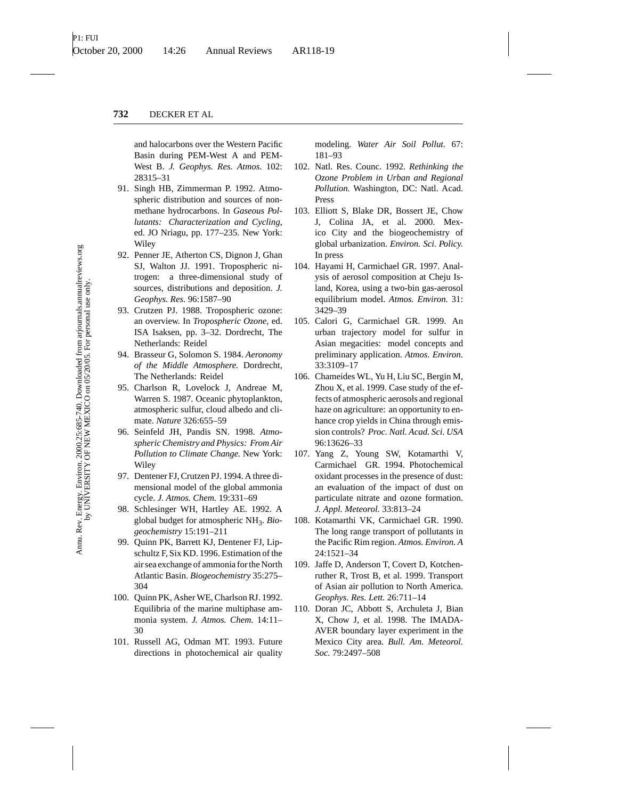and halocarbons over the Western Pacific Basin during PEM-West A and PEM-West B. *J. Geophys. Res. Atmos.* 102: 28315–31

- 91. Singh HB, Zimmerman P. 1992. Atmospheric distribution and sources of nonmethane hydrocarbons. In *Gaseous Pollutants: Characterization and Cycling*, ed. JO Nriagu, pp. 177–235. New York: Wiley
- 92. Penner JE, Atherton CS, Dignon J, Ghan SJ, Walton JJ. 1991. Tropospheric nitrogen: a three-dimensional study of sources, distributions and deposition. *J. Geophys. Res.* 96:1587–90
- 93. Crutzen PJ. 1988. Tropospheric ozone: an overview. In *Tropospheric Ozone*, ed. ISA Isaksen, pp. 3–32. Dordrecht, The Netherlands: Reidel
- 94. Brasseur G, Solomon S. 1984. *Aeronomy of the Middle Atmosphere.* Dordrecht, The Netherlands: Reidel
- 95. Charlson R, Lovelock J, Andreae M, Warren S. 1987. Oceanic phytoplankton, atmospheric sulfur, cloud albedo and climate. *Nature* 326:655–59
- 96. Seinfeld JH, Pandis SN. 1998. *Atmospheric Chemistry and Physics: From Air Pollution to Climate Change.* New York: Wiley
- 97. Dentener FJ, Crutzen PJ. 1994. A three dimensional model of the global ammonia cycle. *J. Atmos. Chem.* 19:331–69
- 98. Schlesinger WH, Hartley AE. 1992. A global budget for atmospheric NH3. *Biogeochemistry* 15:191–211
- 99. Quinn PK, Barrett KJ, Dentener FJ, Lipschultz F, Six KD. 1996. Estimation of the air sea exchange of ammonia for the North Atlantic Basin. *Biogeochemistry* 35:275– 304
- 100. Quinn PK, Asher WE, Charlson RJ. 1992. Equilibria of the marine multiphase ammonia system. *J. Atmos. Chem.* 14:11– 30
- 101. Russell AG, Odman MT. 1993. Future directions in photochemical air quality

modeling. *Water Air Soil Pollut.* 67: 181–93

- 102. Natl. Res. Counc. 1992. *Rethinking the Ozone Problem in Urban and Regional Pollution.* Washington, DC: Natl. Acad. Press
- 103. Elliott S, Blake DR, Bossert JE, Chow J, Colina JA, et al. 2000. Mexico City and the biogeochemistry of global urbanization. *Environ. Sci. Policy.* In press
- 104. Hayami H, Carmichael GR. 1997. Analysis of aerosol composition at Cheju Island, Korea, using a two-bin gas-aerosol equilibrium model. *Atmos. Environ.* 31: 3429–39
- 105. Calori G, Carmichael GR. 1999. An urban trajectory model for sulfur in Asian megacities: model concepts and preliminary application. *Atmos. Environ.* 33:3109–17
- 106. Chameides WL, Yu H, Liu SC, Bergin M, Zhou X, et al. 1999. Case study of the effects of atmospheric aerosols and regional haze on agriculture: an opportunity to enhance crop yields in China through emission controls? *Proc. Natl. Acad. Sci. USA* 96:13626–33
- 107. Yang Z, Young SW, Kotamarthi V, Carmichael GR. 1994. Photochemical oxidant processes in the presence of dust: an evaluation of the impact of dust on particulate nitrate and ozone formation. *J. Appl. Meteorol.* 33:813–24
- 108. Kotamarthi VK, Carmichael GR. 1990. The long range transport of pollutants in the Pacific Rim region. *Atmos. Environ. A* 24:1521–34
- 109. Jaffe D, Anderson T, Covert D, Kotchenruther R, Trost B, et al. 1999. Transport of Asian air pollution to North America. *Geophys. Res. Lett.* 26:711–14
- 110. Doran JC, Abbott S, Archuleta J, Bian X, Chow J, et al. 1998. The IMADA-AVER boundary layer experiment in the Mexico City area. *Bull. Am. Meteorol. Soc.* 79:2497–508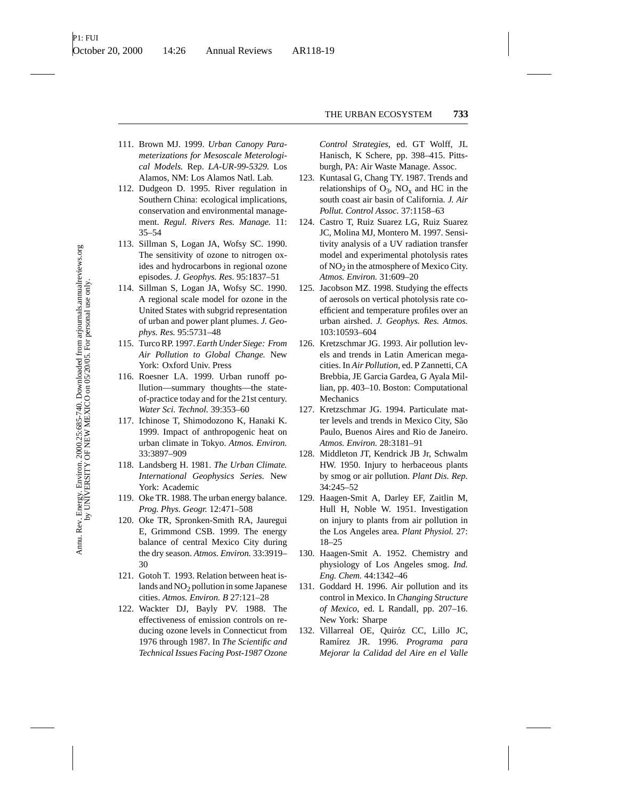- 111. Brown MJ. 1999. *Urban Canopy Parameterizations for Mesoscale Meterological Models.* Rep. *LA-UR-99-5329.* Los Alamos, NM: Los Alamos Natl. Lab.
- 112. Dudgeon D. 1995. River regulation in Southern China: ecological implications, conservation and environmental management. *Regul. Rivers Res. Manage.* 11: 35–54
- 113. Sillman S, Logan JA, Wofsy SC. 1990. The sensitivity of ozone to nitrogen oxides and hydrocarbons in regional ozone episodes. *J. Geophys. Res.* 95:1837–51
- 114. Sillman S, Logan JA, Wofsy SC. 1990. A regional scale model for ozone in the United States with subgrid representation of urban and power plant plumes. *J. Geophys. Res.* 95:5731–48
- 115. Turco RP. 1997.*Earth Under Siege: From Air Pollution to Global Change.* New York: Oxford Univ. Press
- 116. Roesner LA. 1999. Urban runoff pollution—summary thoughts—the stateof-practice today and for the 21st century. *Water Sci. Technol.* 39:353–60
- 117. Ichinose T, Shimodozono K, Hanaki K. 1999. Impact of anthropogenic heat on urban climate in Tokyo. *Atmos. Environ.* 33:3897–909
- 118. Landsberg H. 1981. *The Urban Climate. International Geophysics Series.* New York: Academic
- 119. Oke TR. 1988. The urban energy balance. *Prog. Phys. Geogr.* 12:471–508
- 120. Oke TR, Spronken-Smith RA, Jauregui E, Grimmond CSB. 1999. The energy balance of central Mexico City during the dry season. *Atmos. Environ.* 33:3919– 30
- 121. Gotoh T. 1993. Relation between heat islands and  $NO<sub>2</sub>$  pollution in some Japanese cities. *Atmos. Environ. B* 27:121–28
- 122. Wackter DJ, Bayly PV. 1988. The effectiveness of emission controls on reducing ozone levels in Connecticut from 1976 through 1987. In *The Scientific and Technical Issues Facing Post-1987 Ozone*

*Control Strategies*, ed. GT Wolff, JL Hanisch, K Schere, pp. 398–415. Pittsburgh, PA: Air Waste Manage. Assoc.

- 123. Kuntasal G, Chang TY. 1987. Trends and relationships of  $O_3$ ,  $NO_x$  and HC in the south coast air basin of California. *J. Air Pollut. Control Assoc.* 37:1158–63
- 124. Castro T, Ruiz Suarez LG, Ruiz Suarez JC, Molina MJ, Montero M. 1997. Sensitivity analysis of a UV radiation transfer model and experimental photolysis rates of NO2 in the atmosphere of Mexico City. *Atmos. Environ.* 31:609–20
- 125. Jacobson MZ. 1998. Studying the effects of aerosols on vertical photolysis rate coefficient and temperature profiles over an urban airshed. *J. Geophys. Res. Atmos.* 103:10593–604
- 126. Kretzschmar JG. 1993. Air pollution levels and trends in Latin American megacities. In *Air Pollution*, ed. P Zannetti, CA Brebbia, JE Garcia Gardea, G Ayala Millian, pp. 403–10. Boston: Computational **Mechanics**
- 127. Kretzschmar JG. 1994. Particulate matter levels and trends in Mexico City, São Paulo, Buenos Aires and Rio de Janeiro. *Atmos. Environ.* 28:3181–91
- 128. Middleton JT, Kendrick JB Jr, Schwalm HW. 1950. Injury to herbaceous plants by smog or air pollution. *Plant Dis. Rep.* 34:245–52
- 129. Haagen-Smit A, Darley EF, Zaitlin M, Hull H, Noble W. 1951. Investigation on injury to plants from air pollution in the Los Angeles area. *Plant Physiol.* 27: 18–25
- 130. Haagen-Smit A. 1952. Chemistry and physiology of Los Angeles smog. *Ind. Eng. Chem.* 44:1342–46
- 131. Goddard H. 1996. Air pollution and its control in Mexico. In *Changing Structure of Mexico*, ed. L Randall, pp. 207–16. New York: Sharpe
- 132. Villarreal OE, Quiróz CC, Lillo JC, Ram´ırez JR. 1996. *Programa para Mejorar la Calidad del Aire en el Valle*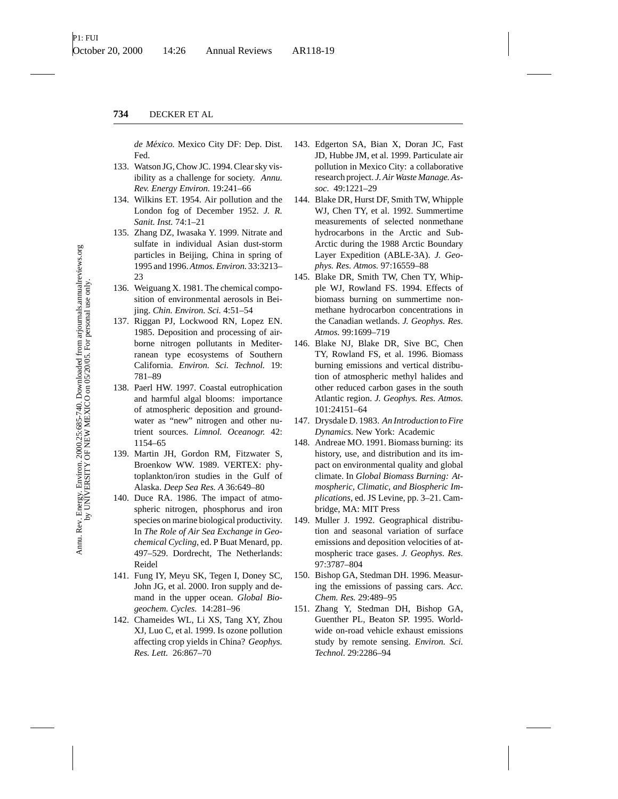*de Mexico. ´* Mexico City DF: Dep. Dist. Fed.

- 133. Watson JG, Chow JC. 1994. Clear sky visibility as a challenge for society. *Annu. Rev. Energy Environ.* 19:241–66
- 134. Wilkins ET. 1954. Air pollution and the London fog of December 1952. *J. R. Sanit. Inst.* 74:1–21
- 135. Zhang DZ, Iwasaka Y. 1999. Nitrate and sulfate in individual Asian dust-storm particles in Beijing, China in spring of 1995 and 1996. *Atmos. Environ.* 33:3213– 23
- 136. Weiguang X. 1981. The chemical composition of environmental aerosols in Beijing. *Chin. Environ. Sci.* 4:51–54
- 137. Riggan PJ, Lockwood RN, Lopez EN. 1985. Deposition and processing of airborne nitrogen pollutants in Mediterranean type ecosystems of Southern California. *Environ. Sci. Technol.* 19: 781–89
- 138. Paerl HW. 1997. Coastal eutrophication and harmful algal blooms: importance of atmospheric deposition and groundwater as "new" nitrogen and other nutrient sources. *Limnol. Oceanogr.* 42: 1154–65
- 139. Martin JH, Gordon RM, Fitzwater S, Broenkow WW. 1989. VERTEX: phytoplankton/iron studies in the Gulf of Alaska. *Deep Sea Res. A* 36:649–80
- 140. Duce RA. 1986. The impact of atmospheric nitrogen, phosphorus and iron species on marine biological productivity. In *The Role of Air Sea Exchange in Geochemical Cycling*, ed. P Buat Menard, pp. 497–529. Dordrecht, The Netherlands: Reidel
- 141. Fung IY, Meyu SK, Tegen I, Doney SC, John JG, et al. 2000. Iron supply and demand in the upper ocean. *Global Biogeochem. Cycles.* 14:281–96
- 142. Chameides WL, Li XS, Tang XY, Zhou XJ, Luo C, et al. 1999. Is ozone pollution affecting crop yields in China? *Geophys. Res. Lett.* 26:867–70
- 143. Edgerton SA, Bian X, Doran JC, Fast JD, Hubbe JM, et al. 1999. Particulate air pollution in Mexico City: a collaborative research project. *J. Air Waste Manage. Assoc.* 49:1221–29
- 144. Blake DR, Hurst DF, Smith TW, Whipple WJ, Chen TY, et al. 1992. Summertime measurements of selected nonmethane hydrocarbons in the Arctic and Sub-Arctic during the 1988 Arctic Boundary Layer Expedition (ABLE-3A). *J. Geophys. Res. Atmos.* 97:16559–88
- 145. Blake DR, Smith TW, Chen TY, Whipple WJ, Rowland FS. 1994. Effects of biomass burning on summertime nonmethane hydrocarbon concentrations in the Canadian wetlands. *J. Geophys. Res. Atmos.* 99:1699–719
- 146. Blake NJ, Blake DR, Sive BC, Chen TY, Rowland FS, et al. 1996. Biomass burning emissions and vertical distribution of atmospheric methyl halides and other reduced carbon gases in the south Atlantic region. *J. Geophys. Res. Atmos.* 101:24151–64
- 147. Drysdale D. 1983. *An Introduction to Fire Dynamics.* New York: Academic
- 148. Andreae MO. 1991. Biomass burning: its history, use, and distribution and its impact on environmental quality and global climate. In *Global Biomass Burning: Atmospheric, Climatic, and Biospheric Implications*, ed. JS Levine, pp. 3–21. Cambridge, MA: MIT Press
- 149. Muller J. 1992. Geographical distribution and seasonal variation of surface emissions and deposition velocities of atmospheric trace gases. *J. Geophys. Res.* 97:3787–804
- 150. Bishop GA, Stedman DH. 1996. Measuring the emissions of passing cars. *Acc. Chem. Res.* 29:489–95
- 151. Zhang Y, Stedman DH, Bishop GA, Guenther PL, Beaton SP. 1995. Worldwide on-road vehicle exhaust emissions study by remote sensing. *Environ. Sci. Technol.* 29:2286–94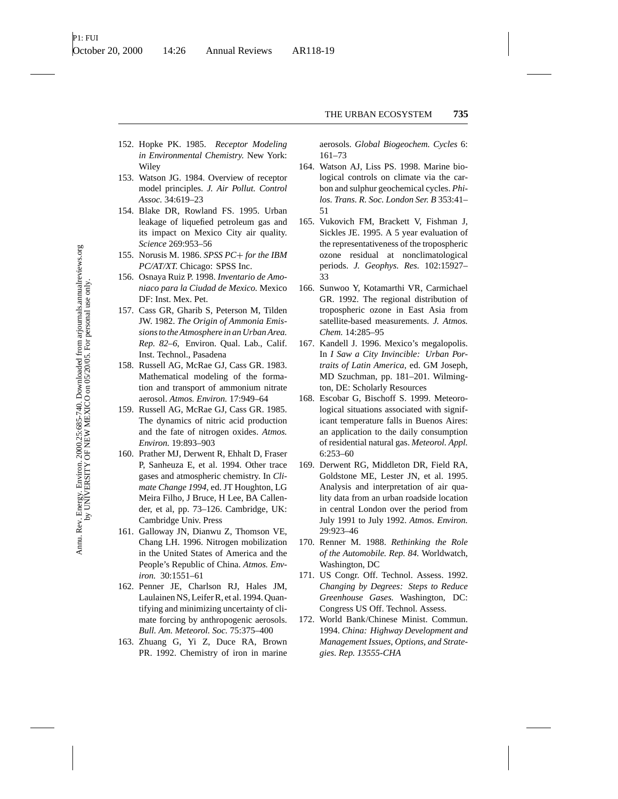- 152. Hopke PK. 1985. *Receptor Modeling in Environmental Chemistry.* New York: **Wiley**
- 153. Watson JG. 1984. Overview of receptor model principles. *J. Air Pollut. Control Assoc.* 34:619–23
- 154. Blake DR, Rowland FS. 1995. Urban leakage of liquefied petroleum gas and its impact on Mexico City air quality. *Science* 269:953–56
- 155. Norusis M. 1986. *SPSS PC*+ *for the IBM PC/AT/XT.* Chicago: SPSS Inc.
- 156. Osnaya Ruiz P. 1998. *Inventario de Amoniaco para la Ciudad de Mexico.* Mexico DF: Inst. Mex. Pet.
- 157. Cass GR, Gharib S, Peterson M, Tilden JW. 1982. *The Origin of Ammonia Emissions to the Atmosphere in an Urban Area. Rep. 82–6*, Environ. Qual. Lab., Calif. Inst. Technol., Pasadena
- 158. Russell AG, McRae GJ, Cass GR. 1983. Mathematical modeling of the formation and transport of ammonium nitrate aerosol. *Atmos. Environ.* 17:949–64
- 159. Russell AG, McRae GJ, Cass GR. 1985. The dynamics of nitric acid production and the fate of nitrogen oxides. *Atmos. Environ.* 19:893–903
- 160. Prather MJ, Derwent R, Ehhalt D, Fraser P, Sanheuza E, et al. 1994. Other trace gases and atmospheric chemistry. In *Climate Change 1994*, ed. JT Houghton, LG Meira Filho, J Bruce, H Lee, BA Callender, et al, pp. 73–126. Cambridge, UK: Cambridge Univ. Press
- 161. Galloway JN, Dianwu Z, Thomson VE, Chang LH. 1996. Nitrogen mobilization in the United States of America and the People's Republic of China. *Atmos. Environ.* 30:1551–61
- 162. Penner JE, Charlson RJ, Hales JM, Laulainen NS, Leifer R, et al. 1994. Quantifying and minimizing uncertainty of climate forcing by anthropogenic aerosols. *Bull. Am. Meteorol. Soc.* 75:375–400
- 163. Zhuang G, Yi Z, Duce RA, Brown PR. 1992. Chemistry of iron in marine

aerosols. *Global Biogeochem. Cycles* 6: 161–73

- 164. Watson AJ, Liss PS. 1998. Marine biological controls on climate via the carbon and sulphur geochemical cycles. *Philos. Trans. R. Soc. London Ser. B* 353:41– 51
- 165. Vukovich FM, Brackett V, Fishman J, Sickles JE. 1995. A 5 year evaluation of the representativeness of the tropospheric ozone residual at nonclimatological periods. *J. Geophys. Res.* 102:15927– 33
- 166. Sunwoo Y, Kotamarthi VR, Carmichael GR. 1992. The regional distribution of tropospheric ozone in East Asia from satellite-based measurements. *J. Atmos. Chem.* 14:285–95
- 167. Kandell J. 1996. Mexico's megalopolis. In *I Saw a City Invincible: Urban Portraits of Latin America*, ed. GM Joseph, MD Szuchman, pp. 181–201. Wilmington, DE: Scholarly Resources
- 168. Escobar G, Bischoff S. 1999. Meteorological situations associated with significant temperature falls in Buenos Aires: an application to the daily consumption of residential natural gas. *Meteorol. Appl.* 6:253–60
- 169. Derwent RG, Middleton DR, Field RA, Goldstone ME, Lester JN, et al. 1995. Analysis and interpretation of air quality data from an urban roadside location in central London over the period from July 1991 to July 1992. *Atmos. Environ.* 29:923–46
- 170. Renner M. 1988. *Rethinking the Role of the Automobile. Rep. 84.* Worldwatch, Washington, DC
- 171. US Congr. Off. Technol. Assess. 1992. *Changing by Degrees: Steps to Reduce Greenhouse Gases.* Washington, DC: Congress US Off. Technol. Assess.
- 172. World Bank/Chinese Minist. Commun. 1994. *China: Highway Development and Management Issues, Options, and Strategies. Rep. 13555-CHA*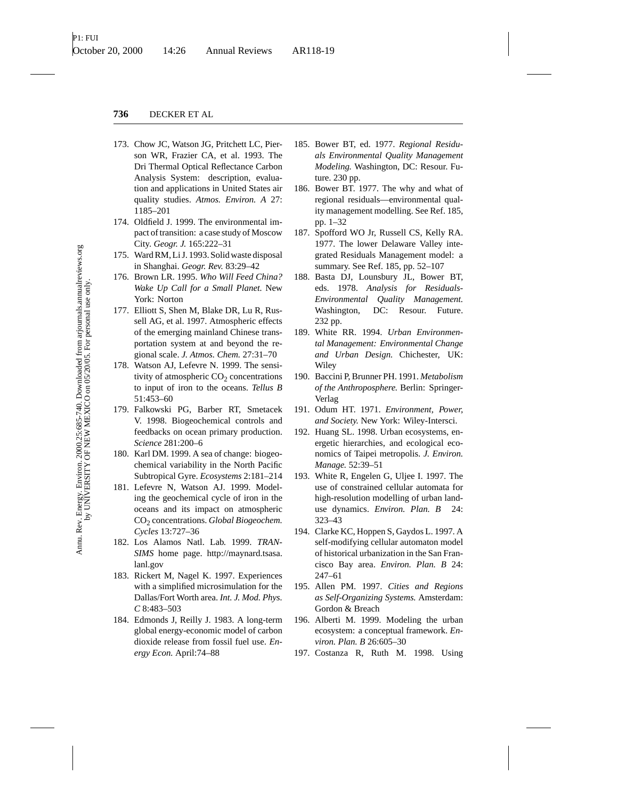- 173. Chow JC, Watson JG, Pritchett LC, Pierson WR, Frazier CA, et al. 1993. The Dri Thermal Optical Reflectance Carbon Analysis System: description, evaluation and applications in United States air quality studies. *Atmos. Environ. A* 27: 1185–201
- 174. Oldfield J. 1999. The environmental impact of transition: a case study of Moscow City. *Geogr. J.* 165:222–31
- 175. Ward RM, Li J. 1993. Solid waste disposal in Shanghai. *Geogr. Rev.* 83:29–42
- 176. Brown LR. 1995. *Who Will Feed China? Wake Up Call for a Small Planet.* New York: Norton
- 177. Elliott S, Shen M, Blake DR, Lu R, Russell AG, et al. 1997. Atmospheric effects of the emerging mainland Chinese transportation system at and beyond the regional scale. *J. Atmos. Chem.* 27:31–70
- 178. Watson AJ, Lefevre N. 1999. The sensitivity of atmospheric  $CO<sub>2</sub>$  concentrations to input of iron to the oceans. *Tellus B* 51:453–60
- 179. Falkowski PG, Barber RT, Smetacek V. 1998. Biogeochemical controls and feedbacks on ocean primary production. *Science* 281:200–6
- 180. Karl DM. 1999. A sea of change: biogeochemical variability in the North Pacific Subtropical Gyre. *Ecosystems* 2:181–214
- 181. Lefevre N, Watson AJ. 1999. Modeling the geochemical cycle of iron in the oceans and its impact on atmospheric CO2 concentrations. *Global Biogeochem. Cycles* 13:727–36
- 182. Los Alamos Natl. Lab. 1999. *TRAN-SIMS* home page. http://maynard.tsasa. lanl.gov
- 183. Rickert M, Nagel K. 1997. Experiences with a simplified microsimulation for the Dallas/Fort Worth area. *Int. J. Mod. Phys. C* 8:483–503
- 184. Edmonds J, Reilly J. 1983. A long-term global energy-economic model of carbon dioxide release from fossil fuel use. *Energy Econ.* April:74–88
- 185. Bower BT, ed. 1977. *Regional Residuals Environmental Quality Management Modeling.* Washington, DC: Resour. Future. 230 pp.
- 186. Bower BT. 1977. The why and what of regional residuals—environmental quality management modelling. See Ref. 185, pp. 1–32
- 187. Spofford WO Jr, Russell CS, Kelly RA. 1977. The lower Delaware Valley integrated Residuals Management model: a summary. See Ref. 185, pp. 52–107
- 188. Basta DJ, Lounsbury JL, Bower BT, eds. 1978. *Analysis for Residuals-Environmental Quality Management.* Washington, DC: Resour. Future. 232 pp.
- 189. White RR. 1994. *Urban Environmental Management: Environmental Change and Urban Design.* Chichester, UK: Wiley
- 190. Baccini P, Brunner PH. 1991. *Metabolism of the Anthroposphere.* Berlin: Springer-Verlag
- 191. Odum HT. 1971. *Environment, Power, and Society.* New York: Wiley-Intersci.
- 192. Huang SL. 1998. Urban ecosystems, energetic hierarchies, and ecological economics of Taipei metropolis. *J. Environ. Manage.* 52:39–51
- 193. White R, Engelen G, Uljee I. 1997. The use of constrained cellular automata for high-resolution modelling of urban landuse dynamics. *Environ. Plan. B* 24: 323–43
- 194. Clarke KC, Hoppen S, Gaydos L. 1997. A self-modifying cellular automaton model of historical urbanization in the San Francisco Bay area. *Environ. Plan. B* 24: 247–61
- 195. Allen PM. 1997. *Cities and Regions as Self-Organizing Systems.* Amsterdam: Gordon & Breach
- 196. Alberti M. 1999. Modeling the urban ecosystem: a conceptual framework. *Environ. Plan. B* 26:605–30
- 197. Costanza R, Ruth M. 1998. Using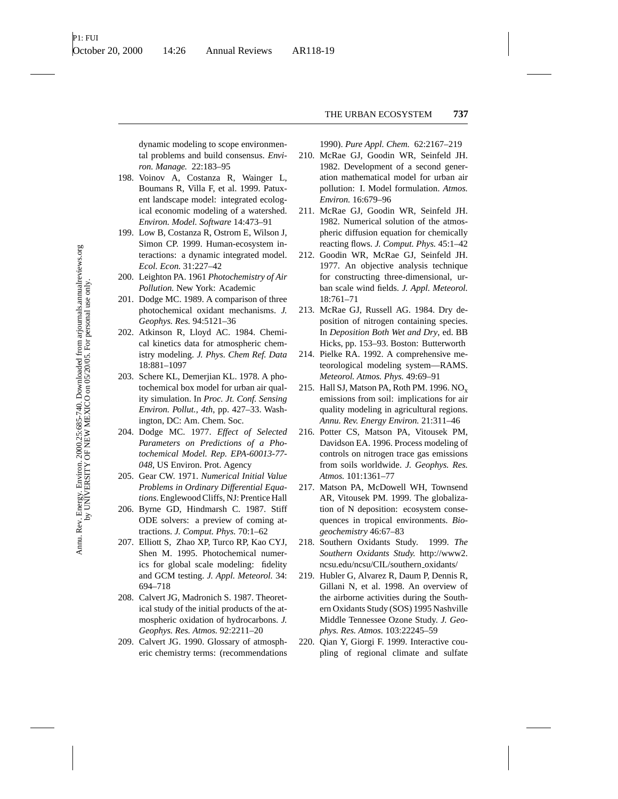dynamic modeling to scope environmental problems and build consensus. *Environ. Manage.* 22:183–95

- 198. Voinov A, Costanza R, Wainger L, Boumans R, Villa F, et al. 1999. Patuxent landscape model: integrated ecological economic modeling of a watershed. *Environ. Model. Software* 14:473–91
- 199. Low B, Costanza R, Ostrom E, Wilson J, Simon CP. 1999. Human-ecosystem interactions: a dynamic integrated model. *Ecol. Econ.* 31:227–42
- 200. Leighton PA. 1961 *Photochemistry of Air Pollution.* New York: Academic
- 201. Dodge MC. 1989. A comparison of three photochemical oxidant mechanisms. *J. Geophys. Res.* 94:5121–36
- 202. Atkinson R, Lloyd AC. 1984. Chemical kinetics data for atmospheric chemistry modeling. *J. Phys. Chem Ref. Data* 18:881–1097
- 203. Schere KL, Demerjian KL. 1978. A photochemical box model for urban air quality simulation. In *Proc. Jt. Conf. Sensing Environ. Pollut., 4th*, pp. 427–33. Washington, DC: Am. Chem. Soc.
- 204. Dodge MC. 1977. *Effect of Selected Parameters on Predictions of a Photochemical Model. Rep. EPA-60013-77- 048*, US Environ. Prot. Agency
- 205. Gear CW. 1971. *Numerical Initial Value Problems in Ordinary Differential Equations.*Englewood Cliffs, NJ: Prentice Hall
- 206. Byrne GD, Hindmarsh C. 1987. Stiff ODE solvers: a preview of coming attractions. *J. Comput. Phys.* 70:1–62
- 207. Elliott S, Zhao XP, Turco RP, Kao CYJ, Shen M. 1995. Photochemical numerics for global scale modeling: fidelity and GCM testing. *J. Appl. Meteorol.* 34: 694–718
- 208. Calvert JG, Madronich S. 1987. Theoretical study of the initial products of the atmospheric oxidation of hydrocarbons. *J. Geophys. Res. Atmos.* 92:2211–20
- 209. Calvert JG. 1990. Glossary of atmospheric chemistry terms: (recommendations

1990). *Pure Appl. Chem.* 62:2167–219

- 210. McRae GJ, Goodin WR, Seinfeld JH. 1982. Development of a second generation mathematical model for urban air pollution: I. Model formulation. *Atmos. Environ.* 16:679–96
- 211. McRae GJ, Goodin WR, Seinfeld JH. 1982. Numerical solution of the atmospheric diffusion equation for chemically reacting flows. *J. Comput. Phys.* 45:1–42
- 212. Goodin WR, McRae GJ, Seinfeld JH. 1977. An objective analysis technique for constructing three-dimensional, urban scale wind fields. *J. Appl. Meteorol.* 18:761–71
- 213. McRae GJ, Russell AG. 1984. Dry deposition of nitrogen containing species. In *Deposition Both Wet and Dry*, ed. BB Hicks, pp. 153–93. Boston: Butterworth
- 214. Pielke RA. 1992. A comprehensive meteorological modeling system—RAMS. *Meteorol. Atmos. Phys.* 49:69–91
- 215. Hall SJ, Matson PA, Roth PM. 1996.  $NO<sub>x</sub>$ emissions from soil: implications for air quality modeling in agricultural regions. *Annu. Rev. Energy Environ.* 21:311–46
- 216. Potter CS, Matson PA, Vitousek PM, Davidson EA. 1996. Process modeling of controls on nitrogen trace gas emissions from soils worldwide. *J. Geophys. Res. Atmos.* 101:1361–77
- 217. Matson PA, McDowell WH, Townsend AR, Vitousek PM. 1999. The globalization of N deposition: ecosystem consequences in tropical environments. *Biogeochemistry* 46:67–83
- 218. Southern Oxidants Study. 1999. *The Southern Oxidants Study.* http://www2. ncsu.edu/ncsu/CIL/southern\_oxidants/
- 219. Hubler G, Alvarez R, Daum P, Dennis R, Gillani N, et al. 1998. An overview of the airborne activities during the Southern Oxidants Study (SOS) 1995 Nashville Middle Tennessee Ozone Study. *J. Geophys. Res. Atmos.* 103:22245–59
- 220. Qian Y, Giorgi F. 1999. Interactive coupling of regional climate and sulfate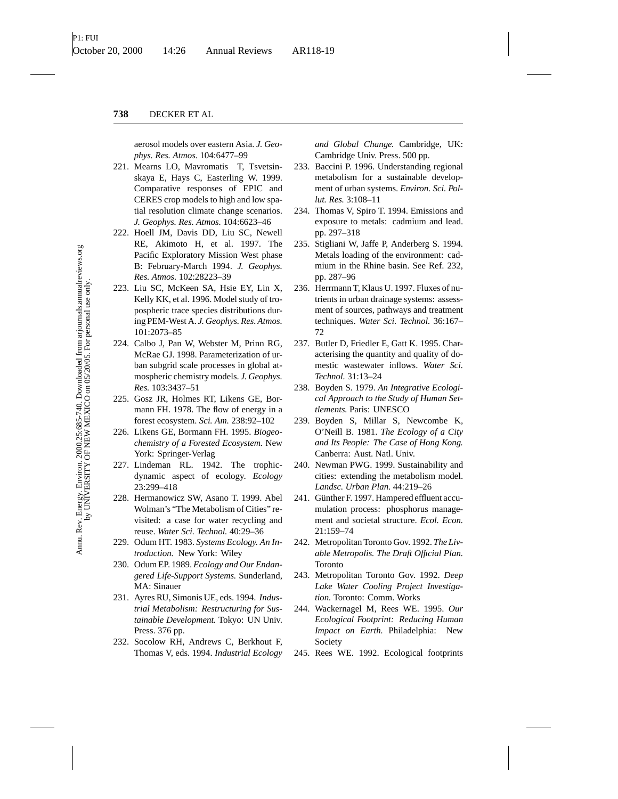aerosol models over eastern Asia. *J. Geophys. Res. Atmos.* 104:6477–99

- 221. Mearns LO, Mavromatis T, Tsvetsinskaya E, Hays C, Easterling W. 1999. Comparative responses of EPIC and CERES crop models to high and low spatial resolution climate change scenarios. *J. Geophys. Res. Atmos.* 104:6623–46
- 222. Hoell JM, Davis DD, Liu SC, Newell RE, Akimoto H, et al. 1997. The Pacific Exploratory Mission West phase B: February-March 1994. *J. Geophys. Res. Atmos.* 102:28223–39
- 223. Liu SC, McKeen SA, Hsie EY, Lin X, Kelly KK, et al. 1996. Model study of tropospheric trace species distributions during PEM-West A. *J. Geophys. Res. Atmos.* 101:2073–85
- 224. Calbo J, Pan W, Webster M, Prinn RG, McRae GJ. 1998. Parameterization of urban subgrid scale processes in global atmospheric chemistry models. *J. Geophys. Res.* 103:3437–51
- 225. Gosz JR, Holmes RT, Likens GE, Bormann FH. 1978. The flow of energy in a forest ecosystem. *Sci. Am.* 238:92–102
- 226. Likens GE, Bormann FH. 1995. *Biogeochemistry of a Forested Ecosystem.* New York: Springer-Verlag
- 227. Lindeman RL. 1942. The trophicdynamic aspect of ecology. *Ecology* 23:299–418
- 228. Hermanowicz SW, Asano T. 1999. Abel Wolman's "The Metabolism of Cities" revisited: a case for water recycling and reuse. *Water Sci. Technol.* 40:29–36
- 229. Odum HT. 1983. *Systems Ecology. An Introduction.* New York: Wiley
- 230. Odum EP. 1989. *Ecology and Our Endangered Life-Support Systems.* Sunderland, MA: Sinauer
- 231. Ayres RU, Simonis UE, eds. 1994. *Industrial Metabolism: Restructuring for Sustainable Development.* Tokyo: UN Univ. Press. 376 pp.
- 232. Socolow RH, Andrews C, Berkhout F, Thomas V, eds. 1994. *Industrial Ecology*

*and Global Change.* Cambridge, UK: Cambridge Univ. Press. 500 pp.

- 233. Baccini P. 1996. Understanding regional metabolism for a sustainable development of urban systems. *Environ. Sci. Pollut. Res.* 3:108–11
- 234. Thomas V, Spiro T. 1994. Emissions and exposure to metals: cadmium and lead. pp. 297–318
- 235. Stigliani W, Jaffe P, Anderberg S. 1994. Metals loading of the environment: cadmium in the Rhine basin. See Ref. 232, pp. 287–96
- 236. Herrmann T, Klaus U. 1997. Fluxes of nutrients in urban drainage systems: assessment of sources, pathways and treatment techniques. *Water Sci. Technol.* 36:167– 72
- 237. Butler D, Friedler E, Gatt K. 1995. Characterising the quantity and quality of domestic wastewater inflows. *Water Sci. Technol.* 31:13–24
- 238. Boyden S. 1979. *An Integrative Ecological Approach to the Study of Human Settlements.* Paris: UNESCO
- 239. Boyden S, Millar S, Newcombe K, O'Neill B. 1981. *The Ecology of a City and Its People: The Case of Hong Kong.* Canberra: Aust. Natl. Univ.
- 240. Newman PWG. 1999. Sustainability and cities: extending the metabolism model. *Landsc. Urban Plan.* 44:219–26
- 241. Günther F. 1997. Hampered effluent accumulation process: phosphorus management and societal structure. *Ecol. Econ.* 21:159–74
- 242. Metropolitan Toronto Gov. 1992. *The Livable Metropolis. The Draft Official Plan.* Toronto
- 243. Metropolitan Toronto Gov. 1992. *Deep Lake Water Cooling Project Investigation.* Toronto: Comm. Works
- 244. Wackernagel M, Rees WE. 1995. *Our Ecological Footprint: Reducing Human Impact on Earth.* Philadelphia: New Society
- 245. Rees WE. 1992. Ecological footprints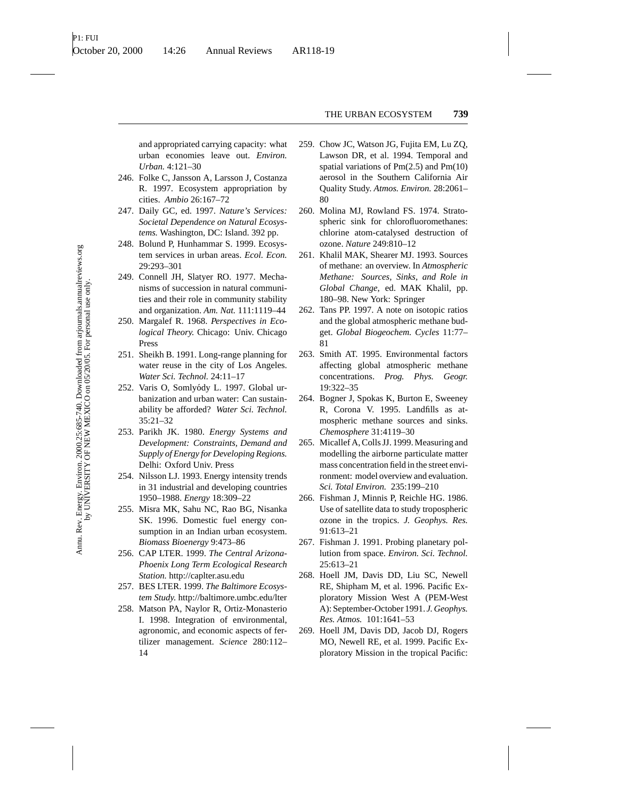and appropriated carrying capacity: what urban economies leave out. *Environ. Urban.* 4:121–30

- 246. Folke C, Jansson A, Larsson J, Costanza R. 1997. Ecosystem appropriation by cities. *Ambio* 26:167–72
- 247. Daily GC, ed. 1997. *Nature's Services: Societal Dependence on Natural Ecosystems.* Washington, DC: Island. 392 pp.
- 248. Bolund P, Hunhammar S. 1999. Ecosystem services in urban areas. *Ecol. Econ.* 29:293–301
- 249. Connell JH, Slatyer RO. 1977. Mechanisms of succession in natural communities and their role in community stability and organization. *Am. Nat.* 111:1119–44
- 250. Margalef R. 1968. *Perspectives in Ecological Theory.* Chicago: Univ. Chicago Press
- 251. Sheikh B. 1991. Long-range planning for water reuse in the city of Los Angeles. *Water Sci. Technol.* 24:11–17
- 252. Varis O, Somlyódy L. 1997. Global urbanization and urban water: Can sustainability be afforded? *Water Sci. Technol.* 35:21–32
- 253. Parikh JK. 1980. *Energy Systems and Development: Constraints, Demand and Supply of Energy for Developing Regions.* Delhi: Oxford Univ. Press
- 254. Nilsson LJ. 1993. Energy intensity trends in 31 industrial and developing countries 1950–1988. *Energy* 18:309–22
- 255. Misra MK, Sahu NC, Rao BG, Nisanka SK. 1996. Domestic fuel energy consumption in an Indian urban ecosystem. *Biomass Bioenergy* 9:473–86
- 256. CAP LTER. 1999. *The Central Arizona-Phoenix Long Term Ecological Research Station.* http://caplter.asu.edu
- 257. BES LTER. 1999. *The Baltimore Ecosystem Study.* http://baltimore.umbc.edu/lter
- 258. Matson PA, Naylor R, Ortiz-Monasterio I. 1998. Integration of environmental, agronomic, and economic aspects of fertilizer management. *Science* 280:112– 14
- 259. Chow JC, Watson JG, Fujita EM, Lu ZQ, Lawson DR, et al. 1994. Temporal and spatial variations of Pm(2.5) and Pm(10) aerosol in the Southern California Air Quality Study. *Atmos. Environ.* 28:2061– 80
- 260. Molina MJ, Rowland FS. 1974. Stratospheric sink for chlorofluoromethanes: chlorine atom-catalysed destruction of ozone. *Nature* 249:810–12
- 261. Khalil MAK, Shearer MJ. 1993. Sources of methane: an overview. In *Atmospheric Methane: Sources, Sinks, and Role in Global Change*, ed. MAK Khalil, pp. 180–98. New York: Springer
- 262. Tans PP. 1997. A note on isotopic ratios and the global atmospheric methane budget. *Global Biogeochem. Cycles* 11:77– 81
- 263. Smith AT. 1995. Environmental factors affecting global atmospheric methane concentrations. *Prog. Phys. Geogr.* 19:322–35
- 264. Bogner J, Spokas K, Burton E, Sweeney R, Corona V. 1995. Landfills as atmospheric methane sources and sinks. *Chemosphere* 31:4119–30
- 265. Micallef A, Colls JJ. 1999. Measuring and modelling the airborne particulate matter mass concentration field in the street environment: model overview and evaluation. *Sci. Total Environ.* 235:199–210
- 266. Fishman J, Minnis P, Reichle HG. 1986. Use of satellite data to study tropospheric ozone in the tropics. *J. Geophys. Res.* 91:613–21
- 267. Fishman J. 1991. Probing planetary pollution from space. *Environ. Sci. Technol.* 25:613–21
- 268. Hoell JM, Davis DD, Liu SC, Newell RE, Shipham M, et al. 1996. Pacific Exploratory Mission West A (PEM-West A): September-October 1991. *J. Geophys. Res. Atmos.* 101:1641–53
- 269. Hoell JM, Davis DD, Jacob DJ, Rogers MO, Newell RE, et al. 1999. Pacific Exploratory Mission in the tropical Pacific: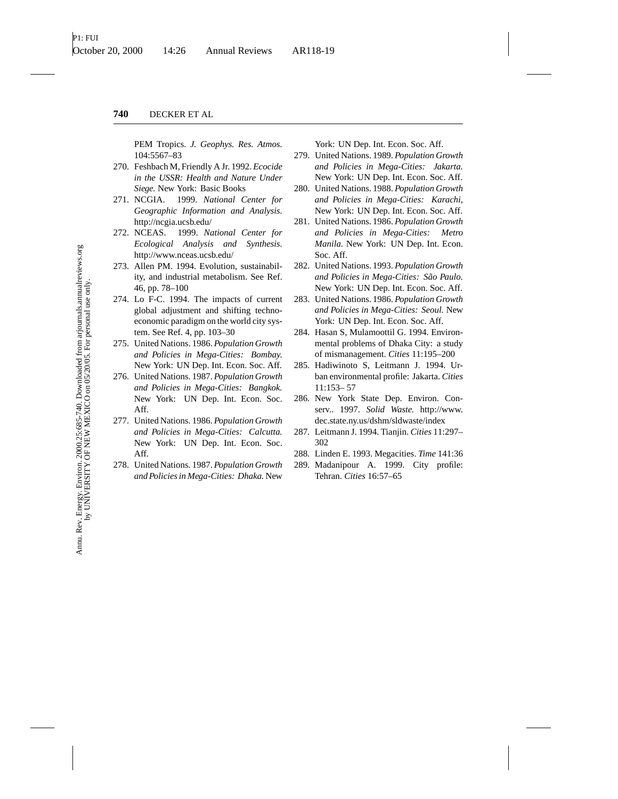PEM Tropics. *J. Geophys. Res. Atmos.* 104:5567–83

- 270. Feshbach M, Friendly A Jr. 1992. *Ecocide in the USSR: Health and Nature Under Siege.* New York: Basic Books
- 271. NCGIA. 1999. *National Center for Geographic Information and Analysis.* http://ncgia.ucsb.edu/
- 272. NCEAS. 1999. *National Center for Ecological Analysis and Synthesis.* http://www.nceas.ucsb.edu/
- 273. Allen PM. 1994. Evolution, sustainability, and industrial metabolism. See Ref. 46, pp. 78–100
- 274. Lo F-C. 1994. The impacts of current global adjustment and shifting technoeconomic paradigm on the world city system. See Ref. 4, pp. 103–30
- 275. United Nations. 1986. *Population Growth and Policies in Mega-Cities: Bombay.* New York: UN Dep. Int. Econ. Soc. Aff.
- 276. United Nations. 1987. *Population Growth and Policies in Mega-Cities: Bangkok.* New York: UN Dep. Int. Econ. Soc. Aff.
- 277. United Nations. 1986. *Population Growth and Policies in Mega-Cities: Calcutta.* New York: UN Dep. Int. Econ. Soc. Aff.
- 278. United Nations. 1987. *Population Growth and Policies in Mega-Cities: Dhaka.* New

York: UN Dep. Int. Econ. Soc. Aff.

- 279. United Nations. 1989. *Population Growth and Policies in Mega-Cities: Jakarta.* New York: UN Dep. Int. Econ. Soc. Aff.
- 280. United Nations. 1988. *Population Growth and Policies in Mega-Cities: Karachi*, New York: UN Dep. Int. Econ. Soc. Aff.
- 281. United Nations. 1986. *Population Growth and Policies in Mega-Cities: Metro Manila.* New York: UN Dep. Int. Econ. Soc. Aff.
- 282. United Nations. 1993. *Population Growth and Policies in Mega-Cities: Sao Paulo. ˜* New York: UN Dep. Int. Econ. Soc. Aff.
- 283. United Nations. 1986. *Population Growth and Policies in Mega-Cities: Seoul.* New York: UN Dep. Int. Econ. Soc. Aff.
- 284. Hasan S, Mulamoottil G. 1994. Environmental problems of Dhaka City: a study of mismanagement. *Cities* 11:195–200
- 285. Hadiwinoto S, Leitmann J. 1994. Urban environmental profile: Jakarta. *Cities* 11:153– 57
- 286. New York State Dep. Environ. Conserv.. 1997. *Solid Waste.* http://www. dec.state.ny.us/dshm/sldwaste/index
- 287. Leitmann J. 1994. Tianjin. *Cities* 11:297– 302
- 288. Linden E. 1993. Megacities. *Time* 141:36
- 289. Madanipour A. 1999. City profile: Tehran. *Cities* 16:57–65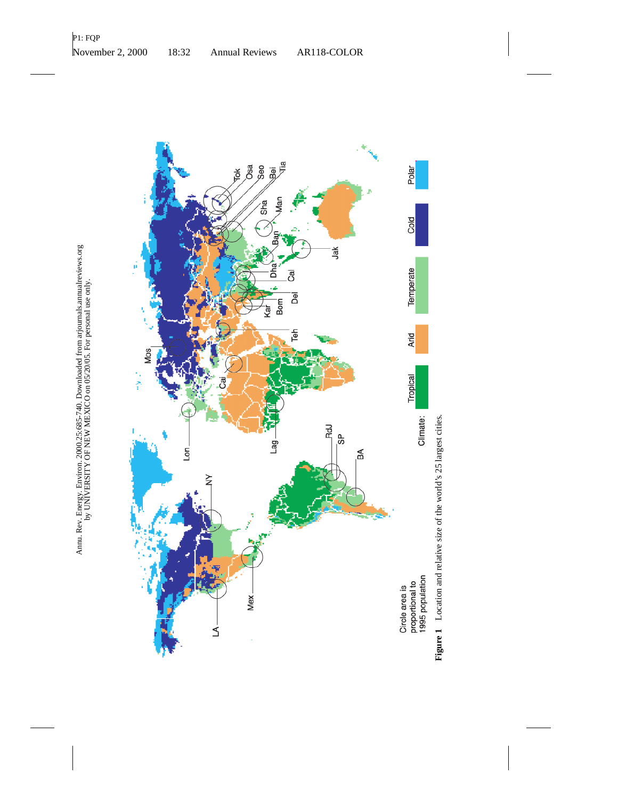



Annu. Rev. Energy. Environ. 2000.25:685-740. Downloaded from arjournals.annualreviews.org<br>by UNIVERSITY OF NEW MEXICO on 05/20/05. For personal use only. Annu. Rev. Energy. Environ. 2000.25:685-740. Downloaded from arjournals.annualreviews.org by UNIVERSITY OF NEW MEXICO on 05/20/05. For personal use only.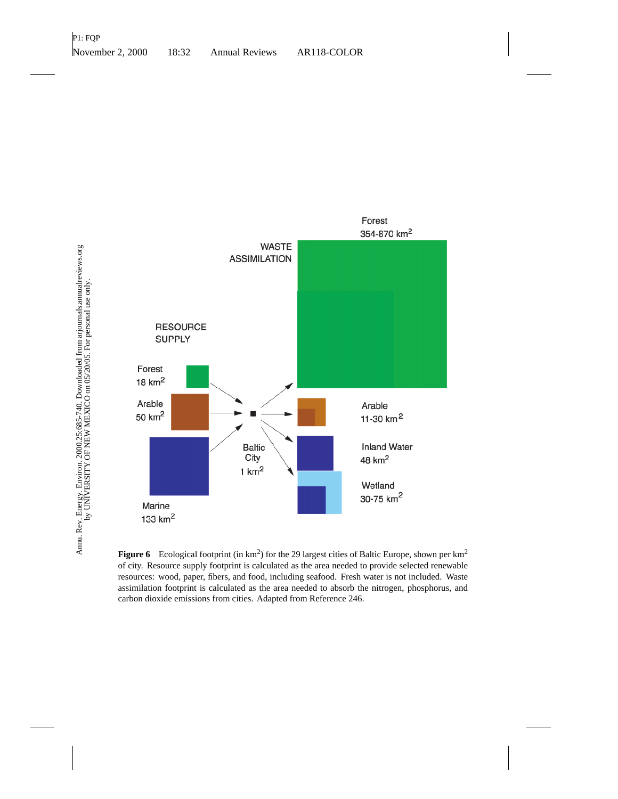

**Figure 6** Ecological footprint (in km<sup>2</sup>) for the 29 largest cities of Baltic Europe, shown per km<sup>2</sup> of city. Resource supply footprint is calculated as the area needed to provide selected renewable resources: wood, paper, fibers, and food, including seafood. Fresh water is not included. Waste assimilation footprint is calculated as the area needed to absorb the nitrogen, phosphorus, and carbon dioxide emissions from cities. Adapted from Reference 246.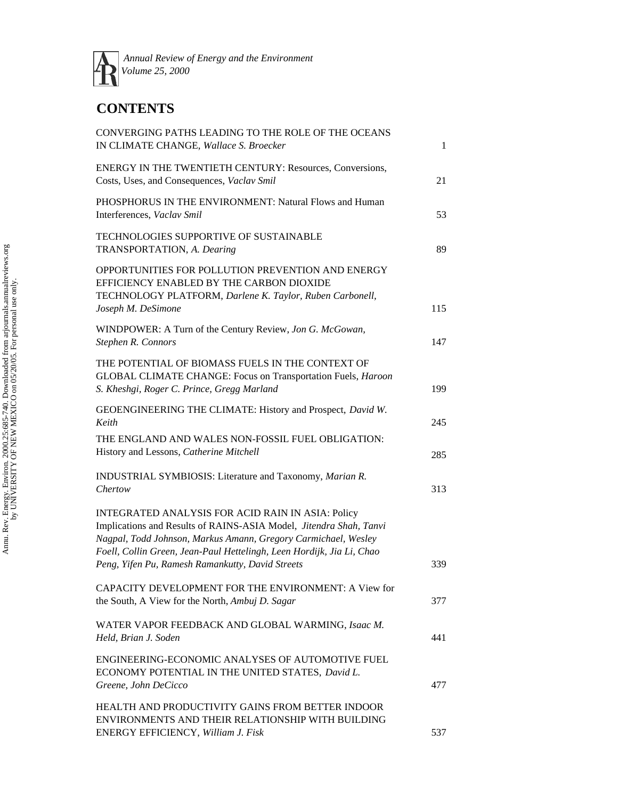

 *Annual Review of Energy and the Environment Volume 25, 2000*

## **CONTENTS**

| CONVERGING PATHS LEADING TO THE ROLE OF THE OCEANS<br>IN CLIMATE CHANGE, Wallace S. Broecker                                                                                                                                                                                                                           | $\mathbf{1}$ |
|------------------------------------------------------------------------------------------------------------------------------------------------------------------------------------------------------------------------------------------------------------------------------------------------------------------------|--------------|
| ENERGY IN THE TWENTIETH CENTURY: Resources, Conversions,<br>Costs, Uses, and Consequences, Vaclav Smil                                                                                                                                                                                                                 | 21           |
| PHOSPHORUS IN THE ENVIRONMENT: Natural Flows and Human<br>Interferences, Vaclav Smil                                                                                                                                                                                                                                   | 53           |
| <b>TECHNOLOGIES SUPPORTIVE OF SUSTAINABLE</b><br>TRANSPORTATION, A. Dearing                                                                                                                                                                                                                                            | 89           |
| OPPORTUNITIES FOR POLLUTION PREVENTION AND ENERGY<br>EFFICIENCY ENABLED BY THE CARBON DIOXIDE<br>TECHNOLOGY PLATFORM, Darlene K. Taylor, Ruben Carbonell,<br>Joseph M. DeSimone                                                                                                                                        | 115          |
| WINDPOWER: A Turn of the Century Review, Jon G. McGowan,<br>Stephen R. Connors                                                                                                                                                                                                                                         | 147          |
| THE POTENTIAL OF BIOMASS FUELS IN THE CONTEXT OF<br>GLOBAL CLIMATE CHANGE: Focus on Transportation Fuels, Haroon<br>S. Kheshgi, Roger C. Prince, Gregg Marland                                                                                                                                                         | 199          |
| GEOENGINEERING THE CLIMATE: History and Prospect, David W.<br>Keith                                                                                                                                                                                                                                                    | 245          |
| THE ENGLAND AND WALES NON-FOSSIL FUEL OBLIGATION:<br>History and Lessons, Catherine Mitchell                                                                                                                                                                                                                           | 285          |
| INDUSTRIAL SYMBIOSIS: Literature and Taxonomy, Marian R.<br>Chertow                                                                                                                                                                                                                                                    | 313          |
| INTEGRATED ANALYSIS FOR ACID RAIN IN ASIA: Policy<br>Implications and Results of RAINS-ASIA Model, Jitendra Shah, Tanvi<br>Nagpal, Todd Johnson, Markus Amann, Gregory Carmichael, Wesley<br>Foell, Collin Green, Jean-Paul Hettelingh, Leen Hordijk, Jia Li, Chao<br>Peng, Yifen Pu, Ramesh Ramankutty, David Streets | 339          |
| CAPACITY DEVELOPMENT FOR THE ENVIRONMENT: A View for<br>the South, A View for the North, Ambuj D. Sagar                                                                                                                                                                                                                | 377          |
| WATER VAPOR FEEDBACK AND GLOBAL WARMING, Isaac M.<br>Held, Brian J. Soden                                                                                                                                                                                                                                              | 441          |
| ENGINEERING-ECONOMIC ANALYSES OF AUTOMOTIVE FUEL<br>ECONOMY POTENTIAL IN THE UNITED STATES, David L.<br>Greene, John DeCicco                                                                                                                                                                                           | 477          |
| HEALTH AND PRODUCTIVITY GAINS FROM BETTER INDOOR<br>ENVIRONMENTS AND THEIR RELATIONSHIP WITH BUILDING<br>ENERGY EFFICIENCY, William J. Fisk                                                                                                                                                                            | 537          |